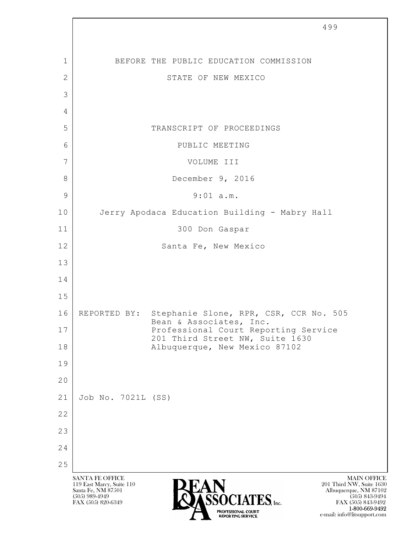|              |                                                                                                                     | 499                                                                                                                                                                                                                                    |
|--------------|---------------------------------------------------------------------------------------------------------------------|----------------------------------------------------------------------------------------------------------------------------------------------------------------------------------------------------------------------------------------|
|              |                                                                                                                     |                                                                                                                                                                                                                                        |
| 1            |                                                                                                                     | BEFORE THE PUBLIC EDUCATION COMMISSION                                                                                                                                                                                                 |
| $\mathbf{2}$ |                                                                                                                     | STATE OF NEW MEXICO                                                                                                                                                                                                                    |
| 3            |                                                                                                                     |                                                                                                                                                                                                                                        |
| 4            |                                                                                                                     |                                                                                                                                                                                                                                        |
| 5            |                                                                                                                     | TRANSCRIPT OF PROCEEDINGS                                                                                                                                                                                                              |
| 6            |                                                                                                                     | PUBLIC MEETING                                                                                                                                                                                                                         |
| 7            |                                                                                                                     | VOLUME III                                                                                                                                                                                                                             |
| 8            |                                                                                                                     | December 9, 2016                                                                                                                                                                                                                       |
| $\mathsf 9$  |                                                                                                                     | $9:01$ a.m.                                                                                                                                                                                                                            |
| 10           |                                                                                                                     | Jerry Apodaca Education Building - Mabry Hall                                                                                                                                                                                          |
| 11           |                                                                                                                     | 300 Don Gaspar                                                                                                                                                                                                                         |
| 12           |                                                                                                                     | Santa Fe, New Mexico                                                                                                                                                                                                                   |
| 13           |                                                                                                                     |                                                                                                                                                                                                                                        |
| 14           |                                                                                                                     |                                                                                                                                                                                                                                        |
| 15           |                                                                                                                     |                                                                                                                                                                                                                                        |
| 16           |                                                                                                                     | REPORTED BY: Stephanie Slone, RPR, CSR, CCR No. 505<br>Bean & Associates, Inc.                                                                                                                                                         |
| 17           |                                                                                                                     | Professional Court Reporting Service<br>201 Third Street NW, Suite 1630                                                                                                                                                                |
| 18           |                                                                                                                     | Albuquerque, New Mexico 87102                                                                                                                                                                                                          |
| 19           |                                                                                                                     |                                                                                                                                                                                                                                        |
| 20           |                                                                                                                     |                                                                                                                                                                                                                                        |
| 21           | Job No. 7021L (SS)                                                                                                  |                                                                                                                                                                                                                                        |
| 22           |                                                                                                                     |                                                                                                                                                                                                                                        |
| 23           |                                                                                                                     |                                                                                                                                                                                                                                        |
| 24           |                                                                                                                     |                                                                                                                                                                                                                                        |
| 25           |                                                                                                                     |                                                                                                                                                                                                                                        |
|              | <b>SANTA FE OFFICE</b><br>119 East Marcy, Suite 110<br>Santa Fe, NM 87501<br>$(505)$ 989-4949<br>FAX (505) 820-6349 | <b>MAIN OFFICE</b><br>201 Third NW, Suite 1630<br>Albuquerque, NM 87102<br>$(505)$ 843-9494<br>$\textrm{TES}$ , Inc.<br>FAX (505) 843-9492<br>1-800-669-9492<br>PROFESSIONAL COURT<br>e-mail: info@litsupport.com<br>REPORTING SERVICE |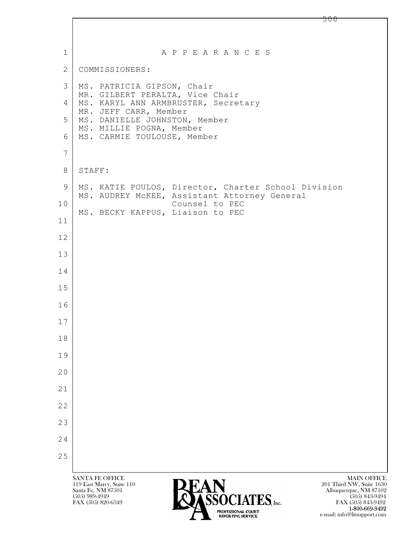$\mathbf{L}$  SANTA FE OFFICE MAIN OFFICE MAIN OFFICE MAIN OFFICE MAIN OFFICE 119 East Marcy, Suite 110 201 Third NW, Suite 1630<br>Santa Fe, NM 87501 201 Third NW, Suite 1630 1 | A P P E A R A N C E S 2 COMMISSIONERS: 3 MS. PATRICIA GIPSON, Chair MR. GILBERT PERALTA, Vice Chair 4 | MS. KARYL ANN ARMBRUSTER, Secretary MR. JEFF CARR, Member 5 MS. DANIELLE JOHNSTON, Member MS. MILLIE POGNA, Member 6 MS. CARMIE TOULOUSE, Member 7 8 | STAFF: 9 | MS. KATIE POULOS, Director, Charter School Division MS. AUDREY McKEE, Assistant Attorney General 10 Counsel to PEC MS. BECKY KAPPUS, Liaison to PEC 11 12 13 14 15 16 17 18 19 20 21 22 23 24 25



FAX (505) 843-9492 e-mail: info@litsupport.com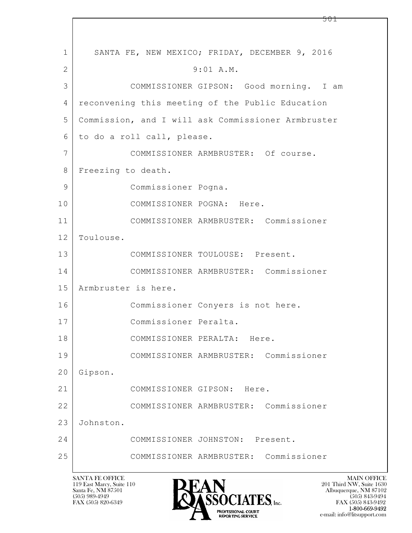| $\mathbf{1}$ | SANTA FE, NEW MEXICO; FRIDAY, DECEMBER 9, 2016     |
|--------------|----------------------------------------------------|
| 2            | 9:01 A.M.                                          |
| 3            | COMMISSIONER GIPSON: Good morning. I am            |
| 4            | reconvening this meeting of the Public Education   |
| 5            | Commission, and I will ask Commissioner Armbruster |
| 6            | to do a roll call, please.                         |
| 7            | COMMISSIONER ARMBRUSTER: Of course.                |
| 8            | Freezing to death.                                 |
| 9            | Commissioner Pogna.                                |
| 10           | COMMISSIONER POGNA: Here.                          |
| 11           | COMMISSIONER ARMBRUSTER: Commissioner              |
| 12           | Toulouse.                                          |
| 13           | COMMISSIONER TOULOUSE: Present.                    |
| 14           | COMMISSIONER ARMBRUSTER: Commissioner              |
| 15           | Armbruster is here.                                |
| 16           | Commissioner Conyers is not here.                  |
| 17           | Commissioner Peralta.                              |
| 18           | COMMISSIONER PERALTA: Here.                        |
| 19           | COMMISSIONER ARMBRUSTER: Commissioner              |
| 20           | Gipson.                                            |
| 21           | COMMISSIONER GIPSON: Here.                         |
| 22           | COMMISSIONER ARMBRUSTER: Commissioner              |
| 23           | Johnston.                                          |
| 24           | COMMISSIONER JOHNSTON: Present.                    |
| 25           | COMMISSIONER ARMBRUSTER: Commissioner              |
|              | <b>SANTA FE OFFICE</b><br><b>MAIN OFFICE</b>       |

 $\lceil$ 

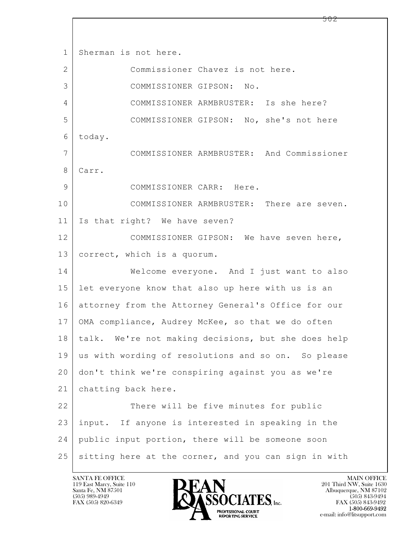$\mathbf{L}$  1 Sherman is not here. 2 Commissioner Chavez is not here. 3 COMMISSIONER GIPSON: No. 4 COMMISSIONER ARMBRUSTER: Is she here? 5 COMMISSIONER GIPSON: No, she's not here 6 today. 7 COMMISSIONER ARMBRUSTER: And Commissioner 8 Carr. 9 COMMISSIONER CARR: Here. 10 COMMISSIONER ARMBRUSTER: There are seven. 11 Is that right? We have seven? 12 COMMISSIONER GIPSON: We have seven here, 13 correct, which is a quorum. 14 Welcome everyone. And I just want to also 15 let everyone know that also up here with us is an 16 attorney from the Attorney General's Office for our 17 | OMA compliance, Audrey McKee, so that we do often 18 talk. We're not making decisions, but she does help 19 us with wording of resolutions and so on. So please 20 don't think we're conspiring against you as we're 21 chatting back here. 22 There will be five minutes for public 23 input. If anyone is interested in speaking in the 24 public input portion, there will be someone soon 25 sitting here at the corner, and you can sign in with

119 East Marcy, Suite 110<br>Santa Fe, NM 87501



FAX (505) 843-9492 e-mail: info@litsupport.com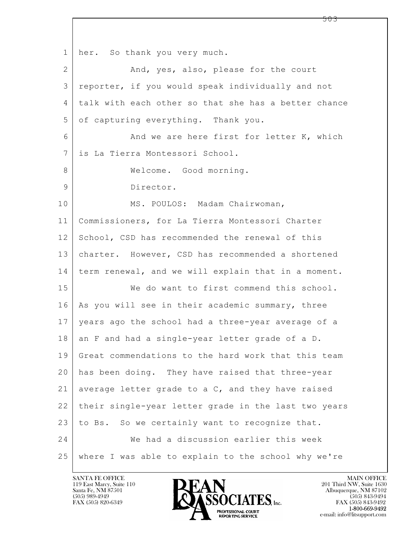$\mathbf{L}$  1 her. So thank you very much. 2 And, yes, also, please for the court 3 reporter, if you would speak individually and not 4 talk with each other so that she has a better chance 5 of capturing everything. Thank you. 6 And we are here first for letter K, which 7 is La Tierra Montessori School. 8 | Welcome. Good morning. 9 Director. 10 MS. POULOS: Madam Chairwoman, 11 Commissioners, for La Tierra Montessori Charter 12 School, CSD has recommended the renewal of this 13 charter. However, CSD has recommended a shortened 14 term renewal, and we will explain that in a moment. 15 We do want to first commend this school. 16 As you will see in their academic summary, three 17 years ago the school had a three-year average of a  $18$  an F and had a single-year letter grade of a D. 19 Great commendations to the hard work that this team 20 has been doing. They have raised that three-year 21 average letter grade to a  $C$ , and they have raised 22 their single-year letter grade in the last two years  $23$  to Bs. So we certainly want to recognize that. 24 We had a discussion earlier this week 25 where I was able to explain to the school why we're

119 East Marcy, Suite 110<br>Santa Fe, NM 87501



FAX (505) 843-9492 e-mail: info@litsupport.com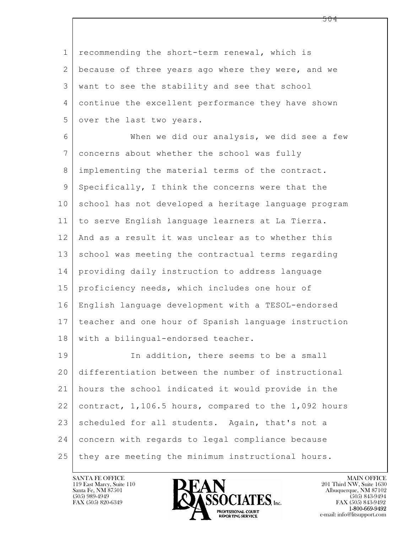1 recommending the short-term renewal, which is 2 because of three years ago where they were, and we 3 want to see the stability and see that school 4 continue the excellent performance they have shown 5 over the last two years.

6 When we did our analysis, we did see a few 7 concerns about whether the school was fully 8 implementing the material terms of the contract.  $9$  Specifically, I think the concerns were that the 10 school has not developed a heritage language program 11 to serve English language learners at La Tierra. 12 And as a result it was unclear as to whether this 13 school was meeting the contractual terms regarding 14 providing daily instruction to address language 15 | proficiency needs, which includes one hour of 16 English language development with a TESOL-endorsed 17 teacher and one hour of Spanish language instruction 18 | with a bilingual-endorsed teacher.

 $\mathbf{L}$  19 In addition, there seems to be a small 20 differentiation between the number of instructional 21 hours the school indicated it would provide in the 22 contract, 1,106.5 hours, compared to the 1,092 hours 23 scheduled for all students. Again, that's not a 24 concern with regards to legal compliance because 25 they are meeting the minimum instructional hours.

119 East Marcy, Suite 110<br>Santa Fe, NM 87501



FAX (505) 843-9492 e-mail: info@litsupport.com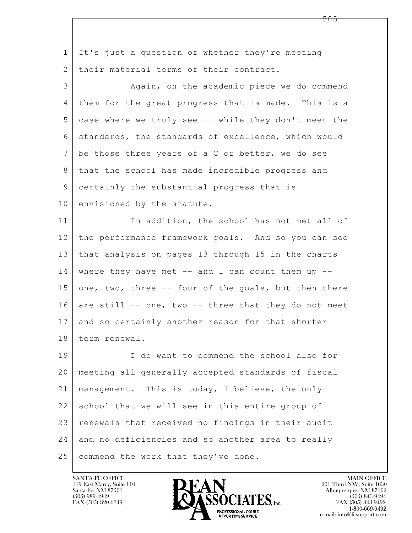$\mathbf{L}$  1 It's just a question of whether they're meeting 2 their material terms of their contract. 3 Again, on the academic piece we do commend 4 them for the great progress that is made. This is a 5 case where we truly see -- while they don't meet the 6 standards, the standards of excellence, which would 7 be those three years of a C or better, we do see 8 that the school has made incredible progress and 9 certainly the substantial progress that is 10 envisioned by the statute. 11 In addition, the school has not met all of 12 the performance framework goals. And so you can see 13 that analysis on pages 13 through 15 in the charts  $14$  where they have met  $-$  and I can count them up  $-$ 15 one, two, three  $-$ - four of the goals, but then there 16 are still  $--$  one, two  $--$  three that they do not meet 17 and so certainly another reason for that shorter 18 term renewal. 19 I do want to commend the school also for 20 meeting all generally accepted standards of fiscal 21 management. This is today, I believe, the only 22 school that we will see in this entire group of 23 renewals that received no findings in their audit 24 and no deficiencies and so another area to really 25 commend the work that they've done.

119 East Marcy, Suite 110<br>Santa Fe, NM 87501



FAX (505) 843-9492 e-mail: info@litsupport.com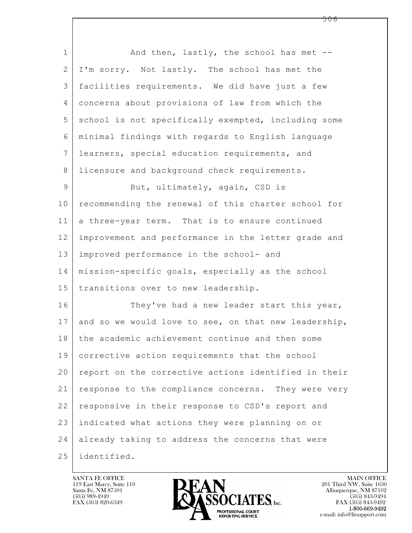| $\mathbf 1$    | And then, lastly, the school has met --              |
|----------------|------------------------------------------------------|
| $\mathbf{2}$   | I'm sorry. Not lastly. The school has met the        |
| 3              | facilities requirements. We did have just a few      |
| 4              | concerns about provisions of law from which the      |
| 5              | school is not specifically exempted, including some  |
| 6              | minimal findings with regards to English language    |
| $7\phantom{.}$ | learners, special education requirements, and        |
| $8\,$          | licensure and background check requirements.         |
| 9              | But, ultimately, again, CSD is                       |
| 10             | recommending the renewal of this charter school for  |
| 11             | a three-year term. That is to ensure continued       |
| 12             | improvement and performance in the letter grade and  |
| 13             | improved performance in the school- and              |
| 14             | mission-specific goals, especially as the school     |
| 15             | transitions over to new leadership.                  |
| 16             | They've had a new leader start this year,            |
| 17             | and so we would love to see, on that new leadership, |
| 18             | the academic achievement continue and then some      |
| 19             | corrective action requirements that the school       |
| 20             | report on the corrective actions identified in their |
| 21             | response to the compliance concerns. They were very  |
| 22             | responsive in their response to CSD's report and     |
| 23             | indicated what actions they were planning on or      |
| 24             | already taking to address the concerns that were     |
| 25             | identified.                                          |

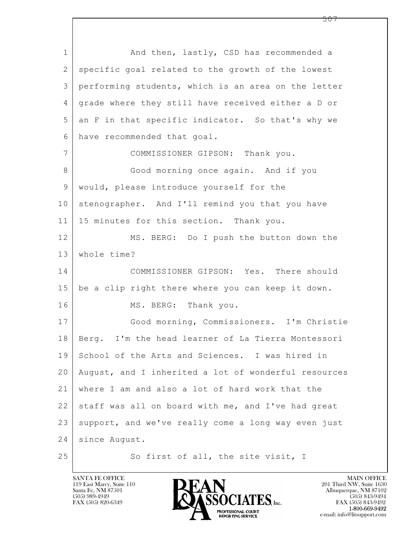$\mathbf{L}$  1 and then, lastly, CSD has recommended a 2 specific goal related to the growth of the lowest 3 performing students, which is an area on the letter 4 grade where they still have received either a D or 5 an F in that specific indicator. So that's why we 6 have recommended that goal. 7 COMMISSIONER GIPSON: Thank you. 8 Good morning once again. And if you 9 would, please introduce yourself for the 10 stenographer. And I'll remind you that you have 11 | 15 minutes for this section. Thank you. 12 MS. BERG: Do I push the button down the 13 whole time? 14 COMMISSIONER GIPSON: Yes. There should 15 be a clip right there where you can keep it down. 16 MS. BERG: Thank you. 17 Good morning, Commissioners. I'm Christie 18 Berg. I'm the head learner of La Tierra Montessori 19 School of the Arts and Sciences. I was hired in 20 August, and I inherited a lot of wonderful resources 21 where I am and also a lot of hard work that the 22 staff was all on board with me, and I've had great 23 support, and we've really come a long way even just 24 since August. 25 So first of all, the site visit, I

119 East Marcy, Suite 110<br>Santa Fe, NM 87501



FAX (505) 843-9492 e-mail: info@litsupport.com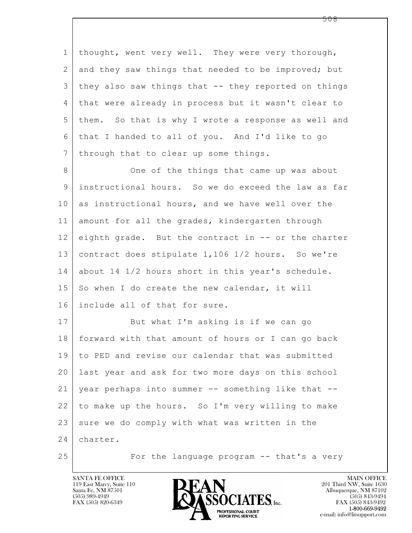$\mathbf{L}$  1 thought, went very well. They were very thorough, 2 and they saw things that needed to be improved; but  $3$  they also saw things that  $-$  they reported on things 4 that were already in process but it wasn't clear to 5 them. So that is why I wrote a response as well and 6 that I handed to all of you. And I'd like to go 7 | through that to clear up some things. 8 One of the things that came up was about 9 instructional hours. So we do exceed the law as far 10 as instructional hours, and we have well over the 11 amount for all the grades, kindergarten through 12 eighth grade. But the contract in -- or the charter 13 contract does stipulate 1,106 1/2 hours. So we're 14 about 14 1/2 hours short in this year's schedule.  $15$  So when I do create the new calendar, it will 16 include all of that for sure. 17 But what I'm asking is if we can go 18 forward with that amount of hours or I can go back 19 to PED and revise our calendar that was submitted 20 last year and ask for two more days on this school 21 year perhaps into summer -- something like that -- 22 to make up the hours. So I'm very willing to make 23 sure we do comply with what was written in the 24 charter. 25 | For the language program -- that's a very

119 East Marcy, Suite 110<br>Santa Fe, NM 87501



FAX (505) 843-9492 e-mail: info@litsupport.com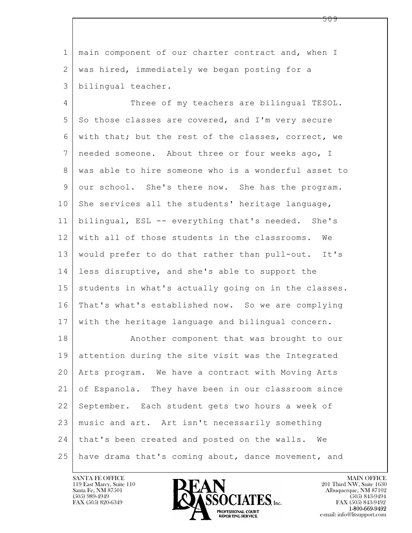1 | main component of our charter contract and, when I 2 | was hired, immediately we began posting for a 3 bilingual teacher.

4 Three of my teachers are bilingual TESOL. 5 So those classes are covered, and I'm very secure 6 with that; but the rest of the classes, correct, we 7 needed someone. About three or four weeks ago, I 8 was able to hire someone who is a wonderful asset to 9 our school. She's there now. She has the program.  $10$  She services all the students' heritage language, 11 bilingual, ESL -- everything that's needed. She's 12 with all of those students in the classrooms. We 13 would prefer to do that rather than pull-out. It's 14 less disruptive, and she's able to support the 15 | students in what's actually going on in the classes. 16 That's what's established now. So we are complying 17 with the heritage language and bilingual concern.

 $\mathbf{L}$  18 | Another component that was brought to our 19 attention during the site visit was the Integrated 20 Arts program. We have a contract with Moving Arts 21 of Espanola. They have been in our classroom since 22 September. Each student gets two hours a week of 23 music and art. Art isn't necessarily something 24 | that's been created and posted on the walls. We 25 have drama that's coming about, dance movement, and

119 East Marcy, Suite 110<br>Santa Fe, NM 87501



FAX (505) 843-9492 e-mail: info@litsupport.com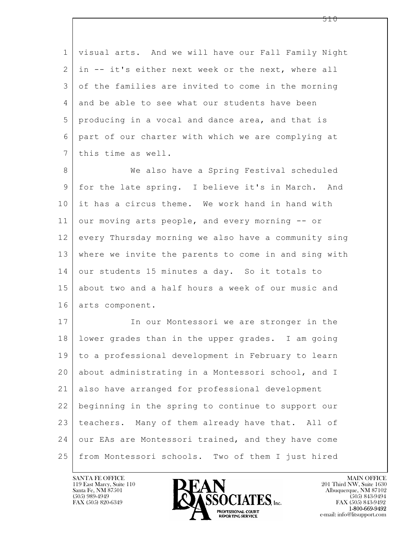| $\mathbf 1$    | visual arts. And we will have our Fall Family Night  |
|----------------|------------------------------------------------------|
| 2              | in -- it's either next week or the next, where all   |
| 3              | of the families are invited to come in the morning   |
| 4              | and be able to see what our students have been       |
| 5              | producing in a vocal and dance area, and that is     |
| 6              | part of our charter with which we are complying at   |
| $7\phantom{.}$ | this time as well.                                   |
| 8              | We also have a Spring Festival scheduled             |
| 9              | for the late spring. I believe it's in March. And    |
| 10             | it has a circus theme. We work hand in hand with     |
| 11             | our moving arts people, and every morning -- or      |
| 12             | every Thursday morning we also have a community sing |
| 13             | where we invite the parents to come in and sing with |
| 14             | our students 15 minutes a day. So it totals to       |
| 15             | about two and a half hours a week of our music and   |
| 16             | arts component.                                      |
| 17             | In our Montessori we are stronger in the             |
| 18             | lower grades than in the upper grades. I am going    |
| 19             | to a professional development in February to learn   |
| 20             | about administrating in a Montessori school, and I   |
| 21             | also have arranged for professional development      |
| 22             | beginning in the spring to continue to support our   |
| 23             | teachers. Many of them already have that. All of     |
| 24             | our EAs are Montessori trained, and they have come   |
| 25             | from Montessori schools. Two of them I just hired    |

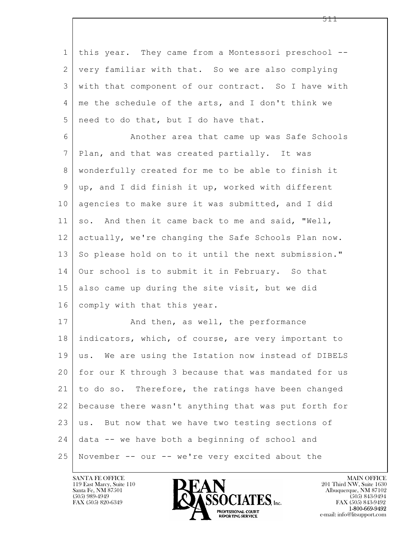| $\mathbf 1$  | this year. They came from a Montessori preschool --  |
|--------------|------------------------------------------------------|
| $\mathbf{2}$ | very familiar with that. So we are also complying    |
| 3            | with that component of our contract. So I have with  |
| 4            | me the schedule of the arts, and I don't think we    |
| 5            | need to do that, but I do have that.                 |
| 6            | Another area that came up was Safe Schools           |
| 7            | Plan, and that was created partially. It was         |
| 8            | wonderfully created for me to be able to finish it   |
| 9            | up, and I did finish it up, worked with different    |
| 10           | agencies to make sure it was submitted, and I did    |
| 11           | so. And then it came back to me and said, "Well,     |
| 12           | actually, we're changing the Safe Schools Plan now.  |
| 13           | So please hold on to it until the next submission."  |
| 14           | Our school is to submit it in February. So that      |
| 15           | also came up during the site visit, but we did       |
| 16           | comply with that this year.                          |
| 17           | And then, as well, the performance                   |
| 18           | indicators, which, of course, are very important to  |
| 19           | us. We are using the Istation now instead of DIBELS  |
| 20           | for our K through 3 because that was mandated for us |
| 21           | to do so. Therefore, the ratings have been changed   |
| 22           | because there wasn't anything that was put forth for |
| 23           | us. But now that we have two testing sections of     |
| 24           | data -- we have both a beginning of school and       |
| 25           | November -- our -- we're very excited about the      |

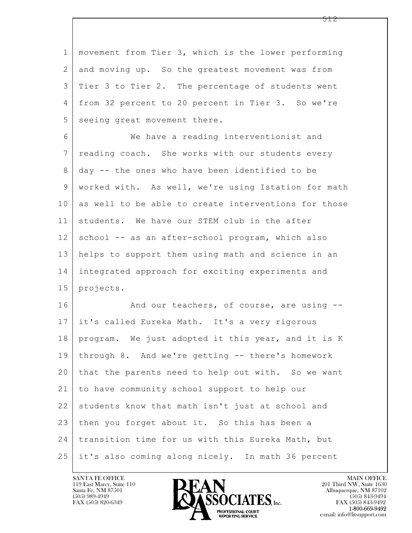| $\mathbf 1$     | movement from Tier 3, which is the lower performing  |
|-----------------|------------------------------------------------------|
| 2               | and moving up. So the greatest movement was from     |
| 3               | Tier 3 to Tier 2. The percentage of students went    |
| 4               | from 32 percent to 20 percent in Tier 3. So we're    |
| 5               | seeing great movement there.                         |
| 6               | We have a reading interventionist and                |
| $7\phantom{.0}$ | reading coach. She works with our students every     |
| 8               | day -- the ones who have been identified to be       |
| 9               | worked with. As well, we're using Istation for math  |
| 10              | as well to be able to create interventions for those |
| 11              | students. We have our STEM club in the after         |
| 12              | school -- as an after-school program, which also     |
| 13              | helps to support them using math and science in an   |
| 14              | integrated approach for exciting experiments and     |
| 15              | projects.                                            |
| 16              | And our teachers, of course, are using --            |
| 17              | it's called Eureka Math. It's a very rigorous        |
| 18              | program. We just adopted it this year, and it is K   |
| 19              | through 8. And we're getting -- there's homework     |
| 20              | that the parents need to help out with. So we want   |
| 21              | to have community school support to help our         |
| 22              | students know that math isn't just at school and     |
| 23              | then you forget about it. So this has been a         |
| 24              | transition time for us with this Eureka Math, but    |
| 25              | it's also coming along nicely. In math 36 percent    |

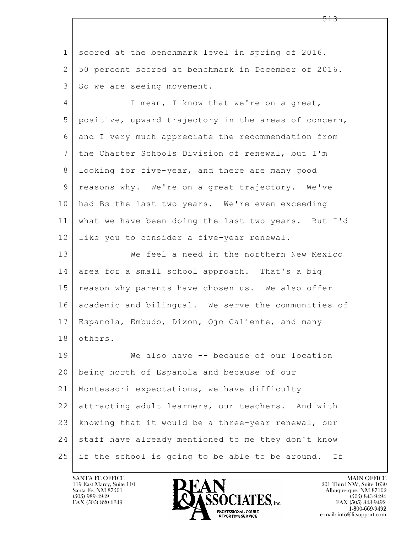$\mathbf{L}$  1 scored at the benchmark level in spring of 2016. 2 50 percent scored at benchmark in December of 2016. 3 So we are seeing movement. 4 I mean, I know that we're on a great, 5 positive, upward trajectory in the areas of concern, 6 and I very much appreciate the recommendation from 7 the Charter Schools Division of renewal, but I'm 8 looking for five-year, and there are many good 9 reasons why. We're on a great trajectory. We've 10 had Bs the last two years. We're even exceeding 11 what we have been doing the last two years. But I'd 12 like you to consider a five-year renewal. 13 We feel a need in the northern New Mexico 14 area for a small school approach. That's a big 15 | reason why parents have chosen us. We also offer 16 academic and bilingual. We serve the communities of 17 Espanola, Embudo, Dixon, Ojo Caliente, and many 18 others. 19 | We also have -- because of our location 20 being north of Espanola and because of our 21 Montessori expectations, we have difficulty 22 attracting adult learners, our teachers. And with 23 knowing that it would be a three-year renewal, our 24 staff have already mentioned to me they don't know 25 if the school is going to be able to be around. If

119 East Marcy, Suite 110<br>Santa Fe, NM 87501

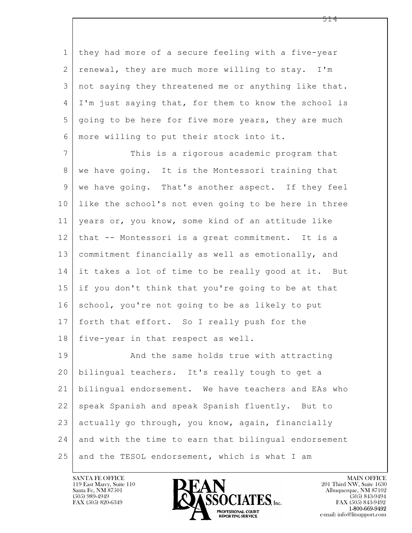1 they had more of a secure feeling with a five-year 2 | renewal, they are much more willing to stay. I'm 3 not saying they threatened me or anything like that. 4 I'm just saying that, for them to know the school is 5 going to be here for five more years, they are much 6 more willing to put their stock into it.

7 This is a rigorous academic program that 8 | we have going. It is the Montessori training that 9 we have going. That's another aspect. If they feel 10 like the school's not even going to be here in three 11 years or, you know, some kind of an attitude like 12 that -- Montessori is a great commitment. It is a 13 commitment financially as well as emotionally, and 14 it takes a lot of time to be really good at it. But 15 if you don't think that you're going to be at that 16 school, you're not going to be as likely to put 17 | forth that effort. So I really push for the 18 | five-year in that respect as well. 19 | And the same holds true with attracting

 $\mathbf{L}$  20 bilingual teachers. It's really tough to get a 21 bilingual endorsement. We have teachers and EAs who 22 speak Spanish and speak Spanish fluently. But to 23 actually go through, you know, again, financially 24 and with the time to earn that bilingual endorsement 25 and the TESOL endorsement, which is what I am



FAX (505) 843-9492 e-mail: info@litsupport.com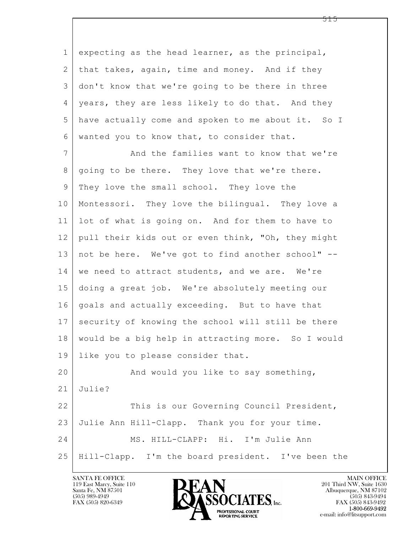$\mathbf{L}$  1 expecting as the head learner, as the principal, 2 | that takes, again, time and money. And if they 3 don't know that we're going to be there in three 4 | years, they are less likely to do that. And they 5 have actually come and spoken to me about it. So I 6 wanted you to know that, to consider that. 7 And the families want to know that we're 8 | going to be there. They love that we're there. 9 They love the small school. They love the 10 Montessori. They love the bilingual. They love a 11 lot of what is going on. And for them to have to 12 | pull their kids out or even think, "Oh, they might 13 not be here. We've got to find another school" -- 14 we need to attract students, and we are. We're 15 doing a great job. We're absolutely meeting our 16 goals and actually exceeding. But to have that 17 security of knowing the school will still be there 18 would be a big help in attracting more. So I would 19 like you to please consider that. 20 And would you like to say something, 21 Julie? 22 This is our Governing Council President, 23 Julie Ann Hill-Clapp. Thank you for your time. 24 MS. HILL-CLAPP: Hi. I'm Julie Ann 25 Hill-Clapp. I'm the board president. I've been the



FAX (505) 843-9492 e-mail: info@litsupport.com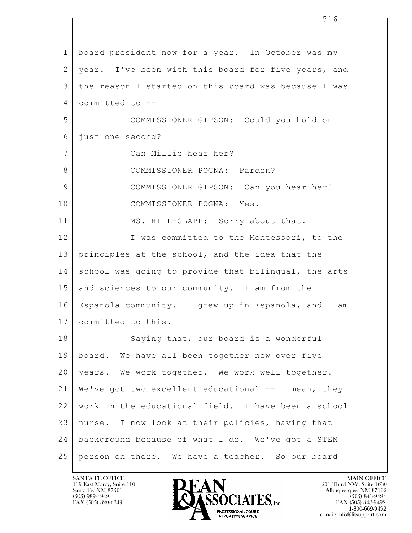$\mathbf{L}$  1 board president now for a year. In October was my 2 | year. I've been with this board for five years, and 3 the reason I started on this board was because I was 4 committed to -- 5 COMMISSIONER GIPSON: Could you hold on 6 just one second? 7 Can Millie hear her? 8 COMMISSIONER POGNA: Pardon? 9 COMMISSIONER GIPSON: Can you hear her? 10 COMMISSIONER POGNA: Yes. 11 MS. HILL-CLAPP: Sorry about that. 12 I was committed to the Montessori, to the 13 principles at the school, and the idea that the 14 school was going to provide that bilingual, the arts 15 and sciences to our community. I am from the 16 Espanola community. I grew up in Espanola, and I am 17 committed to this. 18 Saying that, our board is a wonderful 19 board. We have all been together now over five 20 years. We work together. We work well together. 21 | We've got two excellent educational  $--$  I mean, they 22 work in the educational field. I have been a school 23 nurse. I now look at their policies, having that 24 background because of what I do. We've got a STEM 25 person on there. We have a teacher. So our board

119 East Marcy, Suite 110<br>Santa Fe, NM 87501



FAX (505) 843-9492 e-mail: info@litsupport.com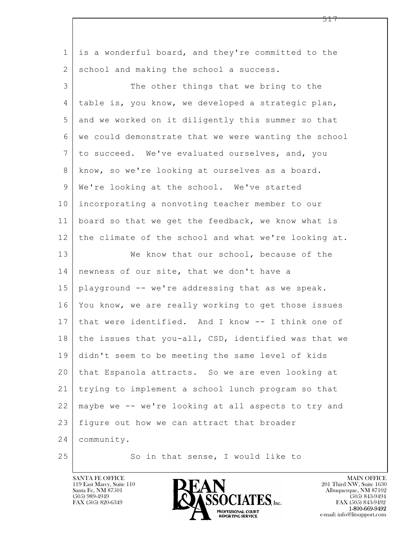$\mathbf{L}$  1 is a wonderful board, and they're committed to the 2 | school and making the school a success. 3 The other things that we bring to the 4 table is, you know, we developed a strategic plan, 5 and we worked on it diligently this summer so that 6 we could demonstrate that we were wanting the school 7 to succeed. We've evaluated ourselves, and, you 8 know, so we're looking at ourselves as a board. 9 | We're looking at the school. We've started 10 incorporating a nonvoting teacher member to our 11 board so that we get the feedback, we know what is 12 the climate of the school and what we're looking at. 13 We know that our school, because of the 14 newness of our site, that we don't have a 15 playground -- we're addressing that as we speak. 16 You know, we are really working to get those issues 17 that were identified. And I know -- I think one of 18 the issues that you-all, CSD, identified was that we 19 didn't seem to be meeting the same level of kids 20 that Espanola attracts. So we are even looking at 21 trying to implement a school lunch program so that 22 maybe we -- we're looking at all aspects to try and 23 | figure out how we can attract that broader 24 community. 25 So in that sense, I would like to

119 East Marcy, Suite 110<br>Santa Fe, NM 87501



FAX (505) 843-9492 e-mail: info@litsupport.com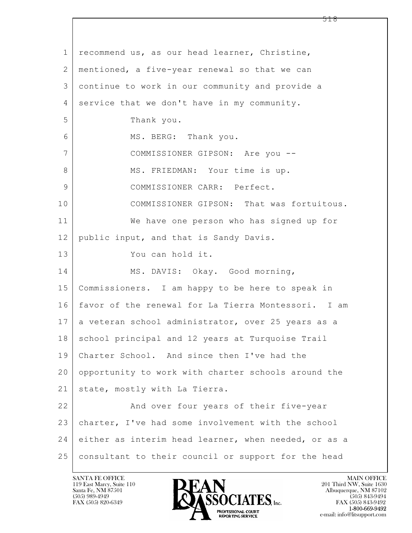| 1             | recommend us, as our head learner, Christine,        |
|---------------|------------------------------------------------------|
| 2             | mentioned, a five-year renewal so that we can        |
| 3             | continue to work in our community and provide a      |
| 4             | service that we don't have in my community.          |
| 5             | Thank you.                                           |
| 6             | MS. BERG: Thank you.                                 |
| 7             | COMMISSIONER GIPSON: Are you --                      |
| 8             | MS. FRIEDMAN: Your time is up.                       |
| $\mathcal{G}$ | COMMISSIONER CARR: Perfect.                          |
| 10            | COMMISSIONER GIPSON: That was fortuitous.            |
| 11            | We have one person who has signed up for             |
| 12            | public input, and that is Sandy Davis.               |
| 13            | You can hold it.                                     |
| 14            | MS. DAVIS: Okay. Good morning,                       |
| 15            | Commissioners. I am happy to be here to speak in     |
| 16            | favor of the renewal for La Tierra Montessori. I am  |
| 17            | a veteran school administrator, over 25 years as a   |
| 18            | school principal and 12 years at Turquoise Trail     |
| 19            | Charter School. And since then I've had the          |
| 20            | opportunity to work with charter schools around the  |
| 21            | state, mostly with La Tierra.                        |
| 22            | And over four years of their five-year               |
| 23            | charter, I've had some involvement with the school   |
| 24            | either as interim head learner, when needed, or as a |
| 25            | consultant to their council or support for the head  |

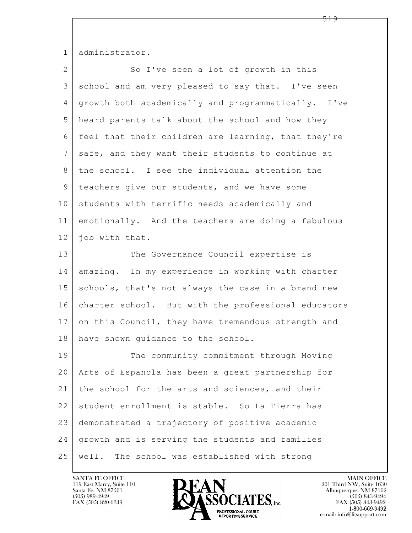1 administrator.

| $\overline{2}$  | So I've seen a lot of growth in this                |
|-----------------|-----------------------------------------------------|
| 3               | school and am very pleased to say that. I've seen   |
| 4               | growth both academically and programmatically. I've |
| 5               | heard parents talk about the school and how they    |
| 6               | feel that their children are learning, that they're |
| $7\phantom{.0}$ | safe, and they want their students to continue at   |
| 8               | the school. I see the individual attention the      |
| $\mathsf 9$     | teachers give our students, and we have some        |
| 10              | students with terrific needs academically and       |
| 11              | emotionally. And the teachers are doing a fabulous  |
| 12              | job with that.                                      |
| 13              | The Governance Council expertise is                 |
| 14              | amazing. In my experience in working with charter   |
| 15              | schools, that's not always the case in a brand new  |
| 16              | charter school. But with the professional educators |
| 17              | on this Council, they have tremendous strength and  |
| 18              | have shown guidance to the school.                  |
| 19              | The community commitment through Moving             |
| 20              | Arts of Espanola has been a great partnership for   |
| 21              | the school for the arts and sciences, and their     |
| 22              | student enrollment is stable. So La Tierra has      |
| 23              | demonstrated a trajectory of positive academic      |
| 24              | growth and is serving the students and families     |
| 25              | well.<br>The school was established with strong     |

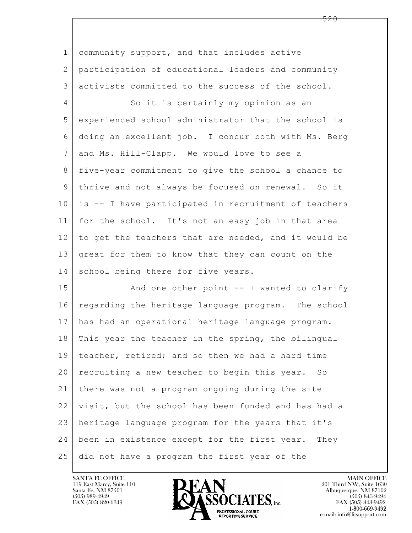$\mathbf{L}$  1 community support, and that includes active 2 participation of educational leaders and community 3 activists committed to the success of the school. 4 So it is certainly my opinion as an 5 experienced school administrator that the school is 6 doing an excellent job. I concur both with Ms. Berg 7 and Ms. Hill-Clapp. We would love to see a 8 five-year commitment to give the school a chance to 9 thrive and not always be focused on renewal. So it 10 is -- I have participated in recruitment of teachers 11 for the school. It's not an easy job in that area 12 to get the teachers that are needed, and it would be 13 great for them to know that they can count on the 14 school being there for five years. 15 | And one other point -- I wanted to clarify 16 regarding the heritage language program. The school 17 has had an operational heritage language program. 18 This year the teacher in the spring, the bilingual 19 teacher, retired; and so then we had a hard time 20 recruiting a new teacher to begin this year. So 21 there was not a program ongoing during the site 22 visit, but the school has been funded and has had a 23 heritage language program for the years that it's 24 been in existence except for the first year. They 25 did not have a program the first year of the



FAX (505) 843-9492 e-mail: info@litsupport.com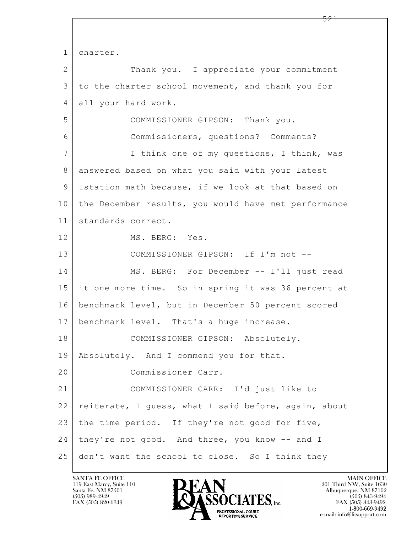$\mathbf{L}$  1 charter. 2 Thank you. I appreciate your commitment 3 to the charter school movement, and thank you for 4 all your hard work. 5 COMMISSIONER GIPSON: Thank you. 6 Commissioners, questions? Comments? 7 | Think one of my questions, I think, was 8 answered based on what you said with your latest 9 Istation math because, if we look at that based on 10 the December results, you would have met performance 11 standards correct. 12 MS. BERG: Yes. 13 COMMISSIONER GIPSON: If I'm not -- 14 MS. BERG: For December -- I'll just read 15 it one more time. So in spring it was 36 percent at 16 benchmark level, but in December 50 percent scored 17 | benchmark level. That's a huge increase. 18 | COMMISSIONER GIPSON: Absolutely. 19 Absolutely. And I commend you for that. 20 Commissioner Carr. 21 COMMISSIONER CARR: I'd just like to 22 | reiterate, I guess, what I said before, again, about 23 the time period. If they're not good for five, 24 | they're not good. And three, you know -- and I 25 don't want the school to close. So I think they

119 East Marcy, Suite 110<br>Santa Fe, NM 87501



FAX (505) 843-9492 e-mail: info@litsupport.com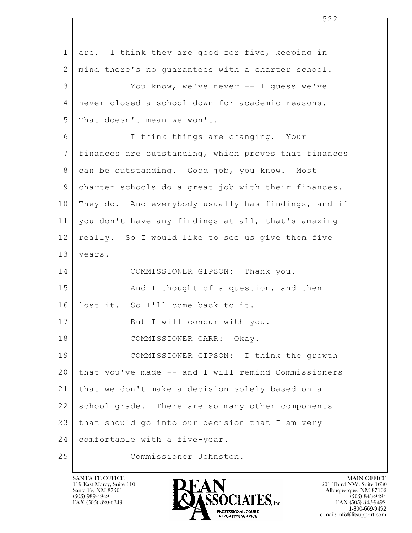$\mathbf{L}$  1 are. I think they are good for five, keeping in 2 mind there's no guarantees with a charter school. 3 You know, we've never -- I guess we've 4 never closed a school down for academic reasons. 5 That doesn't mean we won't. 6 I think things are changing. Your 7 finances are outstanding, which proves that finances 8 can be outstanding. Good job, you know. Most 9 charter schools do a great job with their finances. 10 They do. And everybody usually has findings, and if 11 you don't have any findings at all, that's amazing 12 really. So I would like to see us give them five 13 years. 14 COMMISSIONER GIPSON: Thank you. 15 And I thought of a question, and then I 16 lost it. So I'll come back to it. 17 | But I will concur with you. 18 COMMISSIONER CARR: Okay. 19 COMMISSIONER GIPSON: I think the growth 20 that you've made -- and I will remind Commissioners 21 that we don't make a decision solely based on a 22 school grade. There are so many other components 23 that should go into our decision that I am very 24 comfortable with a five-year. 25 Commissioner Johnston.

119 East Marcy, Suite 110<br>Santa Fe, NM 87501



FAX (505) 843-9492 e-mail: info@litsupport.com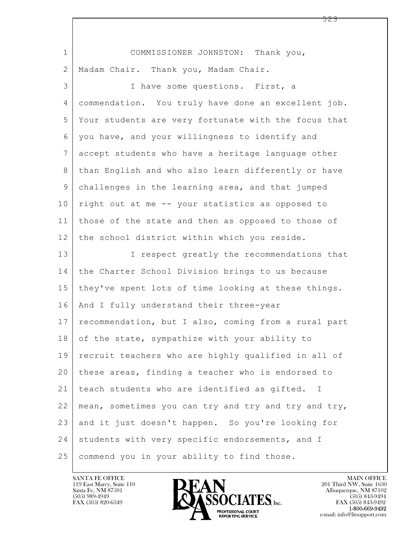| $\mathbf 1$ | COMMISSIONER JOHNSTON: Thank you,                    |
|-------------|------------------------------------------------------|
| 2           | Madam Chair. Thank you, Madam Chair.                 |
| 3           | I have some questions. First, a                      |
| 4           | commendation. You truly have done an excellent job.  |
| 5           | Your students are very fortunate with the focus that |
| 6           | you have, and your willingness to identify and       |
| 7           | accept students who have a heritage language other   |
| 8           | than English and who also learn differently or have  |
| 9           | challenges in the learning area, and that jumped     |
| 10          | right out at me -- your statistics as opposed to     |
| 11          | those of the state and then as opposed to those of   |
| 12          | the school district within which you reside.         |
| 13          | I respect greatly the recommendations that           |
| 14          | the Charter School Division brings to us because     |
| 15          | they've spent lots of time looking at these things.  |
| 16          | And I fully understand their three-year              |
| 17          | recommendation, but I also, coming from a rural part |
| 18          | of the state, sympathize with your ability to        |
| 19          | recruit teachers who are highly qualified in all of  |
| 20          | these areas, finding a teacher who is endorsed to    |
| 21          | teach students who are identified as gifted. I       |
| 22          | mean, sometimes you can try and try and try and try, |
| 23          | and it just doesn't happen. So you're looking for    |
|             |                                                      |
| 24          | students with very specific endorsements, and I      |

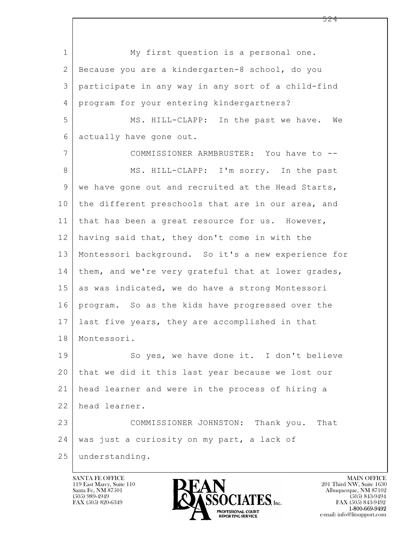$\mathbf{L}$  1 My first question is a personal one. 2 Because you are a kindergarten-8 school, do you 3 participate in any way in any sort of a child-find 4 program for your entering kindergartners? 5 MS. HILL-CLAPP: In the past we have. We 6 actually have gone out. 7 COMMISSIONER ARMBRUSTER: You have to -- 8 MS. HILL-CLAPP: I'm sorry. In the past 9 | we have gone out and recruited at the Head Starts, 10 the different preschools that are in our area, and 11 | that has been a great resource for us. However, 12 having said that, they don't come in with the 13 Montessori background. So it's a new experience for 14 | them, and we're very grateful that at lower grades, 15 as was indicated, we do have a strong Montessori 16 program. So as the kids have progressed over the 17 last five years, they are accomplished in that 18 Montessori. 19 So yes, we have done it. I don't believe 20 that we did it this last year because we lost our 21 head learner and were in the process of hiring a 22 head learner. 23 COMMISSIONER JOHNSTON: Thank you. That 24 | was just a curiosity on my part, a lack of 25 understanding.

119 East Marcy, Suite 110<br>Santa Fe, NM 87501

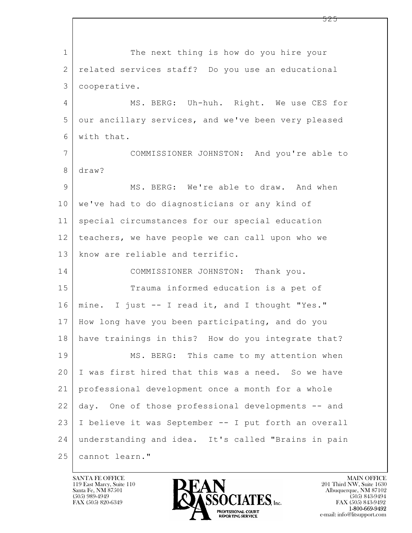$\mathbf{L}$  1 The next thing is how do you hire your 2 related services staff? Do you use an educational 3 cooperative. 4 MS. BERG: Uh-huh. Right. We use CES for 5 our ancillary services, and we've been very pleased 6 with that. 7 COMMISSIONER JOHNSTON: And you're able to 8 draw? 9 MS. BERG: We're able to draw. And when 10 we've had to do diagnosticians or any kind of 11 special circumstances for our special education 12 teachers, we have people we can call upon who we 13 know are reliable and terrific. 14 COMMISSIONER JOHNSTON: Thank you. 15 Trauma informed education is a pet of 16 mine. I just -- I read it, and I thought "Yes." 17 How long have you been participating, and do you 18 have trainings in this? How do you integrate that? 19 MS. BERG: This came to my attention when 20 I was first hired that this was a need. So we have 21 professional development once a month for a whole 22 day. One of those professional developments -- and 23 I believe it was September -- I put forth an overall 24 understanding and idea. It's called "Brains in pain 25 cannot learn."

119 East Marcy, Suite 110<br>Santa Fe, NM 87501

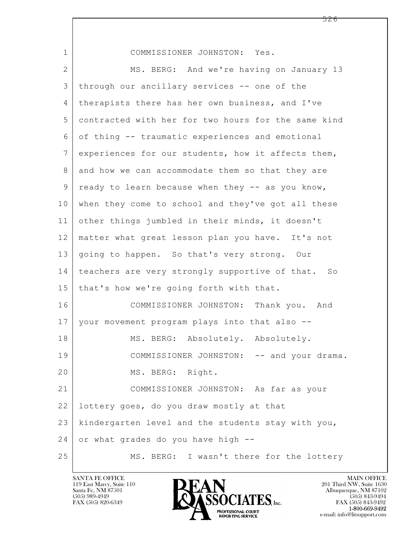| $\mathbf 1$    | COMMISSIONER JOHNSTON: Yes.                         |
|----------------|-----------------------------------------------------|
| $\overline{2}$ | MS. BERG: And we're having on January 13            |
| 3              | through our ancillary services -- one of the        |
| 4              | therapists there has her own business, and I've     |
| 5              | contracted with her for two hours for the same kind |
| 6              | of thing -- traumatic experiences and emotional     |
| 7              | experiences for our students, how it affects them,  |
| 8              | and how we can accommodate them so that they are    |
| 9              | ready to learn because when they -- as you know,    |
| 10             | when they come to school and they've got all these  |
| 11             | other things jumbled in their minds, it doesn't     |
| 12             | matter what great lesson plan you have. It's not    |
| 13             | going to happen. So that's very strong. Our         |
| 14             | teachers are very strongly supportive of that. So   |
| 15             | that's how we're going forth with that.             |
| 16             | COMMISSIONER JOHNSTON: Thank you.<br>And            |
| 17             | your movement program plays into that also --       |
| 18             | MS. BERG: Absolutely. Absolutely.                   |
| 19             | COMMISSIONER JOHNSTON: -- and your drama.           |
| 20             | MS. BERG: Right.                                    |
| 21             | COMMISSIONER JOHNSTON: As far as your               |
| 22             | lottery goes, do you draw mostly at that            |
| 23             | kindergarten level and the students stay with you,  |
| 24             | or what grades do you have high --                  |
| 25             | MS. BERG: I wasn't there for the lottery            |

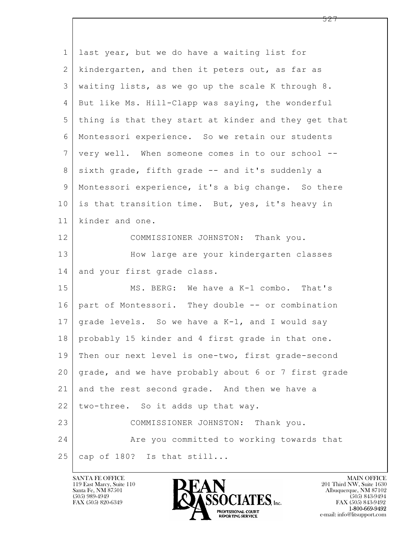| $\mathbf 1$    | last year, but we do have a waiting list for         |
|----------------|------------------------------------------------------|
| $\overline{2}$ | kindergarten, and then it peters out, as far as      |
| 3              | waiting lists, as we go up the scale K through 8.    |
| 4              | But like Ms. Hill-Clapp was saying, the wonderful    |
| 5              | thing is that they start at kinder and they get that |
| 6              | Montessori experience. So we retain our students     |
| $7\phantom{.}$ | very well. When someone comes in to our school --    |
| 8              | sixth grade, fifth grade -- and it's suddenly a      |
| $\mathcal{G}$  | Montessori experience, it's a big change. So there   |
| 10             | is that transition time. But, yes, it's heavy in     |
| 11             | kinder and one.                                      |
| 12             | COMMISSIONER JOHNSTON: Thank you.                    |
| 13             | How large are your kindergarten classes              |
| 14             | and your first grade class.                          |
| 15             | MS. BERG: We have a K-1 combo. That's                |
| 16             | part of Montessori. They double -- or combination    |
| 17             | grade levels. So we have a K-1, and I would say      |
| 18             | probably 15 kinder and 4 first grade in that one.    |
| 19             | Then our next level is one-two, first grade-second   |
| 20             | grade, and we have probably about 6 or 7 first grade |
| 21             | and the rest second grade. And then we have a        |
| 22             | two-three. So it adds up that way.                   |
| 23             | COMMISSIONER JOHNSTON: Thank you.                    |
| 24             | Are you committed to working towards that            |
| 25             | cap of 180? Is that still                            |

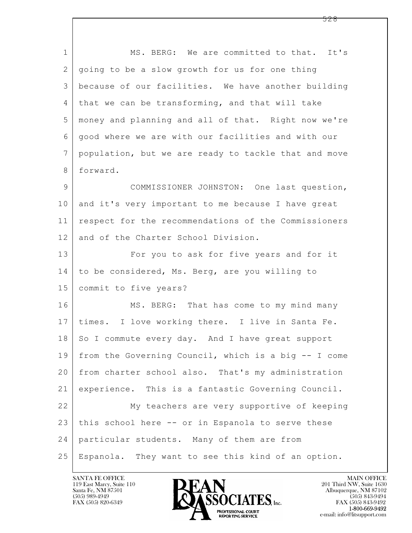$\mathbf{L}$  1 MS. BERG: We are committed to that. It's 2 going to be a slow growth for us for one thing 3 because of our facilities. We have another building 4 that we can be transforming, and that will take 5 money and planning and all of that. Right now we're 6 good where we are with our facilities and with our 7 population, but we are ready to tackle that and move 8 forward. 9 COMMISSIONER JOHNSTON: One last question, 10 and it's very important to me because I have great 11 respect for the recommendations of the Commissioners 12 and of the Charter School Division. 13 For you to ask for five years and for it 14 to be considered, Ms. Berg, are you willing to 15 commit to five years? 16 MS. BERG: That has come to my mind many 17 times. I love working there. I live in Santa Fe. 18 | So I commute every day. And I have great support 19 from the Governing Council, which is a big -- I come 20 from charter school also. That's my administration 21 experience. This is a fantastic Governing Council. 22 My teachers are very supportive of keeping 23 this school here -- or in Espanola to serve these 24 particular students. Many of them are from 25 Espanola. They want to see this kind of an option.

119 East Marcy, Suite 110<br>Santa Fe, NM 87501

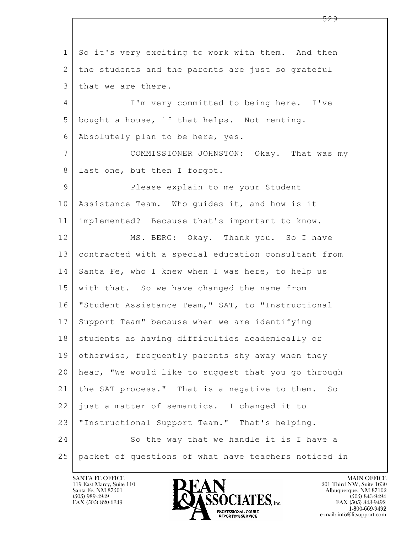$\mathbf{L}$  1 So it's very exciting to work with them. And then 2 the students and the parents are just so grateful 3 | that we are there. 4 I'm very committed to being here. I've 5 bought a house, if that helps. Not renting. 6 Absolutely plan to be here, yes. 7 COMMISSIONER JOHNSTON: Okay. That was my 8 | last one, but then I forgot. 9 Please explain to me your Student 10 Assistance Team. Who guides it, and how is it 11 implemented? Because that's important to know. 12 MS. BERG: Okay. Thank you. So I have 13 contracted with a special education consultant from 14 Santa Fe, who I knew when I was here, to help us 15 with that. So we have changed the name from 16 "Student Assistance Team," SAT, to "Instructional 17 Support Team" because when we are identifying 18 | students as having difficulties academically or 19 otherwise, frequently parents shy away when they 20 hear, "We would like to suggest that you go through 21 the SAT process." That is a negative to them. So 22 just a matter of semantics. I changed it to 23 | "Instructional Support Team." That's helping. 24 So the way that we handle it is I have a 25 packet of questions of what have teachers noticed in

119 East Marcy, Suite 110<br>Santa Fe, NM 87501



FAX (505) 843-9492 e-mail: info@litsupport.com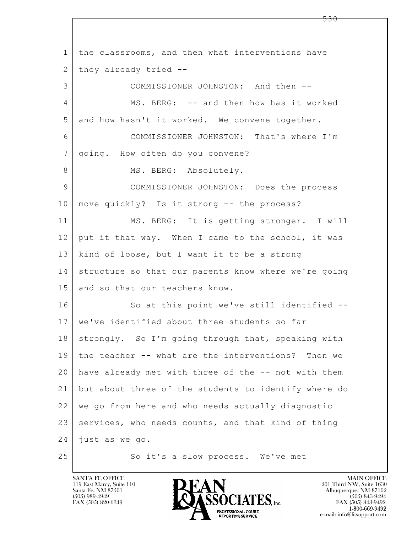$\mathbf{L}$  1 the classrooms, and then what interventions have  $2$  they already tried  $-$ 3 COMMISSIONER JOHNSTON: And then -- 4 MS. BERG: -- and then how has it worked 5 and how hasn't it worked. We convene together. 6 COMMISSIONER JOHNSTON: That's where I'm 7 | going. How often do you convene? 8 | MS. BERG: Absolutely. 9 COMMISSIONER JOHNSTON: Does the process 10 move quickly? Is it strong -- the process? 11 | MS. BERG: It is getting stronger. I will 12 put it that way. When I came to the school, it was 13 kind of loose, but I want it to be a strong 14 structure so that our parents know where we're going 15 and so that our teachers know. 16 So at this point we've still identified --17 | we've identified about three students so far 18 strongly. So I'm going through that, speaking with 19 the teacher -- what are the interventions? Then we 20 have already met with three of the -- not with them 21 but about three of the students to identify where do 22 we go from here and who needs actually diagnostic 23 services, who needs counts, and that kind of thing 24 just as we go. 25 So it's a slow process. We've met

119 East Marcy, Suite 110<br>Santa Fe, NM 87501



FAX (505) 843-9492 e-mail: info@litsupport.com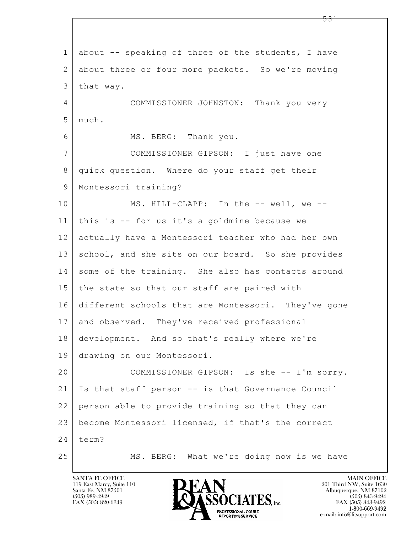$\mathbf{L}$  1 about -- speaking of three of the students, I have 2 about three or four more packets. So we're moving 3 that way. 4 COMMISSIONER JOHNSTON: Thank you very 5 much. 6 MS. BERG: Thank you. 7 COMMISSIONER GIPSON: I just have one 8 quick question. Where do your staff get their 9 Montessori training? 10 MS. HILL-CLAPP: In the -- well, we --11 this is -- for us it's a goldmine because we 12 actually have a Montessori teacher who had her own 13 school, and she sits on our board. So she provides 14 some of the training. She also has contacts around 15 | the state so that our staff are paired with 16 different schools that are Montessori. They've gone 17 and observed. They've received professional 18 development. And so that's really where we're 19 drawing on our Montessori. 20 COMMISSIONER GIPSON: Is she -- I'm sorry. 21 Is that staff person -- is that Governance Council 22 person able to provide training so that they can 23 become Montessori licensed, if that's the correct  $24$  term? 25 MS. BERG: What we're doing now is we have

119 East Marcy, Suite 110<br>Santa Fe, NM 87501



FAX (505) 843-9492 e-mail: info@litsupport.com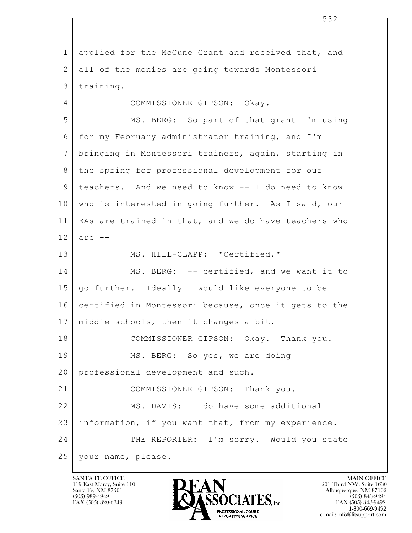$\mathbf{L}$  1 applied for the McCune Grant and received that, and 2 all of the monies are going towards Montessori 3 training. 4 COMMISSIONER GIPSON: Okay. 5 MS. BERG: So part of that grant I'm using 6 for my February administrator training, and I'm 7 bringing in Montessori trainers, again, starting in 8 the spring for professional development for our 9 teachers. And we need to know -- I do need to know 10 who is interested in going further. As I said, our 11 EAs are trained in that, and we do have teachers who  $12$  are  $-$ 13 MS. HILL-CLAPP: "Certified." 14 MS. BERG: -- certified, and we want it to 15 go further. Ideally I would like everyone to be 16 certified in Montessori because, once it gets to the 17 | middle schools, then it changes a bit. 18 COMMISSIONER GIPSON: Okay. Thank you. 19 | MS. BERG: So yes, we are doing 20 professional development and such. 21 COMMISSIONER GIPSON: Thank you. 22 MS. DAVIS: I do have some additional 23 information, if you want that, from my experience. 24 THE REPORTER: I'm sorry. Would you state 25 your name, please.

119 East Marcy, Suite 110<br>Santa Fe, NM 87501

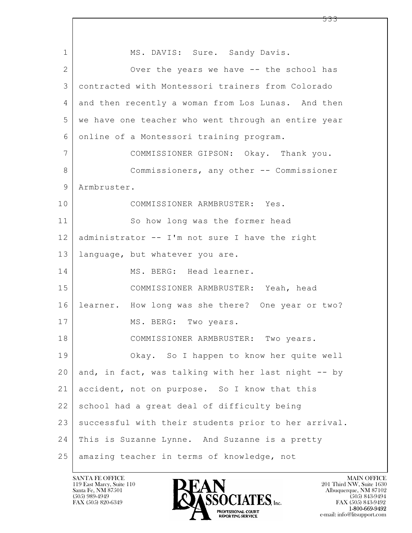$\mathbf{L}$  1 | MS. DAVIS: Sure. Sandy Davis. 2 Over the years we have -- the school has 3 contracted with Montessori trainers from Colorado 4 and then recently a woman from Los Lunas. And then 5 | we have one teacher who went through an entire year 6 online of a Montessori training program. 7 COMMISSIONER GIPSON: Okay. Thank you. 8 Commissioners, any other -- Commissioner 9 Armbruster. 10 COMMISSIONER ARMBRUSTER: Yes. 11 So how long was the former head 12 administrator -- I'm not sure I have the right 13 language, but whatever you are. 14 MS. BERG: Head learner. 15 COMMISSIONER ARMBRUSTER: Yeah, head 16 learner. How long was she there? One year or two? 17 MS. BERG: Two years. 18 | COMMISSIONER ARMBRUSTER: Two years. 19 Okay. So I happen to know her quite well 20 and, in fact, was talking with her last night  $-$ - by 21 accident, not on purpose. So I know that this 22 school had a great deal of difficulty being 23 | successful with their students prior to her arrival. 24 This is Suzanne Lynne. And Suzanne is a pretty 25 amazing teacher in terms of knowledge, not

119 East Marcy, Suite 110<br>Santa Fe, NM 87501



FAX (505) 843-9492 e-mail: info@litsupport.com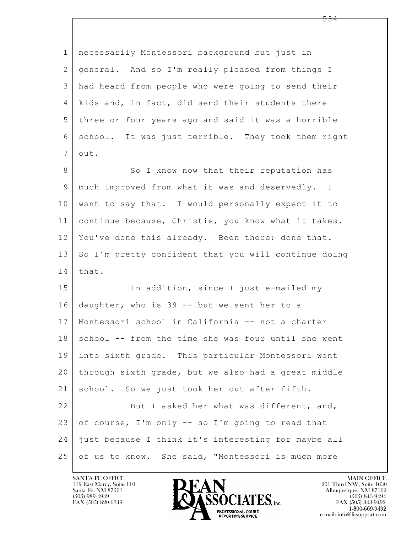| $\mathbf 1$ | necessarily Montessori background but just in        |
|-------------|------------------------------------------------------|
| 2           | general. And so I'm really pleased from things I     |
| 3           | had heard from people who were going to send their   |
| 4           | kids and, in fact, did send their students there     |
| 5           | three or four years ago and said it was a horrible   |
| 6           | school. It was just terrible. They took them right   |
| 7           | out.                                                 |
| 8           | So I know now that their reputation has              |
| 9           | much improved from what it was and deservedly. I     |
| 10          | want to say that. I would personally expect it to    |
| 11          | continue because, Christie, you know what it takes.  |
| 12          | You've done this already. Been there; done that.     |
| 13          | So I'm pretty confident that you will continue doing |
| 14          | that.                                                |
| 15          | In addition, since I just e-mailed my                |
| 16          | daughter, who is 39 -- but we sent her to a          |
| 17          | Montessori school in California -- not a charter     |
| 18          | school -- from the time she was four until she went  |
| 19          | into sixth grade. This particular Montessori went    |
| 20          | through sixth grade, but we also had a great middle  |
| 21          | school. So we just took her out after fifth.         |
| 22          | But I asked her what was different, and,             |
| 23          | of course, I'm only -- so I'm going to read that     |
| 24          | just because I think it's interesting for maybe all  |
| 25          | of us to know. She said, "Montessori is much more    |

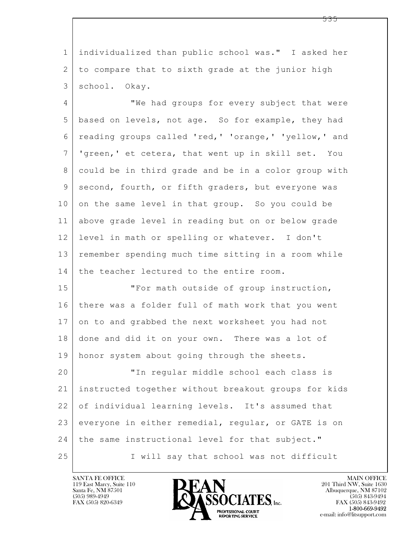1 individualized than public school was." I asked her 2 to compare that to sixth grade at the junior high 3 school. Okay.

4 **We had groups for every subject that were** 5 based on levels, not age. So for example, they had 6 reading groups called 'red,' 'orange,' 'yellow,' and 7 'green,' et cetera, that went up in skill set. You 8 could be in third grade and be in a color group with 9 | second, fourth, or fifth graders, but everyone was 10 on the same level in that group. So you could be 11 above grade level in reading but on or below grade 12 level in math or spelling or whatever. I don't 13 remember spending much time sitting in a room while 14 the teacher lectured to the entire room.

15 | The Text math outside of group instruction, 16 there was a folder full of math work that you went 17 on to and grabbed the next worksheet you had not 18 done and did it on your own. There was a lot of 19 | honor system about going through the sheets.

 $\mathbf{L}$  20 "In regular middle school each class is 21 instructed together without breakout groups for kids 22 of individual learning levels. It's assumed that 23 everyone in either remedial, regular, or GATE is on 24 | the same instructional level for that subject." 25 I will say that school was not difficult



FAX (505) 843-9492 e-mail: info@litsupport.com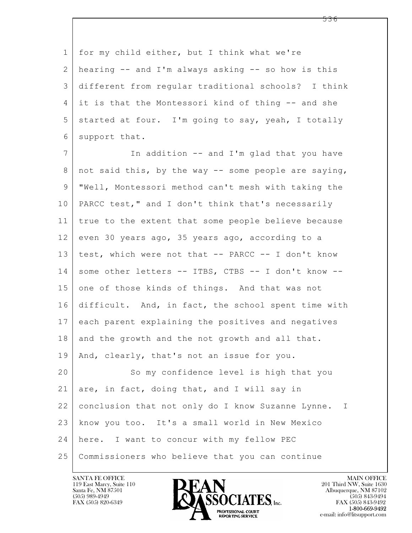1 for my child either, but I think what we're 2 hearing -- and I'm always asking -- so how is this 3 different from regular traditional schools? I think 4 it is that the Montessori kind of thing -- and she  $5$  started at four. I'm going to say, yeah, I totally 6 support that.

 $\mathbf{L}$  7 | The addition -- and I'm glad that you have 8 | not said this, by the way -- some people are saying, 9 "Well, Montessori method can't mesh with taking the 10 PARCC test," and I don't think that's necessarily 11 true to the extent that some people believe because  $12$  even 30 years ago, 35 years ago, according to a 13 | test, which were not that -- PARCC -- I don't know 14 some other letters -- ITBS, CTBS -- I don't know --15 one of those kinds of things. And that was not 16 difficult. And, in fact, the school spent time with 17 each parent explaining the positives and negatives 18 and the growth and the not growth and all that. 19 | And, clearly, that's not an issue for you. 20 So my confidence level is high that you 21 are, in fact, doing that, and I will say in 22 conclusion that not only do I know Suzanne Lynne. I 23 know you too. It's a small world in New Mexico 24 here. I want to concur with my fellow PEC 25 Commissioners who believe that you can continue



FAX (505) 843-9492 e-mail: info@litsupport.com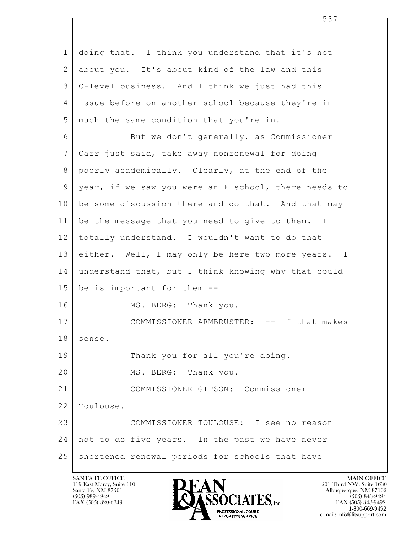$\mathbf{L}$  1 doing that. I think you understand that it's not 2 about you. It's about kind of the law and this 3 C-level business. And I think we just had this 4 issue before on another school because they're in 5 much the same condition that you're in. 6 But we don't generally, as Commissioner 7 Carr just said, take away nonrenewal for doing 8 poorly academically. Clearly, at the end of the 9 year, if we saw you were an F school, there needs to  $10$  be some discussion there and do that. And that may 11 | be the message that you need to give to them. I 12 totally understand. I wouldn't want to do that 13 either. Well, I may only be here two more years. I 14 understand that, but I think knowing why that could 15 be is important for them -- 16 MS. BERG: Thank you. 17 | COMMISSIONER ARMBRUSTER: -- if that makes 18 | sense. 19 Thank you for all you're doing. 20 MS. BERG: Thank you. 21 COMMISSIONER GIPSON: Commissioner 22 Toulouse. 23 COMMISSIONER TOULOUSE: I see no reason 24 not to do five years. In the past we have never 25 shortened renewal periods for schools that have

119 East Marcy, Suite 110<br>Santa Fe, NM 87501



FAX (505) 843-9492 e-mail: info@litsupport.com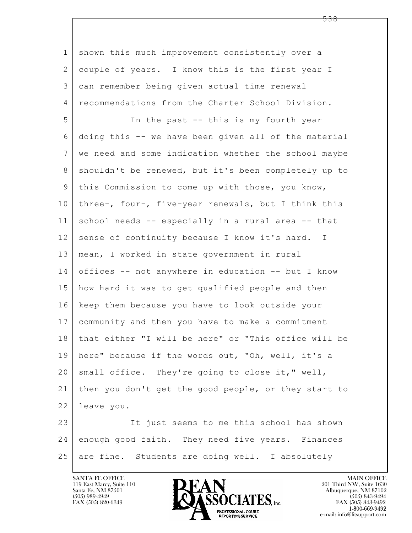$\mathbf{L}$  1 shown this much improvement consistently over a 2 couple of years. I know this is the first year I 3 can remember being given actual time renewal 4 recommendations from the Charter School Division. 5 In the past -- this is my fourth year 6 doing this -- we have been given all of the material 7 we need and some indication whether the school maybe 8 | shouldn't be renewed, but it's been completely up to 9 this Commission to come up with those, you know, 10 three-, four-, five-year renewals, but I think this 11 school needs -- especially in a rural area -- that 12 sense of continuity because I know it's hard. I 13 mean, I worked in state government in rural 14 offices -- not anywhere in education -- but I know 15 how hard it was to get qualified people and then 16 keep them because you have to look outside your 17 community and then you have to make a commitment 18 that either "I will be here" or "This office will be 19 here" because if the words out, "Oh, well, it's a 20 | small office. They're going to close it," well, 21 then you don't get the good people, or they start to 22 leave you. 23 It just seems to me this school has shown 24 enough good faith. They need five years. Finances 25 are fine. Students are doing well. I absolutely



FAX (505) 843-9492 e-mail: info@litsupport.com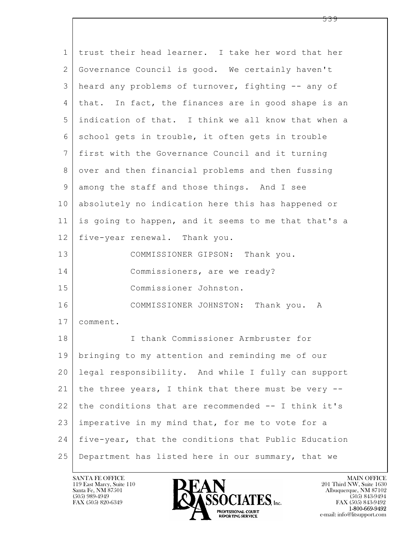| $\mathbf 1$ | trust their head learner. I take her word that her   |
|-------------|------------------------------------------------------|
| 2           | Governance Council is good. We certainly haven't     |
| 3           | heard any problems of turnover, fighting -- any of   |
| 4           | that. In fact, the finances are in good shape is an  |
| 5           | indication of that. I think we all know that when a  |
| 6           | school gets in trouble, it often gets in trouble     |
| 7           | first with the Governance Council and it turning     |
| 8           | over and then financial problems and then fussing    |
| 9           | among the staff and those things. And I see          |
| 10          | absolutely no indication here this has happened or   |
| 11          | is going to happen, and it seems to me that that's a |
| 12          | five-year renewal. Thank you.                        |
| 13          | COMMISSIONER GIPSON: Thank you.                      |
| 14          | Commissioners, are we ready?                         |
| 15          | Commissioner Johnston.                               |
| 16          | COMMISSIONER JOHNSTON: Thank you. A                  |
| 17          | comment.                                             |
| 18          | I thank Commissioner Armbruster for                  |
| 19          | bringing to my attention and reminding me of our     |
| 20          | legal responsibility. And while I fully can support  |
| 21          | the three years, I think that there must be very --  |
| 22          | the conditions that are recommended -- I think it's  |
| 23          | imperative in my mind that, for me to vote for a     |
| 24          | five-year, that the conditions that Public Education |
| 25          | Department has listed here in our summary, that we   |

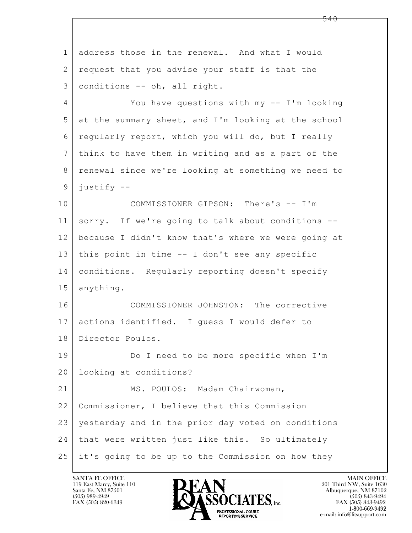$\mathbf{L}$  1 address those in the renewal. And what I would 2 request that you advise your staff is that the 3 conditions -- oh, all right. 4 You have questions with my -- I'm looking 5 at the summary sheet, and I'm looking at the school 6 regularly report, which you will do, but I really 7 think to have them in writing and as a part of the 8 | renewal since we're looking at something we need to 9 justify -- 10 COMMISSIONER GIPSON: There's -- I'm 11 sorry. If we're going to talk about conditions -- 12 because I didn't know that's where we were going at 13 this point in time -- I don't see any specific 14 conditions. Regularly reporting doesn't specify 15 anything. 16 COMMISSIONER JOHNSTON: The corrective 17 actions identified. I guess I would defer to 18 Director Poulos. 19 Do I need to be more specific when I'm 20 looking at conditions? 21 MS. POULOS: Madam Chairwoman, 22 Commissioner, I believe that this Commission 23 yesterday and in the prior day voted on conditions 24 that were written just like this. So ultimately 25 it's going to be up to the Commission on how they

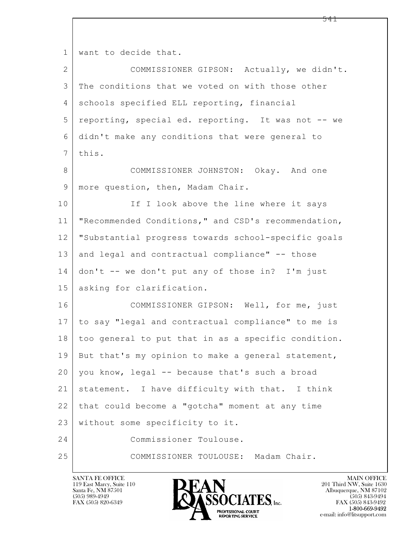$\mathbf{L}$  1 want to decide that. 2 COMMISSIONER GIPSON: Actually, we didn't. 3 The conditions that we voted on with those other 4 schools specified ELL reporting, financial 5 reporting, special ed. reporting. It was not -- we 6 didn't make any conditions that were general to  $7$  this. 8 COMMISSIONER JOHNSTON: Okay. And one 9 | more question, then, Madam Chair. 10 If I look above the line where it says 11 "Recommended Conditions," and CSD's recommendation, 12 "Substantial progress towards school-specific goals 13 and legal and contractual compliance" -- those  $14$  don't -- we don't put any of those in? I'm just 15 asking for clarification. 16 COMMISSIONER GIPSON: Well, for me, just 17 to say "legal and contractual compliance" to me is 18 too general to put that in as a specific condition. 19 But that's my opinion to make a general statement, 20 you know, legal -- because that's such a broad 21 statement. I have difficulty with that. I think 22 that could become a "gotcha" moment at any time 23 without some specificity to it. 24 Commissioner Toulouse. 25 COMMISSIONER TOULOUSE: Madam Chair.

119 East Marcy, Suite 110<br>Santa Fe, NM 87501

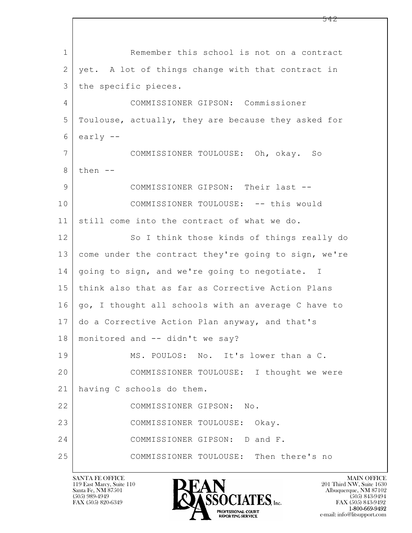$\mathbf{L}$  1 Remember this school is not on a contract 2 | yet. A lot of things change with that contract in 3 | the specific pieces. 4 COMMISSIONER GIPSON: Commissioner 5 Toulouse, actually, they are because they asked for  $6$  early  $-$ 7 COMMISSIONER TOULOUSE: Oh, okay. So  $8$  then  $-$ 9 COMMISSIONER GIPSON: Their last -- 10 | COMMISSIONER TOULOUSE: -- this would 11 still come into the contract of what we do. 12 So I think those kinds of things really do 13 come under the contract they're going to sign, we're 14 | going to sign, and we're going to negotiate. I 15 think also that as far as Corrective Action Plans 16 | go, I thought all schools with an average C have to 17 do a Corrective Action Plan anyway, and that's 18 monitored and -- didn't we say? 19 MS. POULOS: No. It's lower than a C. 20 COMMISSIONER TOULOUSE: I thought we were 21 having C schools do them. 22 COMMISSIONER GIPSON: No. 23 COMMISSIONER TOULOUSE: Okay. 24 COMMISSIONER GIPSON: D and F. 25 COMMISSIONER TOULOUSE: Then there's no

119 East Marcy, Suite 110<br>Santa Fe, NM 87501



FAX (505) 843-9492 e-mail: info@litsupport.com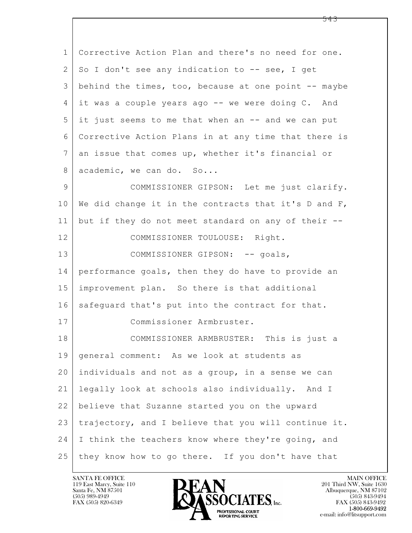$\mathbf{L}$  1 Corrective Action Plan and there's no need for one.  $2 \mid$  So I don't see any indication to  $-$ - see, I get 3 behind the times, too, because at one point -- maybe  $4$  it was a couple years ago  $-$  we were doing C. And 5 it just seems to me that when an -- and we can put 6 Corrective Action Plans in at any time that there is 7 an issue that comes up, whether it's financial or 8 academic, we can do. So... 9 COMMISSIONER GIPSON: Let me just clarify. 10 We did change it in the contracts that it's D and F, 11 but if they do not meet standard on any of their -- 12 COMMISSIONER TOULOUSE: Right. 13 COMMISSIONER GIPSON: -- goals, 14 performance goals, then they do have to provide an 15 improvement plan. So there is that additional 16 safequard that's put into the contract for that. 17 Commissioner Armbruster. 18 COMMISSIONER ARMBRUSTER: This is just a 19 | general comment: As we look at students as 20 individuals and not as a group, in a sense we can 21 legally look at schools also individually. And I 22 believe that Suzanne started you on the upward 23 trajectory, and I believe that you will continue it. 24 I think the teachers know where they're going, and 25 they know how to go there. If you don't have that

119 East Marcy, Suite 110<br>Santa Fe, NM 87501



FAX (505) 843-9492 e-mail: info@litsupport.com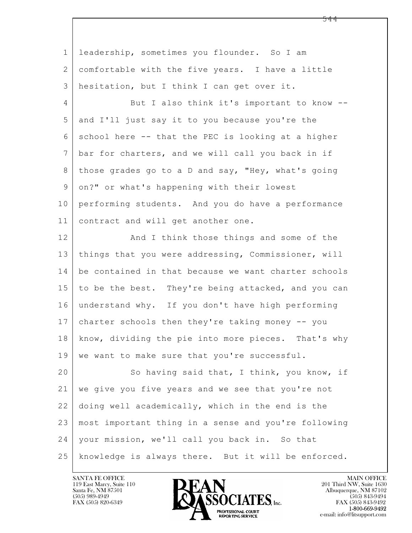$\mathbf{L}$  1 leadership, sometimes you flounder. So I am 2 comfortable with the five years. I have a little 3 hesitation, but I think I can get over it. 4 But I also think it's important to know --5 and I'll just say it to you because you're the  $6$  school here  $-$  that the PEC is looking at a higher 7 bar for charters, and we will call you back in if 8 those grades go to a D and say, "Hey, what's going 9 on?" or what's happening with their lowest 10 performing students. And you do have a performance 11 contract and will get another one. 12 And I think those things and some of the 13 things that you were addressing, Commissioner, will 14 be contained in that because we want charter schools 15 to be the best. They're being attacked, and you can 16 understand why. If you don't have high performing 17 charter schools then they're taking money -- you 18 know, dividing the pie into more pieces. That's why 19 | we want to make sure that you're successful. 20 So having said that, I think, you know, if 21 we give you five years and we see that you're not 22 doing well academically, which in the end is the 23 most important thing in a sense and you're following 24 your mission, we'll call you back in. So that 25 knowledge is always there. But it will be enforced.

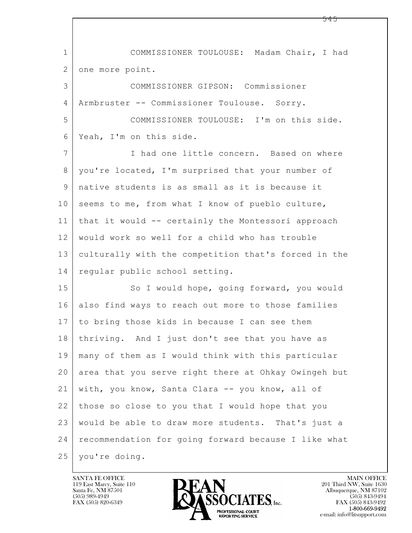$\mathbf{L}$  1 COMMISSIONER TOULOUSE: Madam Chair, I had 2 one more point. 3 COMMISSIONER GIPSON: Commissioner 4 Armbruster -- Commissioner Toulouse. Sorry. 5 COMMISSIONER TOULOUSE: I'm on this side. 6 Yeah, I'm on this side. 7 I had one little concern. Based on where 8 you're located, I'm surprised that your number of 9 native students is as small as it is because it 10 seems to me, from what I know of pueblo culture, 11 that it would -- certainly the Montessori approach 12 would work so well for a child who has trouble 13 culturally with the competition that's forced in the 14 regular public school setting. 15 | So I would hope, going forward, you would 16 also find ways to reach out more to those families 17 to bring those kids in because I can see them 18 thriving. And I just don't see that you have as 19 many of them as I would think with this particular 20 area that you serve right there at Ohkay Owingeh but 21 with, you know, Santa Clara -- you know, all of 22 those so close to you that I would hope that you 23 would be able to draw more students. That's just a 24 recommendation for going forward because I like what 25 you're doing.

119 East Marcy, Suite 110<br>Santa Fe, NM 87501

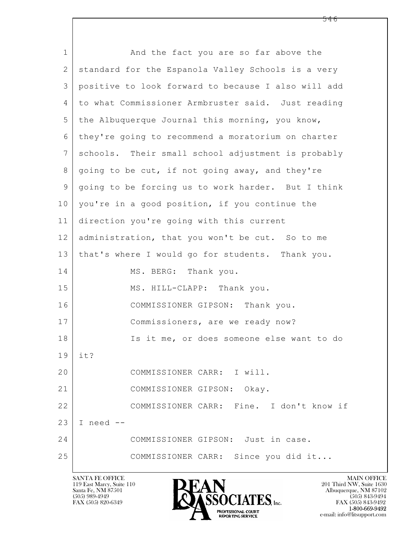$\mathbf{L}$  1 and the fact you are so far above the 2 | standard for the Espanola Valley Schools is a very 3 positive to look forward to because I also will add 4 to what Commissioner Armbruster said. Just reading  $5$  the Albuquerque Journal this morning, you know, 6 they're going to recommend a moratorium on charter 7 schools. Their small school adjustment is probably 8 going to be cut, if not going away, and they're 9 going to be forcing us to work harder. But I think 10 | you're in a good position, if you continue the 11 direction you're going with this current 12 administration, that you won't be cut. So to me 13 that's where I would go for students. Thank you. 14 MS. BERG: Thank you. 15 MS. HILL-CLAPP: Thank you. 16 COMMISSIONER GIPSON: Thank you. 17 Commissioners, are we ready now? 18 Is it me, or does someone else want to do 19 it? 20 COMMISSIONER CARR: I will. 21 COMMISSIONER GIPSON: Okay. 22 COMMISSIONER CARR: Fine. I don't know if  $23$  I need  $-$ 24 COMMISSIONER GIPSON: Just in case. 25 COMMISSIONER CARR: Since you did it...

119 East Marcy, Suite 110<br>Santa Fe, NM 87501



FAX (505) 843-9492 e-mail: info@litsupport.com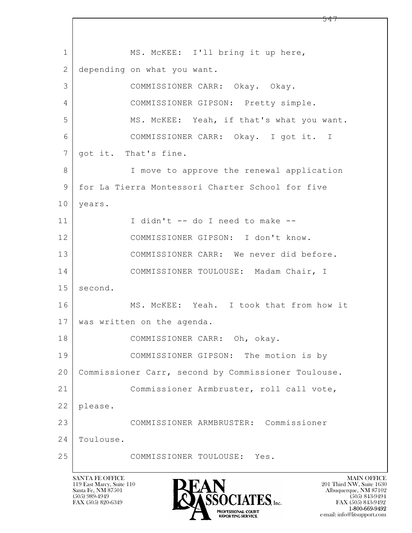$\mathbf{L}$  1 | MS. McKEE: I'll bring it up here, 2 depending on what you want. 3 COMMISSIONER CARR: Okay. Okay. 4 COMMISSIONER GIPSON: Pretty simple. 5 MS. McKEE: Yeah, if that's what you want. 6 COMMISSIONER CARR: Okay. I got it. I 7 | got it. That's fine. 8 | T move to approve the renewal application 9 for La Tierra Montessori Charter School for five 10 | years. 11 I didn't -- do I need to make -- 12 COMMISSIONER GIPSON: I don't know. 13 COMMISSIONER CARR: We never did before. 14 COMMISSIONER TOULOUSE: Madam Chair, I 15 second. 16 MS. McKEE: Yeah. I took that from how it 17 was written on the agenda. 18 COMMISSIONER CARR: Oh, okay. 19 COMMISSIONER GIPSON: The motion is by 20 Commissioner Carr, second by Commissioner Toulouse. 21 Commissioner Armbruster, roll call vote, 22 please. 23 COMMISSIONER ARMBRUSTER: Commissioner 24 Toulouse. 25 COMMISSIONER TOULOUSE: Yes.

119 East Marcy, Suite 110<br>Santa Fe, NM 87501

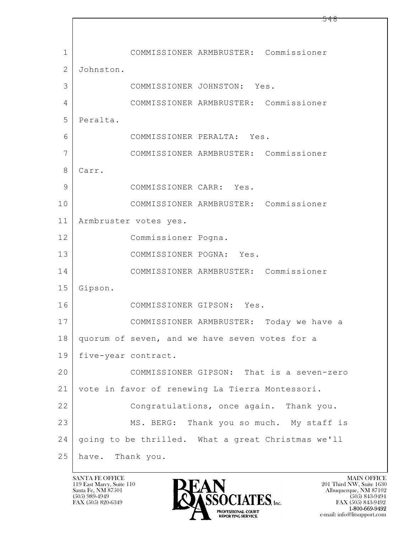$\mathbf{L}$  1 COMMISSIONER ARMBRUSTER: Commissioner 2 Johnston. 3 COMMISSIONER JOHNSTON: Yes. 4 COMMISSIONER ARMBRUSTER: Commissioner 5 Peralta. 6 COMMISSIONER PERALTA: Yes. 7 COMMISSIONER ARMBRUSTER: Commissioner 8 Carr. 9 COMMISSIONER CARR: Yes. 10 COMMISSIONER ARMBRUSTER: Commissioner 11 Armbruster votes yes. 12 Commissioner Pogna. 13 COMMISSIONER POGNA: Yes. 14 COMMISSIONER ARMBRUSTER: Commissioner 15 Gipson. 16 COMMISSIONER GIPSON: Yes. 17 COMMISSIONER ARMBRUSTER: Today we have a 18 quorum of seven, and we have seven votes for a 19 five-year contract. 20 COMMISSIONER GIPSON: That is a seven-zero 21 vote in favor of renewing La Tierra Montessori. 22 Congratulations, once again. Thank you. 23 MS. BERG: Thank you so much. My staff is 24 going to be thrilled. What a great Christmas we'll 25 have. Thank you.

119 East Marcy, Suite 110<br>Santa Fe, NM 87501

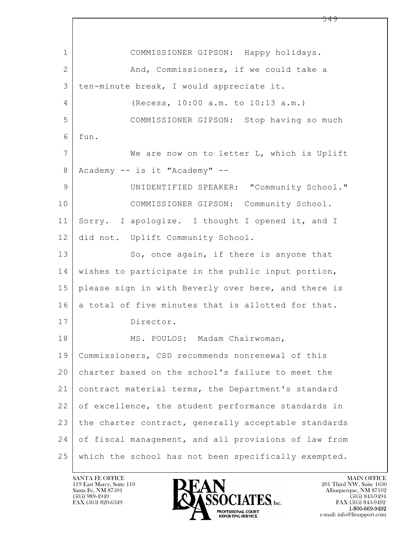$\mathbf{L}$  1 COMMISSIONER GIPSON: Happy holidays. 2 And, Commissioners, if we could take a 3 ten-minute break, I would appreciate it. 4 (Recess, 10:00 a.m. to 10:13 a.m.) 5 COMMISSIONER GIPSON: Stop having so much  $6$  fun. 7 We are now on to letter L, which is Uplift 8 Academy -- is it "Academy" -- 9 | UNIDENTIFIED SPEAKER: "Community School." 10 COMMISSIONER GIPSON: Community School. 11 Sorry. I apologize. I thought I opened it, and I 12 did not. Uplift Community School. 13 So, once again, if there is anyone that 14 wishes to participate in the public input portion, 15 please sign in with Beverly over here, and there is 16 a total of five minutes that is allotted for that. 17 Director. 18 MS. POULOS: Madam Chairwoman, 19 Commissioners, CSD recommends nonrenewal of this 20 charter based on the school's failure to meet the 21 contract material terms, the Department's standard 22 of excellence, the student performance standards in 23 | the charter contract, generally acceptable standards 24 of fiscal management, and all provisions of law from 25 which the school has not been specifically exempted.

119 East Marcy, Suite 110<br>Santa Fe, NM 87501



FAX (505) 843-9492 e-mail: info@litsupport.com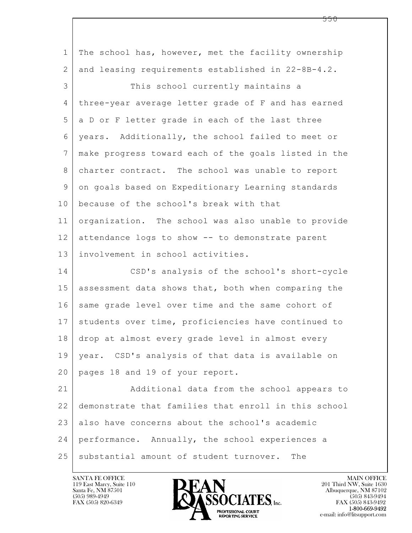| $\mathbf 1$     | The school has, however, met the facility ownership  |
|-----------------|------------------------------------------------------|
| 2               | and leasing requirements established in 22-8B-4.2.   |
| 3               | This school currently maintains a                    |
| 4               | three-year average letter grade of F and has earned  |
| 5               | a D or F letter grade in each of the last three      |
| 6               | years. Additionally, the school failed to meet or    |
| $7\phantom{.0}$ | make progress toward each of the goals listed in the |
| 8               | charter contract. The school was unable to report    |
| 9               | on goals based on Expeditionary Learning standards   |
| 10              | because of the school's break with that              |
| 11              | organization. The school was also unable to provide  |
| 12              | attendance logs to show -- to demonstrate parent     |
| 13              | involvement in school activities.                    |
| 14              | CSD's analysis of the school's short-cycle           |
| 15              | assessment data shows that, both when comparing the  |
| 16              | same grade level over time and the same cohort of    |
| 17              | students over time, proficiencies have continued to  |
| 18              | drop at almost every grade level in almost every     |
| 19              | year. CSD's analysis of that data is available on    |
| 20              | pages 18 and 19 of your report.                      |
| 21              | Additional data from the school appears to           |
| 22              | demonstrate that families that enroll in this school |
| 23              | also have concerns about the school's academic       |
| 24              | performance. Annually, the school experiences a      |
| 25              | substantial amount of student turnover.<br>The       |

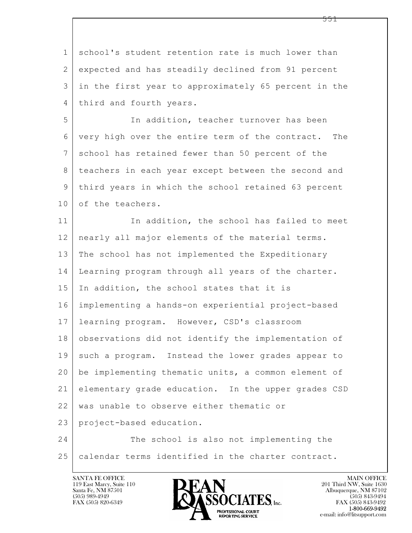$\mathbf{L}$  1 school's student retention rate is much lower than 2 expected and has steadily declined from 91 percent 3 in the first year to approximately 65 percent in the 4 third and fourth years. 5 In addition, teacher turnover has been 6 very high over the entire term of the contract. The 7 school has retained fewer than 50 percent of the 8 teachers in each year except between the second and 9 third years in which the school retained 63 percent 10 of the teachers. 11 In addition, the school has failed to meet 12 nearly all major elements of the material terms. 13 The school has not implemented the Expeditionary 14 Learning program through all years of the charter. 15 In addition, the school states that it is 16 implementing a hands-on experiential project-based 17 learning program. However, CSD's classroom 18 observations did not identify the implementation of 19 such a program. Instead the lower grades appear to 20 be implementing thematic units, a common element of 21 elementary grade education. In the upper grades CSD 22 | was unable to observe either thematic or 23 project-based education. 24 The school is also not implementing the 25 calendar terms identified in the charter contract.

119 East Marcy, Suite 110<br>Santa Fe, NM 87501



FAX (505) 843-9492 e-mail: info@litsupport.com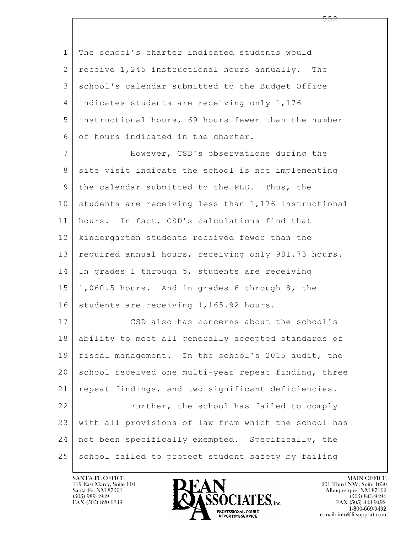$\mathbf{L}$  1 The school's charter indicated students would  $2$  receive 1,245 instructional hours annually. The 3 school's calendar submitted to the Budget Office 4 indicates students are receiving only 1,176 5 instructional hours, 69 hours fewer than the number 6 of hours indicated in the charter. 7 However, CSD's observations during the 8 site visit indicate the school is not implementing 9 the calendar submitted to the PED. Thus, the 10 students are receiving less than 1,176 instructional 11 hours. In fact, CSD's calculations find that 12 kindergarten students received fewer than the 13 required annual hours, receiving only 981.73 hours. 14 | In grades 1 through 5, students are receiving  $15$  | 1,060.5 hours. And in grades 6 through 8, the 16 students are receiving 1,165.92 hours. 17 CSD also has concerns about the school's 18 ability to meet all generally accepted standards of 19 fiscal management. In the school's 2015 audit, the 20 school received one multi-year repeat finding, three 21 repeat findings, and two significant deficiencies. 22 Further, the school has failed to comply 23 with all provisions of law from which the school has 24 not been specifically exempted. Specifically, the 25 school failed to protect student safety by failing

119 East Marcy, Suite 110<br>Santa Fe, NM 87501

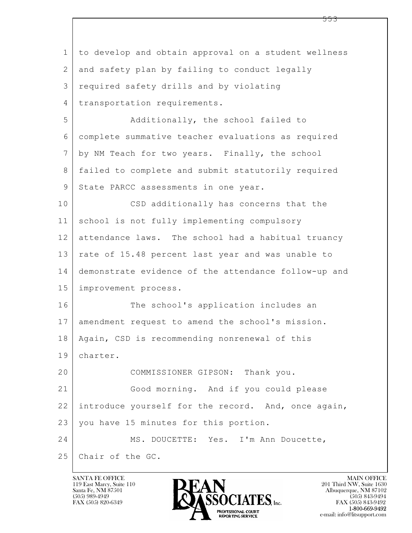| $\mathbf 1$     | to develop and obtain approval on a student wellness |
|-----------------|------------------------------------------------------|
| $\mathbf{2}$    | and safety plan by failing to conduct legally        |
| 3               | required safety drills and by violating              |
| $\overline{4}$  | transportation requirements.                         |
| 5               | Additionally, the school failed to                   |
| 6               | complete summative teacher evaluations as required   |
| $7\phantom{.0}$ | by NM Teach for two years. Finally, the school       |
| 8               | failed to complete and submit statutorily required   |
| 9               | State PARCC assessments in one year.                 |
| 10              | CSD additionally has concerns that the               |
| 11              | school is not fully implementing compulsory          |
| 12              | attendance laws. The school had a habitual truancy   |
| 13              | rate of 15.48 percent last year and was unable to    |
| 14              | demonstrate evidence of the attendance follow-up and |
| 15              | improvement process.                                 |
| 16              | The school's application includes an                 |
| 17              | amendment request to amend the school's mission.     |
| 18              | Again, CSD is recommending nonrenewal of this        |
| 19              | charter.                                             |
| 20              | COMMISSIONER GIPSON: Thank you.                      |
| 21              | Good morning. And if you could please                |
| 22              | introduce yourself for the record. And, once again,  |
| 23              | you have 15 minutes for this portion.                |
| 24              | MS. DOUCETTE: Yes. I'm Ann Doucette,                 |
| 25              | Chair of the GC.                                     |

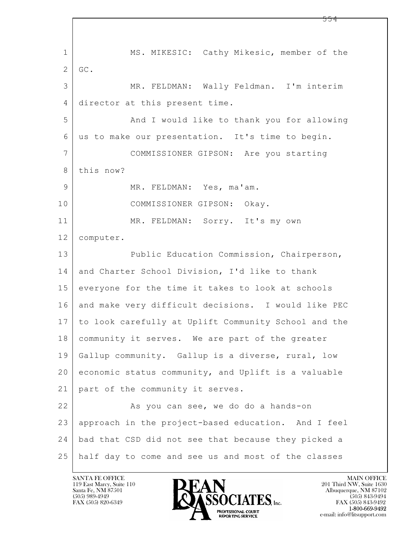$\mathbf{L}$  1 MS. MIKESIC: Cathy Mikesic, member of the 2 GC. 3 MR. FELDMAN: Wally Feldman. I'm interim 4 director at this present time. 5 And I would like to thank you for allowing 6 us to make our presentation. It's time to begin. 7 COMMISSIONER GIPSON: Are you starting 8 this now? 9 MR. FELDMAN: Yes, ma'am. 10 COMMISSIONER GIPSON: Okay. 11 MR. FELDMAN: Sorry. It's my own 12 computer. 13 Public Education Commission, Chairperson, 14 and Charter School Division, I'd like to thank 15 everyone for the time it takes to look at schools 16 and make very difficult decisions. I would like PEC 17 to look carefully at Uplift Community School and the 18 community it serves. We are part of the greater 19 Gallup community. Gallup is a diverse, rural, low 20 economic status community, and Uplift is a valuable 21 | part of the community it serves. 22 As you can see, we do do a hands-on 23 approach in the project-based education. And I feel 24 bad that CSD did not see that because they picked a 25 half day to come and see us and most of the classes

119 East Marcy, Suite 110<br>Santa Fe, NM 87501

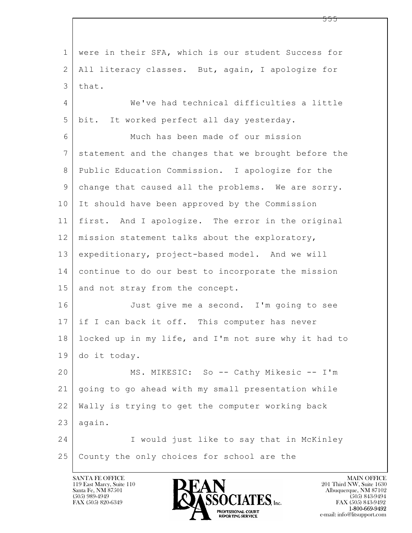$\mathbf{L}$  1 were in their SFA, which is our student Success for 2 All literacy classes. But, again, I apologize for 3 that. 4 We've had technical difficulties a little 5 bit. It worked perfect all day yesterday. 6 Much has been made of our mission 7 statement and the changes that we brought before the 8 Public Education Commission. I apologize for the 9 change that caused all the problems. We are sorry. 10 It should have been approved by the Commission 11 first. And I apologize. The error in the original 12 | mission statement talks about the exploratory, 13 expeditionary, project-based model. And we will 14 continue to do our best to incorporate the mission 15 and not stray from the concept. 16 Just give me a second. I'm going to see 17 if I can back it off. This computer has never 18 locked up in my life, and I'm not sure why it had to 19 do it today. 20 MS. MIKESIC: So -- Cathy Mikesic -- I'm 21 going to go ahead with my small presentation while 22 Wally is trying to get the computer working back  $23$  again. 24 I would just like to say that in McKinley 25 County the only choices for school are the

119 East Marcy, Suite 110<br>Santa Fe, NM 87501

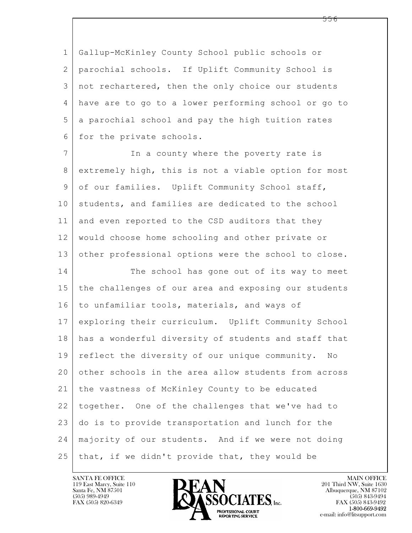1 Gallup-McKinley County School public schools or 2 parochial schools. If Uplift Community School is 3 not rechartered, then the only choice our students 4 have are to go to a lower performing school or go to 5 a parochial school and pay the high tuition rates 6 for the private schools.

7 In a county where the poverty rate is 8 extremely high, this is not a viable option for most 9 of our families. Uplift Community School staff, 10 students, and families are dedicated to the school 11 and even reported to the CSD auditors that they 12 would choose home schooling and other private or 13 other professional options were the school to close. 14 The school has gone out of its way to meet

 $\mathbf{L}$  15 the challenges of our area and exposing our students 16 to unfamiliar tools, materials, and ways of 17 exploring their curriculum. Uplift Community School 18 has a wonderful diversity of students and staff that 19 reflect the diversity of our unique community. No 20 other schools in the area allow students from across 21 the vastness of McKinley County to be educated 22 together. One of the challenges that we've had to 23 do is to provide transportation and lunch for the 24 majority of our students. And if we were not doing  $25$  that, if we didn't provide that, they would be



FAX (505) 843-9492 e-mail: info@litsupport.com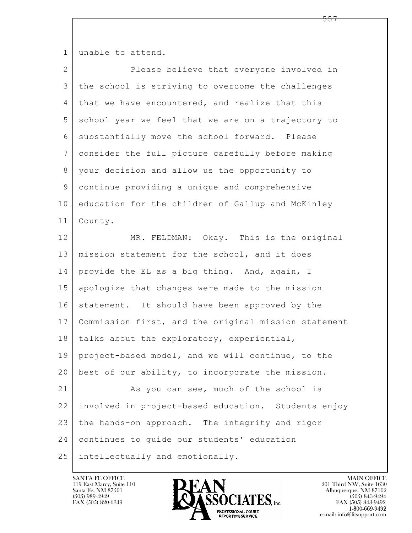1 unable to attend.

| $\overline{2}$ | Please believe that everyone involved in             |
|----------------|------------------------------------------------------|
| 3              | the school is striving to overcome the challenges    |
| 4              | that we have encountered, and realize that this      |
| 5              | school year we feel that we are on a trajectory to   |
| 6              | substantially move the school forward. Please        |
| $\overline{7}$ | consider the full picture carefully before making    |
| 8              | your decision and allow us the opportunity to        |
| $\mathsf 9$    | continue providing a unique and comprehensive        |
| 10             | education for the children of Gallup and McKinley    |
| 11             | County.                                              |
| 12             | MR. FELDMAN: Okay. This is the original              |
| 13             | mission statement for the school, and it does        |
| 14             | provide the EL as a big thing. And, again, I         |
| 15             | apologize that changes were made to the mission      |
| 16             | statement. It should have been approved by the       |
| 17             | Commission first, and the original mission statement |
| 18             | talks about the exploratory, experiential,           |
| 19             | project-based model, and we will continue, to the    |
| 20             | best of our ability, to incorporate the mission.     |
| 21             | As you can see, much of the school is                |
| 22             | involved in project-based education. Students enjoy  |
| 23             | the hands-on approach. The integrity and rigor       |
| 24             | continues to guide our students' education           |
| 25             | intellectually and emotionally.                      |

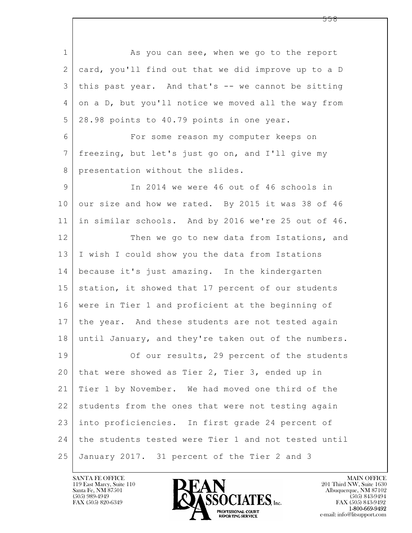$\mathbf{L}$  1 As you can see, when we go to the report 2 card, you'll find out that we did improve up to a D 3 this past year. And that's -- we cannot be sitting 4 on a D, but you'll notice we moved all the way from 5 28.98 points to 40.79 points in one year. 6 For some reason my computer keeps on 7 freezing, but let's just go on, and I'll give my 8 | presentation without the slides. 9 | Th 2014 we were 46 out of 46 schools in 10 our size and how we rated. By 2015 it was 38 of 46 11 in similar schools. And by 2016 we're 25 out of 46. 12 Then we go to new data from Istations, and 13 I wish I could show you the data from Istations 14 because it's just amazing. In the kindergarten 15 station, it showed that 17 percent of our students 16 were in Tier 1 and proficient at the beginning of 17 | the year. And these students are not tested again 18 until January, and they're taken out of the numbers. 19 Of our results, 29 percent of the students 20 that were showed as Tier 2, Tier 3, ended up in 21 Tier 1 by November. We had moved one third of the 22 students from the ones that were not testing again 23 into proficiencies. In first grade 24 percent of 24 the students tested were Tier 1 and not tested until 25 January 2017. 31 percent of the Tier 2 and 3

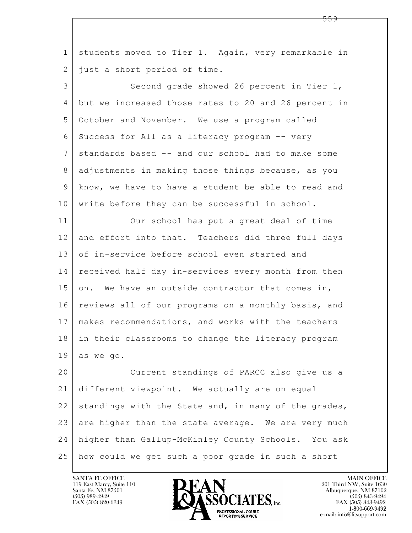| $\mathbf 1$   | students moved to Tier 1. Again, very remarkable in  |
|---------------|------------------------------------------------------|
| 2             | just a short period of time.                         |
| 3             | Second grade showed 26 percent in Tier 1,            |
| 4             | but we increased those rates to 20 and 26 percent in |
| 5             | October and November. We use a program called        |
| 6             | Success for All as a literacy program -- very        |
| 7             | standards based -- and our school had to make some   |
| 8             | adjustments in making those things because, as you   |
| $\mathcal{G}$ | know, we have to have a student be able to read and  |
| 10            | write before they can be successful in school.       |
| 11            | Our school has put a great deal of time              |
| 12            | and effort into that. Teachers did three full days   |
| 13            | of in-service before school even started and         |
| 14            | received half day in-services every month from then  |
| 15            | on. We have an outside contractor that comes in,     |
| 16            | reviews all of our programs on a monthly basis, and  |
| 17            | makes recommendations, and works with the teachers   |
| 18            | in their classrooms to change the literacy program   |
| 19            | as we go.                                            |
| 20            | Current standings of PARCC also give us a            |
| 21            | different viewpoint. We actually are on equal        |
| 22            | standings with the State and, in many of the grades, |
| 23            | are higher than the state average. We are very much  |
| 24            | higher than Gallup-McKinley County Schools. You ask  |
| 25            | how could we get such a poor grade in such a short   |

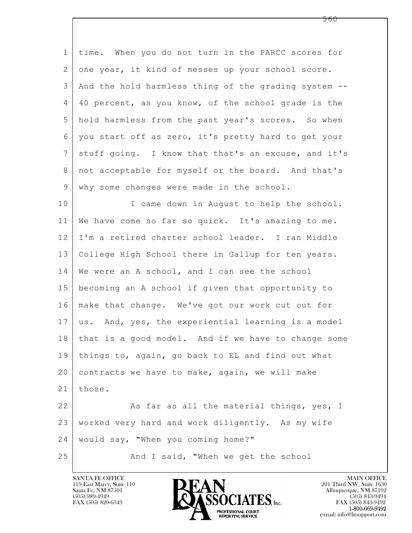| $\mathbf{1}$ | time. When you do not turn in the PARCC scores for     |
|--------------|--------------------------------------------------------|
| 2            | one year, it kind of messes up your school score.      |
| 3            | And the hold harmless thing of the grading system --   |
| 4            | 40 percent, as you know, of the school grade is the    |
| 5            | hold harmless from the past year's scores. So when     |
| 6            | you start off as zero, it's pretty hard to get your    |
| 7            | stuff going. I know that that's an excuse, and it's    |
| 8            | not acceptable for myself or the board. And that's     |
| 9            | why some changes were made in the school.              |
| 10           | I came down in August to help the school.              |
| 11           | We have come so far so quick. It's amazing to me.      |
| 12           | I'm a retired charter school leader. I ran Middle      |
| 13           | College High School there in Gallup for ten years.     |
| 14           | We were an A school, and I can see the school          |
| 15           | becoming an A school if given that opportunity to      |
| 16           | make that change. We've got our work cut out for       |
| 17           | us. And, yes, the experiential learning is a model     |
|              | 18 that is a good model. And if we have to change some |
| 19           | things to, again, go back to EL and find out what      |
| 20           | contracts we have to make, again, we will make         |
| 21           | those.                                                 |
| 22           | As far as all the material things, yes, I              |
| 23           | worked very hard and work diligently. As my wife       |
| 24           | would say, "When you coming home?"                     |
| 25           | And I said, "When we get the school                    |

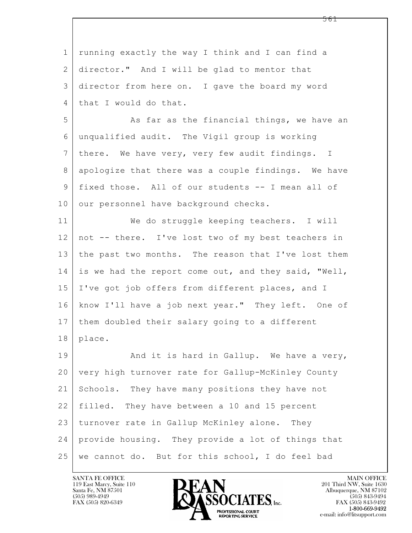$\mathbf{L}$  1 running exactly the way I think and I can find a 2 director." And I will be glad to mentor that 3 director from here on. I gave the board my word 4 that I would do that. 5 As far as the financial things, we have an 6 unqualified audit. The Vigil group is working 7 there. We have very, very few audit findings. I 8 apologize that there was a couple findings. We have 9 fixed those. All of our students -- I mean all of 10 our personnel have background checks. 11 We do struggle keeping teachers. I will 12 not -- there. I've lost two of my best teachers in 13 the past two months. The reason that I've lost them 14 is we had the report come out, and they said, "Well, 15 I've got job offers from different places, and I 16 know I'll have a job next year." They left. One of 17 them doubled their salary going to a different 18 place. 19 | And it is hard in Gallup. We have a very, 20 very high turnover rate for Gallup-McKinley County 21 Schools. They have many positions they have not 22 filled. They have between a 10 and 15 percent 23 turnover rate in Gallup McKinley alone. They 24 provide housing. They provide a lot of things that 25 we cannot do. But for this school, I do feel bad

119 East Marcy, Suite 110<br>Santa Fe, NM 87501

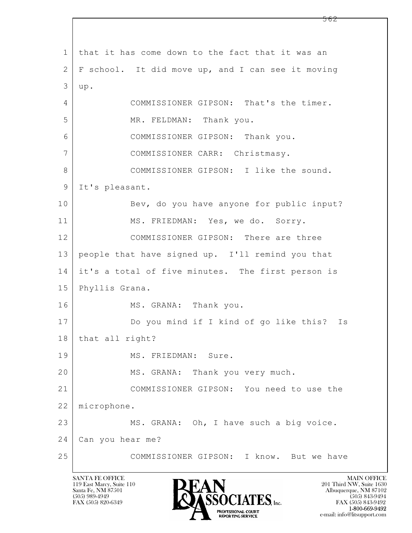$\mathbf{L}$  1 that it has come down to the fact that it was an 2 F school. It did move up, and I can see it moving  $3 | up.$ 4 COMMISSIONER GIPSON: That's the timer. 5 | MR. FELDMAN: Thank you. 6 COMMISSIONER GIPSON: Thank you. 7 | COMMISSIONER CARR: Christmasy. 8 COMMISSIONER GIPSON: I like the sound. 9 It's pleasant. 10 Bev, do you have anyone for public input? 11 MS. FRIEDMAN: Yes, we do. Sorry. 12 COMMISSIONER GIPSON: There are three 13 people that have signed up. I'll remind you that 14 it's a total of five minutes. The first person is 15 Phyllis Grana. 16 MS. GRANA: Thank you. 17 Do you mind if I kind of go like this? Is 18 | that all right? 19 MS. FRIEDMAN: Sure. 20 MS. GRANA: Thank you very much. 21 COMMISSIONER GIPSON: You need to use the 22 microphone. 23 MS. GRANA: Oh, I have such a big voice. 24 Can you hear me? 25 COMMISSIONER GIPSON: I know. But we have

119 East Marcy, Suite 110<br>Santa Fe, NM 87501

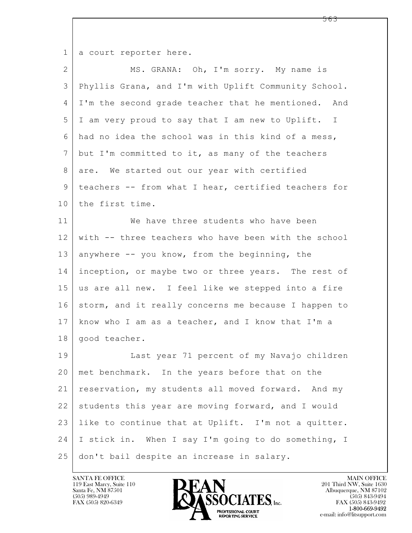1 a court reporter here.

| $\overline{2}$ | MS. GRANA: Oh, I'm sorry. My name is                 |
|----------------|------------------------------------------------------|
| 3              | Phyllis Grana, and I'm with Uplift Community School. |
| 4              | I'm the second grade teacher that he mentioned. And  |
| 5              | I am very proud to say that I am new to Uplift. I    |
| 6              | had no idea the school was in this kind of a mess,   |
| 7              | but I'm committed to it, as many of the teachers     |
| 8              | are. We started out our year with certified          |
| 9              | teachers -- from what I hear, certified teachers for |
| 10             | the first time.                                      |
| 11             | We have three students who have been                 |
| 12             | with -- three teachers who have been with the school |
| 13             | anywhere -- you know, from the beginning, the        |
| 14             | inception, or maybe two or three years. The rest of  |
| 15             | us are all new. I feel like we stepped into a fire   |
| 16             | storm, and it really concerns me because I happen to |
| 17             | know who I am as a teacher, and I know that I'm a    |
| 18             | good teacher.                                        |
| 19             | Last year 71 percent of my Navajo children           |
| 20             | met benchmark. In the years before that on the       |
| 21             | reservation, my students all moved forward. And my   |
| 22             | students this year are moving forward, and I would   |
| 23             | like to continue that at Uplift. I'm not a quitter.  |
| 24             | I stick in. When I say I'm going to do something, I  |
| 25             | don't bail despite an increase in salary.            |

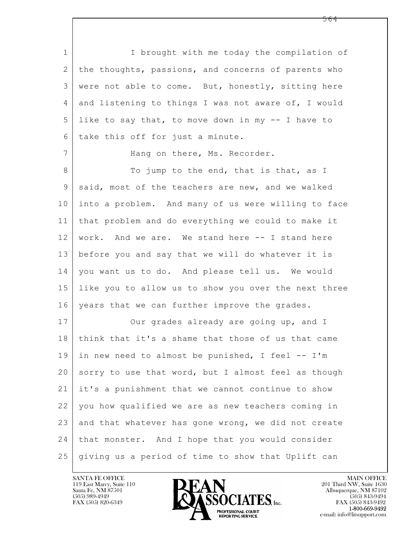$\mathbf{L}$  1 I brought with me today the compilation of 2 the thoughts, passions, and concerns of parents who 3 were not able to come. But, honestly, sitting here 4 and listening to things I was not aware of, I would 5 like to say that, to move down in my -- I have to 6 take this off for just a minute. 7 | Hang on there, Ms. Recorder. 8 To jump to the end, that is that, as I 9 said, most of the teachers are new, and we walked 10 into a problem. And many of us were willing to face 11 that problem and do everything we could to make it 12 work. And we are. We stand here -- I stand here 13 before you and say that we will do whatever it is 14 | you want us to do. And please tell us. We would 15 like you to allow us to show you over the next three 16 | years that we can further improve the grades. 17 Our grades already are going up, and I 18 think that it's a shame that those of us that came 19 in new need to almost be punished, I feel -- I'm 20 sorry to use that word, but I almost feel as though 21 it's a punishment that we cannot continue to show 22 you how qualified we are as new teachers coming in 23 and that whatever has gone wrong, we did not create 24 that monster. And I hope that you would consider 25 giving us a period of time to show that Uplift can

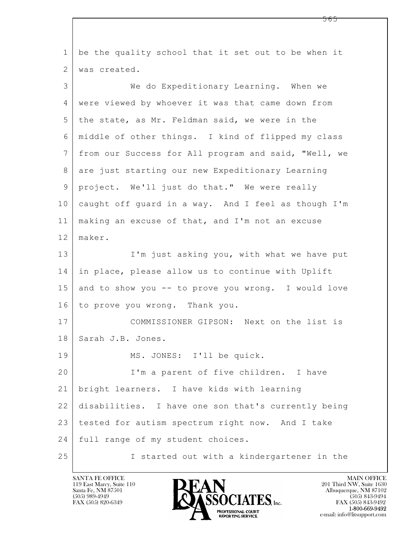| $\mathbf{1}$  | be the quality school that it set out to be when it  |
|---------------|------------------------------------------------------|
| $\mathbf{2}$  | was created.                                         |
| 3             | We do Expeditionary Learning. When we                |
| 4             | were viewed by whoever it was that came down from    |
| 5             | the state, as Mr. Feldman said, we were in the       |
| 6             | middle of other things. I kind of flipped my class   |
| 7             | from our Success for All program and said, "Well, we |
| 8             | are just starting our new Expeditionary Learning     |
| $\mathcal{G}$ | project. We'll just do that." We were really         |
| 10            | caught off guard in a way. And I feel as though I'm  |
| 11            | making an excuse of that, and I'm not an excuse      |
| 12            | maker.                                               |
| 13            | I'm just asking you, with what we have put           |
| 14            | in place, please allow us to continue with Uplift    |
| 15            | and to show you -- to prove you wrong. I would love  |
| 16            | to prove you wrong. Thank you.                       |
| 17            | COMMISSIONER GIPSON: Next on the list is             |
| 18            | Sarah J.B. Jones.                                    |
| 19            | MS. JONES: I'll be quick.                            |
| 20            | I'm a parent of five children. I have                |
| 21            | bright learners. I have kids with learning           |
| 22            | disabilities. I have one son that's currently being  |
| 23            | tested for autism spectrum right now. And I take     |
| 24            | full range of my student choices.                    |
| 25            | I started out with a kindergartener in the           |

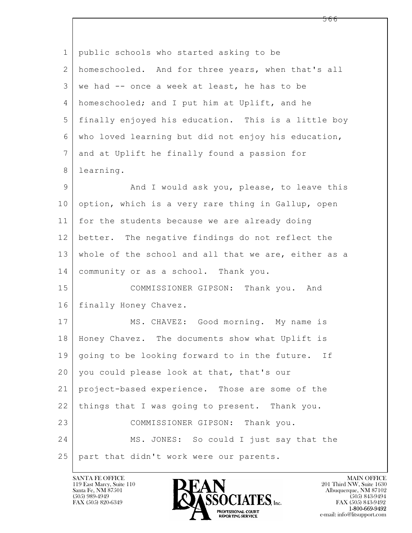| $\mathbf 1$ | public schools who started asking to be              |
|-------------|------------------------------------------------------|
| 2           | homeschooled. And for three years, when that's all   |
| 3           | we had -- once a week at least, he has to be         |
| 4           | homeschooled; and I put him at Uplift, and he        |
| 5           | finally enjoyed his education. This is a little boy  |
| 6           | who loved learning but did not enjoy his education,  |
| 7           | and at Uplift he finally found a passion for         |
| 8           | learning.                                            |
| $\mathsf 9$ | And I would ask you, please, to leave this           |
| 10          | option, which is a very rare thing in Gallup, open   |
| 11          | for the students because we are already doing        |
| 12          | better. The negative findings do not reflect the     |
| 13          | whole of the school and all that we are, either as a |
| 14          | community or as a school. Thank you.                 |
| 15          | COMMISSIONER GIPSON: Thank you. And                  |
| 16          | finally Honey Chavez.                                |
| 17          | MS. CHAVEZ: Good morning. My name is                 |
| 18          | Honey Chavez. The documents show what Uplift is      |
| 19          | going to be looking forward to in the future. If     |
| 20          | you could please look at that, that's our            |
| 21          | project-based experience. Those are some of the      |
| 22          | things that I was going to present. Thank you.       |
| 23          | COMMISSIONER GIPSON: Thank you.                      |
| 24          | MS. JONES: So could I just say that the              |
| 25          | part that didn't work were our parents.              |

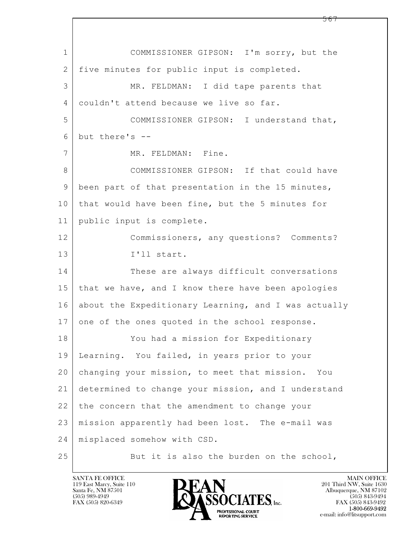$\mathbf{L}$  1 COMMISSIONER GIPSON: I'm sorry, but the 2 | five minutes for public input is completed. 3 MR. FELDMAN: I did tape parents that 4 couldn't attend because we live so far. 5 COMMISSIONER GIPSON: I understand that,  $6$  but there's  $-$ 7 MR. FELDMAN: Fine. 8 COMMISSIONER GIPSON: If that could have 9 been part of that presentation in the 15 minutes, 10 | that would have been fine, but the 5 minutes for 11 public input is complete. 12 Commissioners, any questions? Comments? 13 I'll start. 14 These are always difficult conversations 15 that we have, and I know there have been apologies 16 about the Expeditionary Learning, and I was actually 17 one of the ones quoted in the school response. 18 You had a mission for Expeditionary 19 Learning. You failed, in years prior to your 20 changing your mission, to meet that mission. You 21 determined to change your mission, and I understand 22 the concern that the amendment to change your 23 mission apparently had been lost. The e-mail was 24 misplaced somehow with CSD. 25 But it is also the burden on the school,

119 East Marcy, Suite 110<br>Santa Fe, NM 87501



FAX (505) 843-9492 e-mail: info@litsupport.com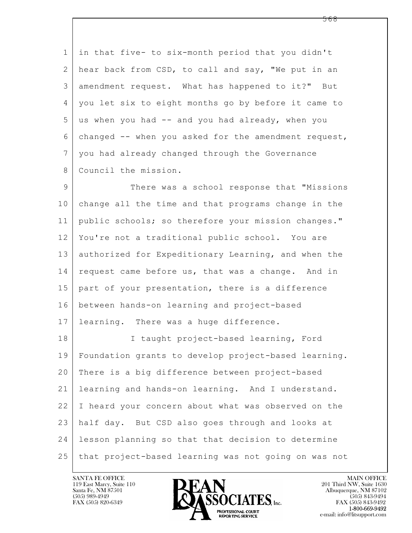1 in that five- to six-month period that you didn't 2 hear back from CSD, to call and say, "We put in an 3 amendment request. What has happened to it?" But 4 you let six to eight months go by before it came to  $5$  us when you had  $-$  and you had already, when you 6 changed -- when you asked for the amendment request, 7 you had already changed through the Governance 8 Council the mission. 9 There was a school response that "Missions" 10 change all the time and that programs change in the

11 public schools; so therefore your mission changes." 12 You're not a traditional public school. You are 13 authorized for Expeditionary Learning, and when the 14 request came before us, that was a change. And in 15 part of your presentation, there is a difference 16 between hands-on learning and project-based 17 | learning. There was a huge difference.

 $\mathbf{L}$  18 I taught project-based learning, Ford 19 Foundation grants to develop project-based learning. 20 There is a big difference between project-based 21 learning and hands-on learning. And I understand. 22 I heard your concern about what was observed on the 23 half day. But CSD also goes through and looks at 24 lesson planning so that that decision to determine 25 that project-based learning was not going on was not



FAX (505) 843-9492 e-mail: info@litsupport.com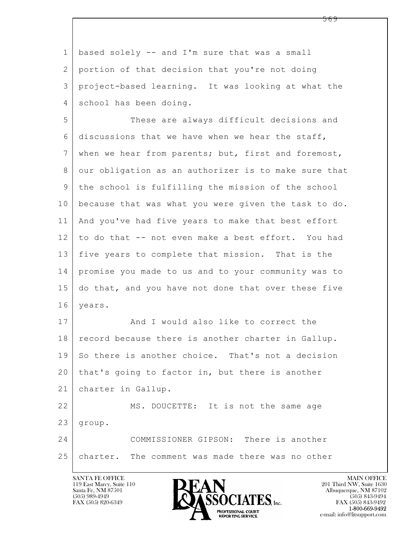1 based solely -- and I'm sure that was a small 2 portion of that decision that you're not doing 3 project-based learning. It was looking at what the 4 school has been doing.

5 These are always difficult decisions and  $6$  discussions that we have when we hear the staff, 7 when we hear from parents; but, first and foremost, 8 our obligation as an authorizer is to make sure that 9 the school is fulfilling the mission of the school 10 because that was what you were given the task to do. 11 And you've had five years to make that best effort 12 to do that -- not even make a best effort. You had 13 five years to complete that mission. That is the 14 promise you made to us and to your community was to 15 do that, and you have not done that over these five 16 years.

17 And I would also like to correct the 18 | record because there is another charter in Gallup. 19 So there is another choice. That's not a decision 20 that's going to factor in, but there is another 21 charter in Gallup.

 $\mathbf{L}$  22 | MS. DOUCETTE: It is not the same age  $23$  group. 24 COMMISSIONER GIPSON: There is another

## 25 charter. The comment was made there was no other

119 East Marcy, Suite 110<br>Santa Fe, NM 87501



FAX (505) 843-9492 e-mail: info@litsupport.com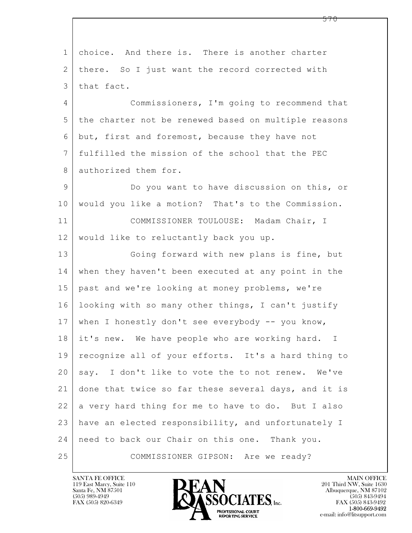$\mathbf{L}$  1 choice. And there is. There is another charter 2 | there. So I just want the record corrected with 3 that fact. 4 Commissioners, I'm going to recommend that 5 the charter not be renewed based on multiple reasons 6 but, first and foremost, because they have not 7 fulfilled the mission of the school that the PEC 8 authorized them for. 9 Do you want to have discussion on this, or 10 would you like a motion? That's to the Commission. 11 | COMMISSIONER TOULOUSE: Madam Chair, I 12 | would like to reluctantly back you up. 13 Going forward with new plans is fine, but 14 when they haven't been executed at any point in the 15 past and we're looking at money problems, we're 16 looking with so many other things, I can't justify 17 | when I honestly don't see everybody -- you know, 18 it's new. We have people who are working hard. I 19 recognize all of your efforts. It's a hard thing to 20 say. I don't like to vote the to not renew. We've 21 done that twice so far these several days, and it is  $22$  a very hard thing for me to have to do. But I also 23 have an elected responsibility, and unfortunately I 24 need to back our Chair on this one. Thank you. 25 COMMISSIONER GIPSON: Are we ready?

119 East Marcy, Suite 110<br>Santa Fe, NM 87501



FAX (505) 843-9492 e-mail: info@litsupport.com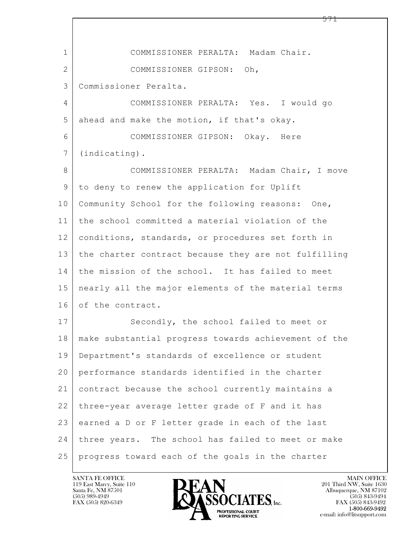$\mathbf{L}$  1 COMMISSIONER PERALTA: Madam Chair. 2 COMMISSIONER GIPSON: Oh, 3 Commissioner Peralta. 4 COMMISSIONER PERALTA: Yes. I would go 5 ahead and make the motion, if that's okay. 6 COMMISSIONER GIPSON: Okay. Here 7 (indicating). 8 | COMMISSIONER PERALTA: Madam Chair, I move 9 to deny to renew the application for Uplift 10 Community School for the following reasons: One, 11 the school committed a material violation of the 12 | conditions, standards, or procedures set forth in 13 the charter contract because they are not fulfilling 14 the mission of the school. It has failed to meet 15 nearly all the major elements of the material terms 16 of the contract. 17 Secondly, the school failed to meet or 18 make substantial progress towards achievement of the 19 Department's standards of excellence or student 20 performance standards identified in the charter 21 contract because the school currently maintains a 22 three-year average letter grade of F and it has 23 earned a D or F letter grade in each of the last 24 three years. The school has failed to meet or make 25 progress toward each of the goals in the charter

119 East Marcy, Suite 110<br>Santa Fe, NM 87501

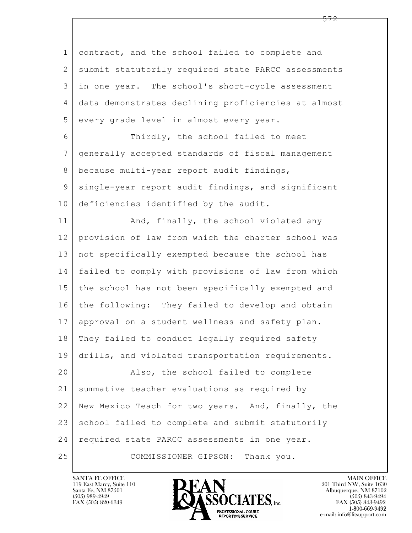$\mathbf{L}$  1 contract, and the school failed to complete and 2 | submit statutorily required state PARCC assessments 3 in one year. The school's short-cycle assessment 4 data demonstrates declining proficiencies at almost 5 every grade level in almost every year. 6 Thirdly, the school failed to meet 7 generally accepted standards of fiscal management 8 | because multi-year report audit findings, 9 single-year report audit findings, and significant 10 deficiencies identified by the audit. 11 | And, finally, the school violated any 12 provision of law from which the charter school was 13 not specifically exempted because the school has 14 failed to comply with provisions of law from which 15 the school has not been specifically exempted and 16 the following: They failed to develop and obtain 17 approval on a student wellness and safety plan. 18 | They failed to conduct legally required safety 19 drills, and violated transportation requirements. 20 Also, the school failed to complete 21 summative teacher evaluations as required by 22 New Mexico Teach for two years. And, finally, the 23 school failed to complete and submit statutorily 24 required state PARCC assessments in one year. 25 COMMISSIONER GIPSON: Thank you.



FAX (505) 843-9492 e-mail: info@litsupport.com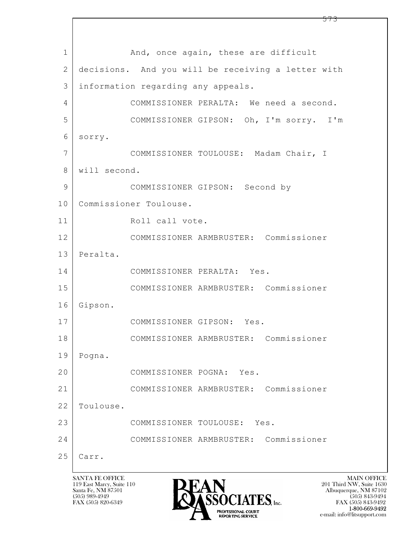$\mathbf{L}$  1 and, once again, these are difficult 2 decisions. And you will be receiving a letter with 3 information regarding any appeals. 4 COMMISSIONER PERALTA: We need a second. 5 COMMISSIONER GIPSON: Oh, I'm sorry. I'm 6 sorry. 7 COMMISSIONER TOULOUSE: Madam Chair, I 8 will second. 9 COMMISSIONER GIPSON: Second by 10 | Commissioner Toulouse. 11 Roll call vote. 12 COMMISSIONER ARMBRUSTER: Commissioner 13 Peralta. 14 COMMISSIONER PERALTA: Yes. 15 COMMISSIONER ARMBRUSTER: Commissioner 16 Gipson. 17 COMMISSIONER GIPSON: Yes. 18 COMMISSIONER ARMBRUSTER: Commissioner 19 Pogna. 20 COMMISSIONER POGNA: Yes. 21 COMMISSIONER ARMBRUSTER: Commissioner 22 | Toulouse. 23 COMMISSIONER TOULOUSE: Yes. 24 COMMISSIONER ARMBRUSTER: Commissioner 25 Carr.

119 East Marcy, Suite 110<br>Santa Fe, NM 87501



 $FAX (505) 843-9492$ <br>1-800-669-9492 e-mail: info@litsupport.com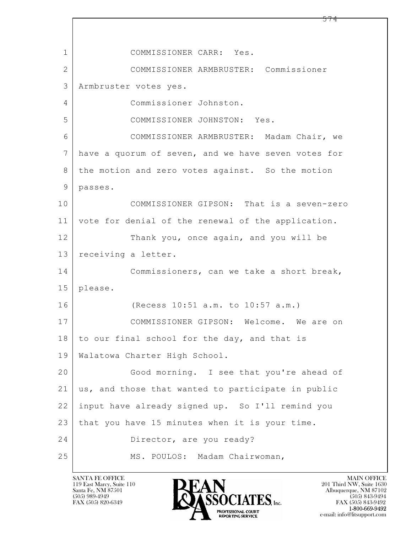$\mathbf{L}$  1 COMMISSIONER CARR: Yes. 2 COMMISSIONER ARMBRUSTER: Commissioner 3 Armbruster votes yes. 4 Commissioner Johnston. 5 COMMISSIONER JOHNSTON: Yes. 6 COMMISSIONER ARMBRUSTER: Madam Chair, we 7 have a quorum of seven, and we have seven votes for 8 the motion and zero votes against. So the motion 9 passes. 10 COMMISSIONER GIPSON: That is a seven-zero 11 vote for denial of the renewal of the application. 12 Thank you, once again, and you will be 13 | receiving a letter. 14 Commissioners, can we take a short break, 15 please. 16 (Recess 10:51 a.m. to 10:57 a.m.) 17 COMMISSIONER GIPSON: Welcome. We are on  $18$  to our final school for the day, and that is 19 Walatowa Charter High School. 20 Good morning. I see that you're ahead of 21 us, and those that wanted to participate in public 22 input have already signed up. So I'll remind you 23 that you have 15 minutes when it is your time. 24 Director, are you ready? 25 MS. POULOS: Madam Chairwoman,

119 East Marcy, Suite 110<br>Santa Fe, NM 87501



FAX (505) 843-9492 e-mail: info@litsupport.com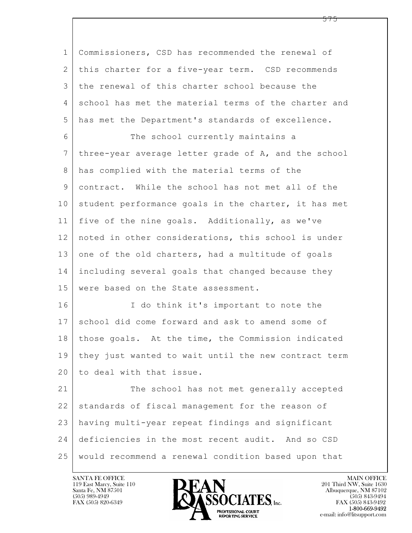$\mathbf{L}$  1 Commissioners, CSD has recommended the renewal of 2 this charter for a five-year term. CSD recommends 3 the renewal of this charter school because the 4 school has met the material terms of the charter and 5 has met the Department's standards of excellence. 6 The school currently maintains a 7 three-year average letter grade of A, and the school 8 has complied with the material terms of the 9 contract. While the school has not met all of the 10 student performance goals in the charter, it has met 11 five of the nine goals. Additionally, as we've 12 noted in other considerations, this school is under 13 one of the old charters, had a multitude of goals 14 including several goals that changed because they 15 were based on the State assessment. 16 I do think it's important to note the 17 school did come forward and ask to amend some of 18 those goals. At the time, the Commission indicated 19 they just wanted to wait until the new contract term 20 to deal with that issue. 21 The school has not met generally accepted  $22$  standards of fiscal management for the reason of 23 having multi-year repeat findings and significant 24 deficiencies in the most recent audit. And so CSD 25 would recommend a renewal condition based upon that

119 East Marcy, Suite 110<br>Santa Fe, NM 87501



FAX (505) 843-9492 e-mail: info@litsupport.com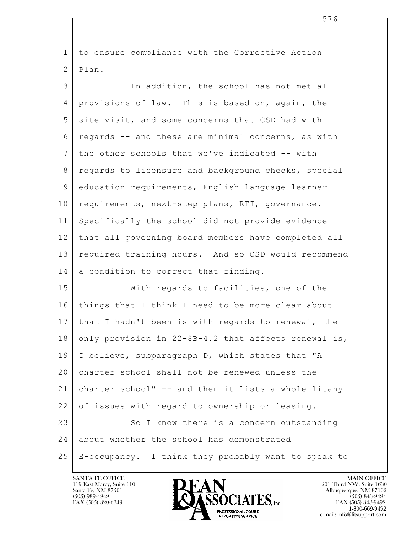$\mathbf{L}$  1 to ensure compliance with the Corrective Action 2 Plan. 3 In addition, the school has not met all 4 provisions of law. This is based on, again, the 5 site visit, and some concerns that CSD had with 6 regards -- and these are minimal concerns, as with  $7$  the other schools that we've indicated -- with 8 | regards to licensure and background checks, special 9 education requirements, English language learner 10 requirements, next-step plans, RTI, governance. 11 Specifically the school did not provide evidence 12 that all governing board members have completed all 13 required training hours. And so CSD would recommend  $14$  a condition to correct that finding. 15 With regards to facilities, one of the 16 things that I think I need to be more clear about 17 that I hadn't been is with regards to renewal, the 18 only provision in  $22-8B-4.2$  that affects renewal is, 19 | I believe, subparagraph D, which states that "A 20 charter school shall not be renewed unless the 21 charter school" -- and then it lists a whole litany 22 of issues with regard to ownership or leasing. 23 So I know there is a concern outstanding 24 about whether the school has demonstrated 25 E-occupancy. I think they probably want to speak to

119 East Marcy, Suite 110<br>Santa Fe, NM 87501



FAX (505) 843-9492 e-mail: info@litsupport.com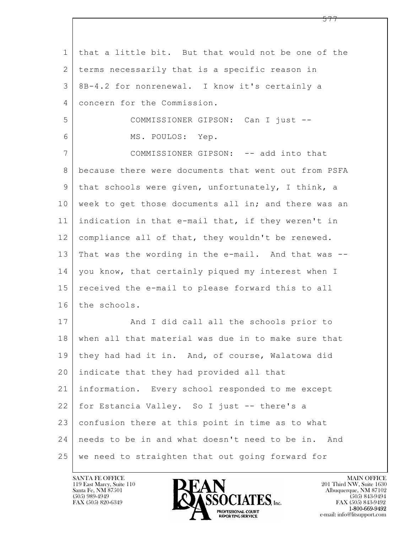$\mathbf{L}$  1 that a little bit. But that would not be one of the 2 terms necessarily that is a specific reason in 3 8B-4.2 for nonrenewal. I know it's certainly a 4 concern for the Commission. 5 COMMISSIONER GIPSON: Can I just -- 6 MS. POULOS: Yep. 7 COMMISSIONER GIPSON: -- add into that 8 because there were documents that went out from PSFA 9 that schools were given, unfortunately, I think, a 10 week to get those documents all in; and there was an 11 indication in that e-mail that, if they weren't in 12 compliance all of that, they wouldn't be renewed. 13 That was the wording in the e-mail. And that was -- 14 | you know, that certainly piqued my interest when I 15 received the e-mail to please forward this to all 16 the schools. 17 | And I did call all the schools prior to 18 when all that material was due in to make sure that 19 they had had it in. And, of course, Walatowa did 20 indicate that they had provided all that 21 information. Every school responded to me except 22 for Estancia Valley. So I just -- there's a 23 confusion there at this point in time as to what 24 needs to be in and what doesn't need to be in. And 25 we need to straighten that out going forward for

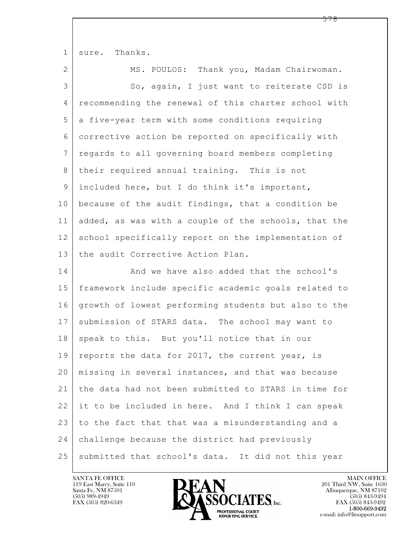$\mathbf{L}$  1 sure. Thanks. 2 | MS. POULOS: Thank you, Madam Chairwoman. 3 So, again, I just want to reiterate CSD is 4 recommending the renewal of this charter school with 5 a five-year term with some conditions requiring 6 corrective action be reported on specifically with 7 regards to all governing board members completing 8 | their required annual training. This is not 9 included here, but I do think it's important, 10 because of the audit findings, that a condition be 11 added, as was with a couple of the schools, that the 12 school specifically report on the implementation of 13 the audit Corrective Action Plan. 14 And we have also added that the school's 15 framework include specific academic goals related to 16 growth of lowest performing students but also to the 17 | submission of STARS data. The school may want to 18 speak to this. But you'll notice that in our 19 | reports the data for 2017, the current year, is 20 missing in several instances, and that was because 21 the data had not been submitted to STARS in time for 22 it to be included in here. And I think I can speak 23 to the fact that that was a misunderstanding and a 24 challenge because the district had previously 25 submitted that school's data. It did not this year

119 East Marcy, Suite 110<br>Santa Fe, NM 87501



FAX (505) 843-9492 e-mail: info@litsupport.com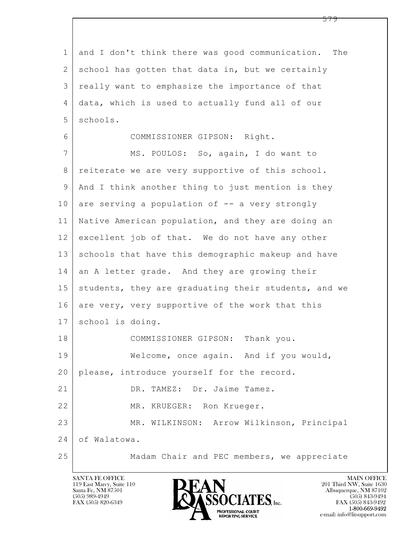$\mathbf{L}$  1 and I don't think there was good communication. The 2 school has gotten that data in, but we certainly 3 really want to emphasize the importance of that 4 data, which is used to actually fund all of our 5 schools. 6 COMMISSIONER GIPSON: Right. 7 MS. POULOS: So, again, I do want to 8 | reiterate we are very supportive of this school. 9 And I think another thing to just mention is they  $10$  are serving a population of  $-$  a very strongly 11 Native American population, and they are doing an 12 excellent job of that. We do not have any other 13 schools that have this demographic makeup and have 14 an A letter grade. And they are growing their 15 | students, they are graduating their students, and we 16 are very, very supportive of the work that this 17 | school is doing. 18 COMMISSIONER GIPSON: Thank you. 19 Welcome, once again. And if you would, 20 please, introduce yourself for the record. 21 DR. TAMEZ: Dr. Jaime Tamez. 22 MR. KRUEGER: Ron Krueger. 23 | MR. WILKINSON: Arrow Wilkinson, Principal 24 of Walatowa. 25 Madam Chair and PEC members, we appreciate



FAX (505) 843-9492 e-mail: info@litsupport.com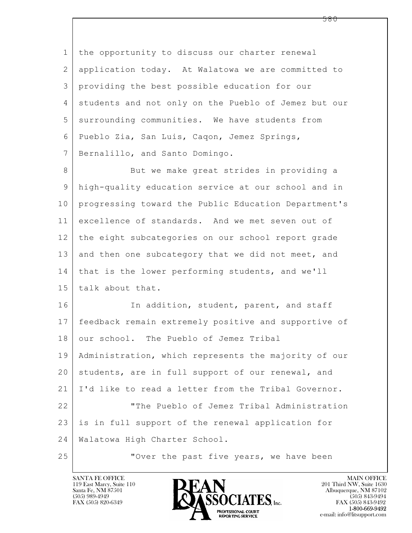$\mathbf{L}$  1 the opportunity to discuss our charter renewal 2 application today. At Walatowa we are committed to 3 providing the best possible education for our 4 students and not only on the Pueblo of Jemez but our 5 surrounding communities. We have students from 6 Pueblo Zia, San Luis, Caqon, Jemez Springs, 7 Bernalillo, and Santo Domingo. 8 But we make great strides in providing a 9 high-quality education service at our school and in 10 progressing toward the Public Education Department's 11 excellence of standards. And we met seven out of 12 the eight subcategories on our school report grade 13 and then one subcategory that we did not meet, and 14 that is the lower performing students, and we'll 15 talk about that. 16 In addition, student, parent, and staff 17 feedback remain extremely positive and supportive of 18 our school. The Pueblo of Jemez Tribal 19 Administration, which represents the majority of our 20 students, are in full support of our renewal, and 21 I'd like to read a letter from the Tribal Governor. 22 "The Pueblo of Jemez Tribal Administration 23 is in full support of the renewal application for 24 Walatowa High Charter School. 25 **WE** Over the past five years, we have been

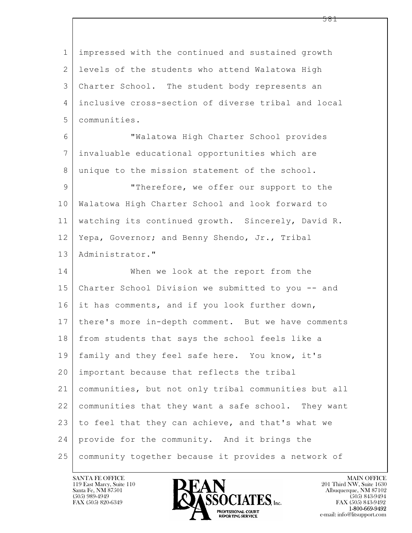$\mathbf{L}$  1 impressed with the continued and sustained growth 2 levels of the students who attend Walatowa High 3 Charter School. The student body represents an 4 inclusive cross-section of diverse tribal and local 5 communities. 6 "Walatowa High Charter School provides 7 invaluable educational opportunities which are 8 unique to the mission statement of the school. 9 "Therefore, we offer our support to the 10 Walatowa High Charter School and look forward to 11 watching its continued growth. Sincerely, David R. 12 Yepa, Governor; and Benny Shendo, Jr., Tribal 13 Administrator." 14 When we look at the report from the 15 Charter School Division we submitted to you -- and 16 it has comments, and if you look further down, 17 there's more in-depth comment. But we have comments 18 from students that says the school feels like a 19 family and they feel safe here. You know, it's 20 important because that reflects the tribal 21 communities, but not only tribal communities but all 22 communities that they want a safe school. They want 23 to feel that they can achieve, and that's what we 24 provide for the community. And it brings the 25 community together because it provides a network of

119 East Marcy, Suite 110<br>Santa Fe, NM 87501



FAX (505) 843-9492 e-mail: info@litsupport.com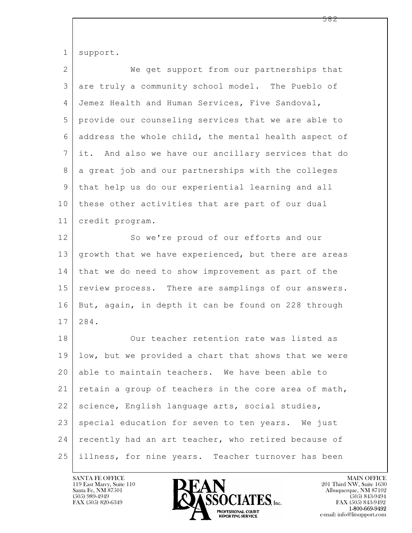| $\mathbf 1$    | support.                                             |
|----------------|------------------------------------------------------|
| $\mathbf{2}$   | We get support from our partnerships that            |
| 3              | are truly a community school model. The Pueblo of    |
| $\overline{4}$ | Jemez Health and Human Services, Five Sandoval,      |
| 5              | provide our counseling services that we are able to  |
| 6              | address the whole child, the mental health aspect of |
| 7              | it. And also we have our ancillary services that do  |
| 8              | a great job and our partnerships with the colleges   |
| $\mathsf 9$    | that help us do our experiential learning and all    |
| 10             | these other activities that are part of our dual     |
| 11             | credit program.                                      |
| 12             | So we're proud of our efforts and our                |
| 13             | growth that we have experienced, but there are areas |
| 14             | that we do need to show improvement as part of the   |
| 15             | review process. There are samplings of our answers.  |
| 16             | But, again, in depth it can be found on 228 through  |
| 17             | 284.                                                 |
| 18             | Our teacher retention rate was listed as             |
| 19             | low, but we provided a chart that shows that we were |
| 20             | able to maintain teachers. We have been able to      |
| 21             | retain a group of teachers in the core area of math, |
| 22             | science, English language arts, social studies,      |
| 23             | special education for seven to ten years. We just    |
| 24             | recently had an art teacher, who retired because of  |
| 25             | illness, for nine years. Teacher turnover has been   |

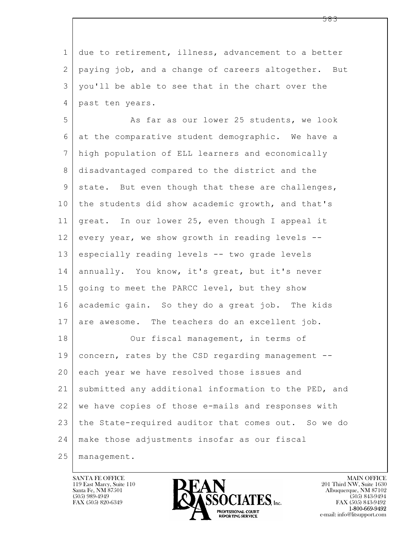| $\mathbf{1}$ | due to retirement, illness, advancement to a better  |
|--------------|------------------------------------------------------|
| 2            | paying job, and a change of careers altogether. But  |
| 3            | you'll be able to see that in the chart over the     |
| 4            | past ten years.                                      |
| 5            | As far as our lower 25 students, we look             |
| 6            | at the comparative student demographic. We have a    |
| 7            | high population of ELL learners and economically     |
| 8            | disadvantaged compared to the district and the       |
| 9            | state. But even though that these are challenges,    |
| 10           | the students did show academic growth, and that's    |
| 11           | great. In our lower 25, even though I appeal it      |
| 12           | every year, we show growth in reading levels --      |
| 13           | especially reading levels -- two grade levels        |
| 14           | annually. You know, it's great, but it's never       |
| 15           | going to meet the PARCC level, but they show         |
| 16           | academic gain. So they do a great job. The kids      |
| 17           | are awesome. The teachers do an excellent job.       |
| 18           | Our fiscal management, in terms of                   |
| 19           | concern, rates by the CSD regarding management --    |
| 20           | each year we have resolved those issues and          |
| 21           | submitted any additional information to the PED, and |
| 22           | we have copies of those e-mails and responses with   |
| 23           | the State-required auditor that comes out. So we do  |
| 24           | make those adjustments insofar as our fiscal         |
| 25           | management.                                          |

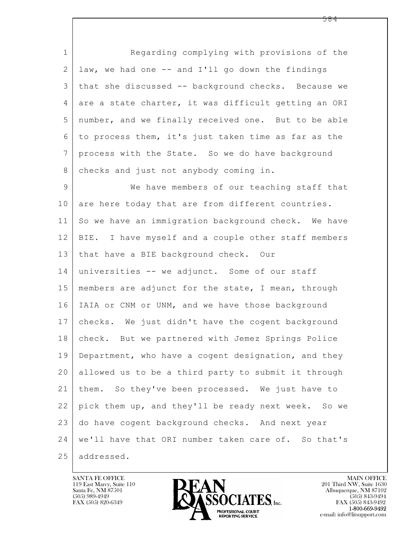$\mathbf{L}$  1 Regarding complying with provisions of the  $2$  law, we had one  $-$  and I'll go down the findings 3 that she discussed -- background checks. Because we 4 are a state charter, it was difficult getting an ORI 5 number, and we finally received one. But to be able 6 to process them, it's just taken time as far as the 7 process with the State. So we do have background 8 checks and just not anybody coming in. 9 We have members of our teaching staff that 10 are here today that are from different countries. 11 So we have an immigration background check. We have 12 BIE. I have myself and a couple other staff members 13 that have a BIE background check. Our 14 universities -- we adjunct. Some of our staff 15 members are adjunct for the state, I mean, through 16 | IAIA or CNM or UNM, and we have those background 17 checks. We just didn't have the cogent background 18 check. But we partnered with Jemez Springs Police 19 Department, who have a cogent designation, and they 20 allowed us to be a third party to submit it through 21 them. So they've been processed. We just have to 22 pick them up, and they'll be ready next week. So we 23 do have cogent background checks. And next year 24 we'll have that ORI number taken care of. So that's 25 addressed.

119 East Marcy, Suite 110<br>Santa Fe, NM 87501

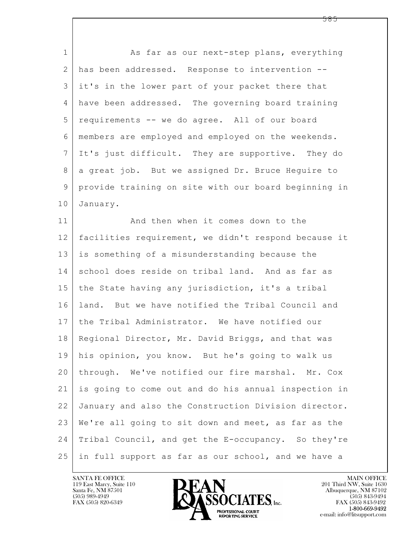| $\mathbf 1$  | As far as our next-step plans, everything            |
|--------------|------------------------------------------------------|
| $\mathbf{2}$ | has been addressed. Response to intervention --      |
| 3            | it's in the lower part of your packet there that     |
| 4            | have been addressed. The governing board training    |
| 5            | requirements -- we do agree. All of our board        |
| 6            | members are employed and employed on the weekends.   |
| 7            | It's just difficult. They are supportive. They do    |
| 8            | a great job. But we assigned Dr. Bruce Heguire to    |
| 9            | provide training on site with our board beginning in |
| 10           | January.                                             |
| 11           | And then when it comes down to the                   |
| 12           | facilities requirement, we didn't respond because it |
| 13           | is something of a misunderstanding because the       |
| 14           | school does reside on tribal land. And as far as     |
| 15           | the State having any jurisdiction, it's a tribal     |
| 16           | land. But we have notified the Tribal Council and    |
| 17           | the Tribal Administrator. We have notified our       |
|              | 18 Regional Director, Mr. David Briggs, and that was |
| 19           | his opinion, you know. But he's going to walk us     |
| 20           | through. We've notified our fire marshal. Mr. Cox    |
| 21           | is going to come out and do his annual inspection in |
| 22           | January and also the Construction Division director. |
| 23           | We're all going to sit down and meet, as far as the  |
| 24           | Tribal Council, and get the E-occupancy. So they're  |
| 25           | in full support as far as our school, and we have a  |

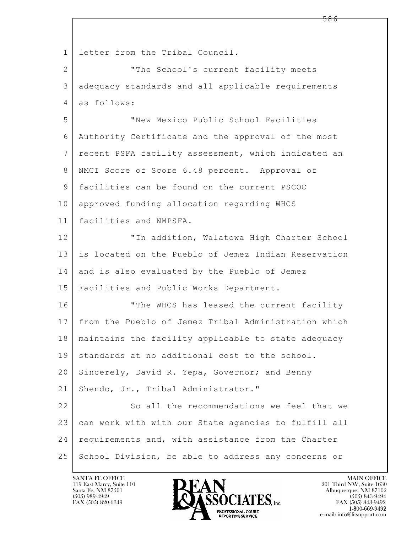$\mathbf{L}$  1 letter from the Tribal Council. 2 | The School's current facility meets 3 adequacy standards and all applicable requirements 4 as follows: 5 "New Mexico Public School Facilities 6 Authority Certificate and the approval of the most 7 | recent PSFA facility assessment, which indicated an 8 NMCI Score of Score 6.48 percent. Approval of 9 facilities can be found on the current PSCOC 10 approved funding allocation regarding WHCS 11 facilities and NMPSFA. 12 "In addition, Walatowa High Charter School 13 is located on the Pueblo of Jemez Indian Reservation 14 and is also evaluated by the Pueblo of Jemez 15 Facilities and Public Works Department. 16 **The WHCS has leased the current facility** 17 from the Pueblo of Jemez Tribal Administration which 18 maintains the facility applicable to state adequacy  $19$  standards at no additional cost to the school. 20 Sincerely, David R. Yepa, Governor; and Benny 21 Shendo, Jr., Tribal Administrator." 22 So all the recommendations we feel that we 23 can work with with our State agencies to fulfill all 24 requirements and, with assistance from the Charter 25 School Division, be able to address any concerns or

119 East Marcy, Suite 110<br>Santa Fe, NM 87501

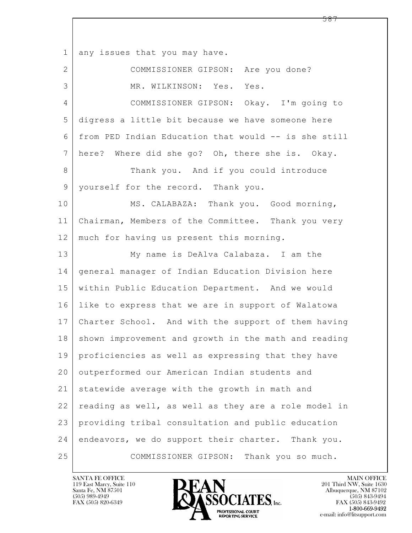$\mathbf{L}$  1 any issues that you may have. 2 COMMISSIONER GIPSON: Are you done? 3 MR. WILKINSON: Yes. Yes. 4 COMMISSIONER GIPSON: Okay. I'm going to 5 digress a little bit because we have someone here 6 from PED Indian Education that would -- is she still 7 here? Where did she go? Oh, there she is. Okay. 8 Thank you. And if you could introduce 9 | yourself for the record. Thank you. 10 MS. CALABAZA: Thank you. Good morning, 11 Chairman, Members of the Committee. Thank you very 12 | much for having us present this morning. 13 My name is DeAlva Calabaza. I am the 14 general manager of Indian Education Division here 15 within Public Education Department. And we would 16 like to express that we are in support of Walatowa 17 Charter School. And with the support of them having 18 | shown improvement and growth in the math and reading 19 proficiencies as well as expressing that they have 20 outperformed our American Indian students and 21 statewide average with the growth in math and 22 reading as well, as well as they are a role model in 23 providing tribal consultation and public education 24 endeavors, we do support their charter. Thank you. 25 COMMISSIONER GIPSON: Thank you so much.

119 East Marcy, Suite 110<br>Santa Fe, NM 87501

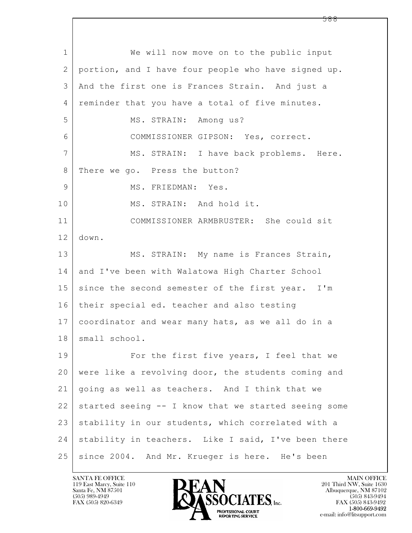$\mathbf{L}$  1 We will now move on to the public input 2 portion, and I have four people who have signed up. 3 And the first one is Frances Strain. And just a 4 | reminder that you have a total of five minutes. 5 MS. STRAIN: Among us? 6 COMMISSIONER GIPSON: Yes, correct. 7 | MS. STRAIN: I have back problems. Here. 8 There we go. Press the button? 9 MS. FRIEDMAN: Yes. 10 MS. STRAIN: And hold it. 11 COMMISSIONER ARMBRUSTER: She could sit 12 down. 13 MS. STRAIN: My name is Frances Strain, 14 and I've been with Walatowa High Charter School 15 since the second semester of the first year. I'm 16 their special ed. teacher and also testing 17 coordinator and wear many hats, as we all do in a 18 | small school. 19 | For the first five years, I feel that we 20 were like a revolving door, the students coming and 21 going as well as teachers. And I think that we  $22$  started seeing  $-$  I know that we started seeing some 23 stability in our students, which correlated with a 24 stability in teachers. Like I said, I've been there 25 since 2004. And Mr. Krueger is here. He's been

119 East Marcy, Suite 110<br>Santa Fe, NM 87501



FAX (505) 843-9492 e-mail: info@litsupport.com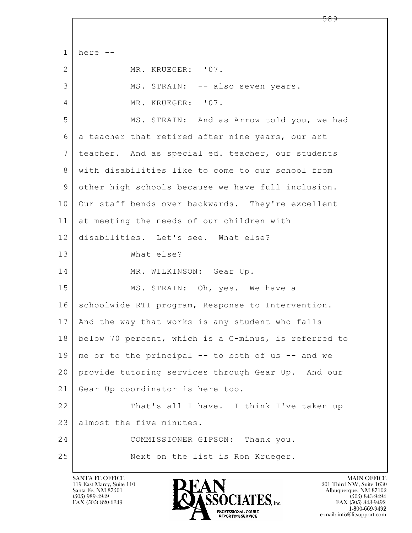$\mathbf{L}$   $1$  here  $-$ 2 MR. KRUEGER: '07. 3 MS. STRAIN: -- also seven years. 4 MR. KRUEGER: '07. 5 MS. STRAIN: And as Arrow told you, we had 6 a teacher that retired after nine years, our art 7 | teacher. And as special ed. teacher, our students 8 with disabilities like to come to our school from 9 other high schools because we have full inclusion. 10 Our staff bends over backwards. They're excellent 11 at meeting the needs of our children with 12 disabilities. Let's see. What else? 13 What else? 14 MR. WILKINSON: Gear Up. 15 | MS. STRAIN: Oh, yes. We have a 16 Schoolwide RTI program, Response to Intervention. 17 | And the way that works is any student who falls 18 below 70 percent, which is a C-minus, is referred to  $19 \mid$  me or to the principal -- to both of us -- and we 20 provide tutoring services through Gear Up. And our 21 Gear Up coordinator is here too. 22 That's all I have. I think I've taken up 23 almost the five minutes. 24 COMMISSIONER GIPSON: Thank you. 25 Next on the list is Ron Krueger.

119 East Marcy, Suite 110<br>Santa Fe, NM 87501



FAX (505) 843-9492 e-mail: info@litsupport.com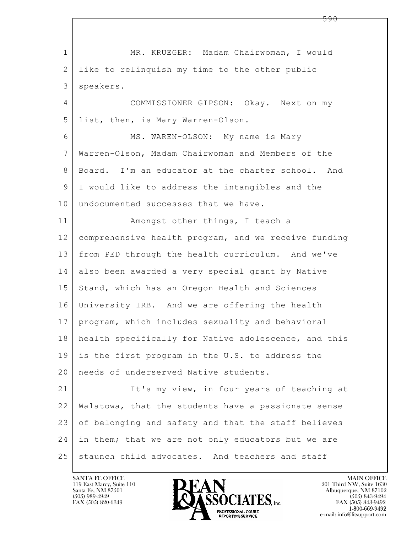$\mathbf{L}$  1 MR. KRUEGER: Madam Chairwoman, I would 2 like to relinquish my time to the other public 3 speakers. 4 COMMISSIONER GIPSON: Okay. Next on my 5 list, then, is Mary Warren-Olson. 6 MS. WAREN-OLSON: My name is Mary 7 Warren-Olson, Madam Chairwoman and Members of the 8 Board. I'm an educator at the charter school. And 9 I would like to address the intangibles and the 10 undocumented successes that we have. 11 | Amongst other things, I teach a 12 comprehensive health program, and we receive funding 13 from PED through the health curriculum. And we've 14 also been awarded a very special grant by Native 15 Stand, which has an Oregon Health and Sciences 16 University IRB. And we are offering the health 17 program, which includes sexuality and behavioral 18 health specifically for Native adolescence, and this 19 is the first program in the U.S. to address the 20 needs of underserved Native students. 21 It's my view, in four years of teaching at 22 Walatowa, that the students have a passionate sense 23 of belonging and safety and that the staff believes 24 in them; that we are not only educators but we are 25 staunch child advocates. And teachers and staff

119 East Marcy, Suite 110<br>Santa Fe, NM 87501

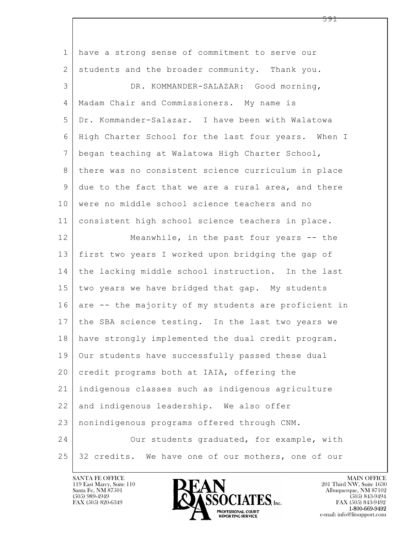| $\mathbf 1$     | have a strong sense of commitment to serve our       |
|-----------------|------------------------------------------------------|
| 2               | students and the broader community. Thank you.       |
| 3               | DR. KOMMANDER-SALAZAR: Good morning,                 |
| 4               | Madam Chair and Commissioners. My name is            |
| 5               | Dr. Kommander-Salazar. I have been with Walatowa     |
| 6               | High Charter School for the last four years. When I  |
| $7\overline{ }$ | began teaching at Walatowa High Charter School,      |
| 8               | there was no consistent science curriculum in place  |
| 9               | due to the fact that we are a rural area, and there  |
| 10              | were no middle school science teachers and no        |
| 11              | consistent high school science teachers in place.    |
| 12              | Meanwhile, in the past four years -- the             |
| 13              | first two years I worked upon bridging the gap of    |
| 14              | the lacking middle school instruction. In the last   |
| 15              | two years we have bridged that gap. My students      |
| 16              | are -- the majority of my students are proficient in |
| 17              | the SBA science testing. In the last two years we    |
| 18              | have strongly implemented the dual credit program.   |
| 19              | Our students have successfully passed these dual     |
| 20              | credit programs both at IAIA, offering the           |
| 21              | indigenous classes such as indigenous agriculture    |
| 22              | and indigenous leadership. We also offer             |
| 23              | nonindigenous programs offered through CNM.          |
| 24              | Our students graduated, for example, with            |
| 25              | 32 credits. We have one of our mothers, one of our   |

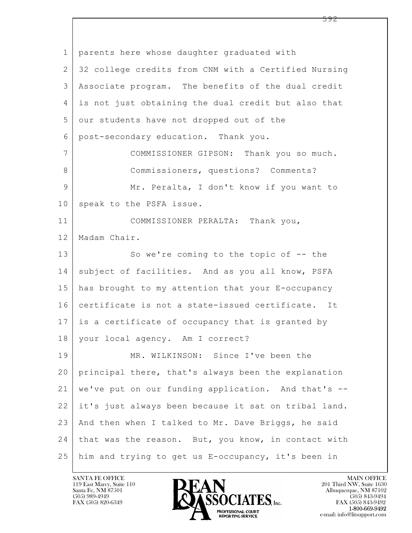$\mathbf{L}$  1 parents here whose daughter graduated with 2 32 college credits from CNM with a Certified Nursing 3 Associate program. The benefits of the dual credit 4 is not just obtaining the dual credit but also that 5 our students have not dropped out of the 6 post-secondary education. Thank you. 7 COMMISSIONER GIPSON: Thank you so much. 8 Commissioners, questions? Comments? 9 Mr. Peralta, I don't know if you want to 10 speak to the PSFA issue. 11 COMMISSIONER PERALTA: Thank you, 12 Madam Chair. 13 So we're coming to the topic of -- the 14 subject of facilities. And as you all know, PSFA 15 has brought to my attention that your E-occupancy 16 certificate is not a state-issued certificate. It 17 is a certificate of occupancy that is granted by 18 your local agency. Am I correct? 19 MR. WILKINSON: Since I've been the 20 principal there, that's always been the explanation 21 we've put on our funding application. And that's -- 22 it's just always been because it sat on tribal land. 23 And then when I talked to Mr. Dave Briggs, he said 24 | that was the reason. But, you know, in contact with 25 him and trying to get us E-occupancy, it's been in

119 East Marcy, Suite 110<br>Santa Fe, NM 87501

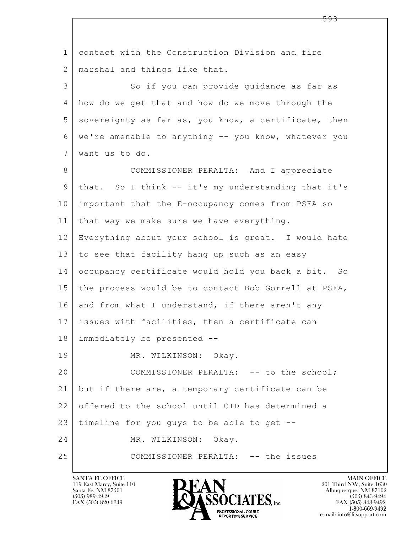$\mathbf{L}$  1 contact with the Construction Division and fire 2 | marshal and things like that. 3 So if you can provide quidance as far as 4 how do we get that and how do we move through the  $5$  sovereignty as far as, you know, a certificate, then 6 we're amenable to anything -- you know, whatever you 7 want us to do. 8 | COMMISSIONER PERALTA: And I appreciate 9 that. So I think -- it's my understanding that it's 10 important that the E-occupancy comes from PSFA so 11 | that way we make sure we have everything. 12 Everything about your school is great. I would hate 13 to see that facility hang up such as an easy 14 occupancy certificate would hold you back a bit. So 15 the process would be to contact Bob Gorrell at PSFA, 16 and from what I understand, if there aren't any 17 issues with facilities, then a certificate can 18 immediately be presented -- 19 MR. WILKINSON: Okay. 20 COMMISSIONER PERALTA: -- to the school; 21 but if there are, a temporary certificate can be 22 offered to the school until CID has determined a  $23$  timeline for you guys to be able to get  $-$ 24 MR. WILKINSON: Okay. 25 COMMISSIONER PERALTA: -- the issues

119 East Marcy, Suite 110<br>Santa Fe, NM 87501

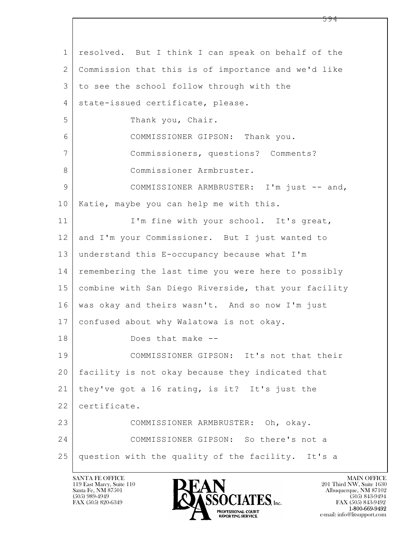$\mathbf{L}$  1 resolved. But I think I can speak on behalf of the 2 Commission that this is of importance and we'd like 3 to see the school follow through with the 4 | state-issued certificate, please. 5 Thank you, Chair. 6 COMMISSIONER GIPSON: Thank you. 7 Commissioners, questions? Comments? 8 Commissioner Armbruster. 9 COMMISSIONER ARMBRUSTER: I'm just -- and, 10 Katie, maybe you can help me with this. 11 | I'm fine with your school. It's great, 12 and I'm your Commissioner. But I just wanted to 13 understand this E-occupancy because what I'm 14 remembering the last time you were here to possibly 15 combine with San Diego Riverside, that your facility 16 was okay and theirs wasn't. And so now I'm just 17 confused about why Walatowa is not okay. 18 Does that make -- 19 COMMISSIONER GIPSON: It's not that their 20 facility is not okay because they indicated that 21 they've got a 16 rating, is it? It's just the 22 certificate. 23 COMMISSIONER ARMBRUSTER: Oh, okay. 24 COMMISSIONER GIPSON: So there's not a 25 question with the quality of the facility. It's a

119 East Marcy, Suite 110<br>Santa Fe, NM 87501

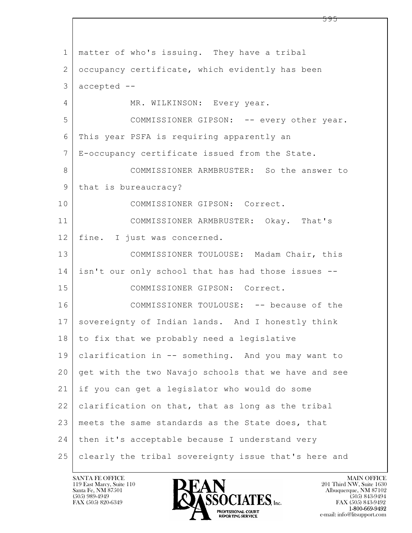$\mathbf{L}$  1 matter of who's issuing. They have a tribal 2 occupancy certificate, which evidently has been  $3$  accepted  $-$ 4 MR. WILKINSON: Every year. 5 COMMISSIONER GIPSON: -- every other year. 6 This year PSFA is requiring apparently an 7 E-occupancy certificate issued from the State. 8 COMMISSIONER ARMBRUSTER: So the answer to 9 | that is bureaucracy? 10 COMMISSIONER GIPSON: Correct. 11 COMMISSIONER ARMBRUSTER: Okay. That's 12 | fine. I just was concerned. 13 COMMISSIONER TOULOUSE: Madam Chair, this 14 isn't our only school that has had those issues -- 15 COMMISSIONER GIPSON: Correct. 16 COMMISSIONER TOULOUSE: -- because of the 17 sovereignty of Indian lands. And I honestly think 18 to fix that we probably need a legislative 19 clarification in -- something. And you may want to 20 get with the two Navajo schools that we have and see 21 if you can get a legislator who would do some 22 clarification on that, that as long as the tribal 23 | meets the same standards as the State does, that 24 | then it's acceptable because I understand very 25 clearly the tribal sovereignty issue that's here and

119 East Marcy, Suite 110<br>Santa Fe, NM 87501



FAX (505) 843-9492 e-mail: info@litsupport.com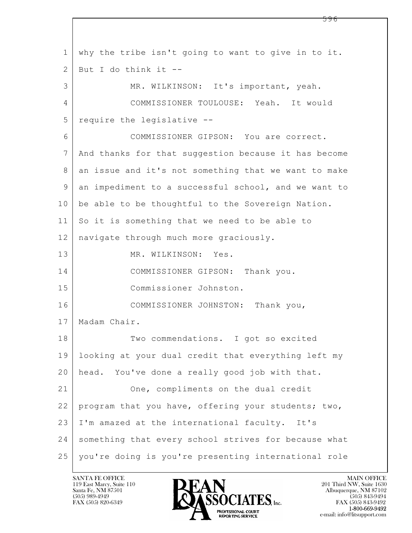$\mathbf{L}$  1 why the tribe isn't going to want to give in to it.  $2$  But I do think it  $-$ 3 MR. WILKINSON: It's important, yeah. 4 COMMISSIONER TOULOUSE: Yeah. It would 5 require the legislative -- 6 COMMISSIONER GIPSON: You are correct. 7 And thanks for that suggestion because it has become 8 an issue and it's not something that we want to make 9 an impediment to a successful school, and we want to 10 be able to be thoughtful to the Sovereign Nation. 11 So it is something that we need to be able to 12 | navigate through much more graciously. 13 MR. WILKINSON: Yes. 14 COMMISSIONER GIPSON: Thank you. 15 Commissioner Johnston. 16 COMMISSIONER JOHNSTON: Thank you, 17 | Madam Chair. 18 Two commendations. I got so excited 19 looking at your dual credit that everything left my 20 head. You've done a really good job with that. 21 One, compliments on the dual credit 22 program that you have, offering your students; two, 23 I'm amazed at the international faculty. It's 24 something that every school strives for because what 25 you're doing is you're presenting international role

119 East Marcy, Suite 110<br>Santa Fe, NM 87501

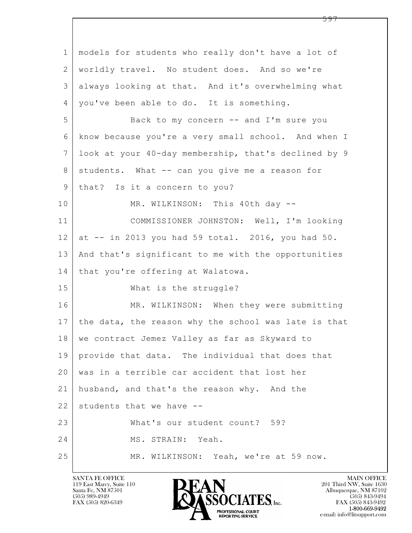| $\mathbf{1}$    | models for students who really don't have a lot of   |
|-----------------|------------------------------------------------------|
| 2               | worldly travel. No student does. And so we're        |
| 3               | always looking at that. And it's overwhelming what   |
| 4               | you've been able to do. It is something.             |
| 5               | Back to my concern -- and I'm sure you               |
| 6               | know because you're a very small school. And when I  |
| $7\phantom{.0}$ | look at your 40-day membership, that's declined by 9 |
| 8               | students. What -- can you give me a reason for       |
| $\mathsf 9$     | that? Is it a concern to you?                        |
| 10              | MR. WILKINSON: This 40th day --                      |
| 11              | COMMISSIONER JOHNSTON: Well, I'm looking             |
| 12              | at $--$ in 2013 you had 59 total. 2016, you had 50.  |
| 13              | And that's significant to me with the opportunities  |
| 14              | that you're offering at Walatowa.                    |
| 15              | What is the struggle?                                |
| 16              | MR. WILKINSON: When they were submitting             |
| 17              | the data, the reason why the school was late is that |
| 18              | we contract Jemez Valley as far as Skyward to        |
| 19              | provide that data. The individual that does that     |
| 20              | was in a terrible car accident that lost her         |
| 21              | husband, and that's the reason why. And the          |
| 22              | students that we have --                             |
| 23              | What's our student count? 59?                        |
| 24              | MS. STRAIN: Yeah.                                    |
| 25              | MR. WILKINSON: Yeah, we're at 59 now.                |

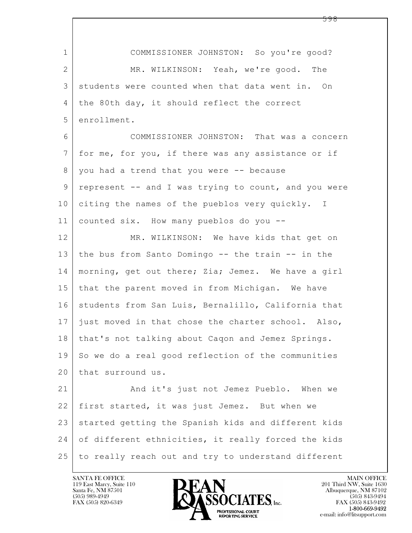| $\mathbf 1$  | COMMISSIONER JOHNSTON: So you're good?               |
|--------------|------------------------------------------------------|
| $\mathbf{2}$ | MR. WILKINSON: Yeah, we're good. The                 |
| 3            | students were counted when that data went in. On     |
| 4            | the 80th day, it should reflect the correct          |
| 5            | enrollment.                                          |
| 6            | COMMISSIONER JOHNSTON: That was a concern            |
| 7            | for me, for you, if there was any assistance or if   |
| 8            | you had a trend that you were -- because             |
| 9            | represent -- and I was trying to count, and you were |
| 10           | citing the names of the pueblos very quickly. I      |
| 11           | counted six. How many pueblos do you --              |
| 12           | MR. WILKINSON: We have kids that get on              |
| 13           | the bus from Santo Domingo -- the train -- in the    |
| 14           | morning, get out there; Zia; Jemez. We have a girl   |
| 15           | that the parent moved in from Michigan. We have      |
| 16           | students from San Luis, Bernalillo, California that  |
| 17           | just moved in that chose the charter school. Also,   |
| 18           | that's not talking about Caqon and Jemez Springs.    |
| 19           | So we do a real good reflection of the communities   |
| 20           | that surround us.                                    |
| 21           | And it's just not Jemez Pueblo. When we              |
| 22           | first started, it was just Jemez. But when we        |
| 23           | started getting the Spanish kids and different kids  |
| 24           | of different ethnicities, it really forced the kids  |
| 25           | to really reach out and try to understand different  |

 $\sqrt{ }$ 

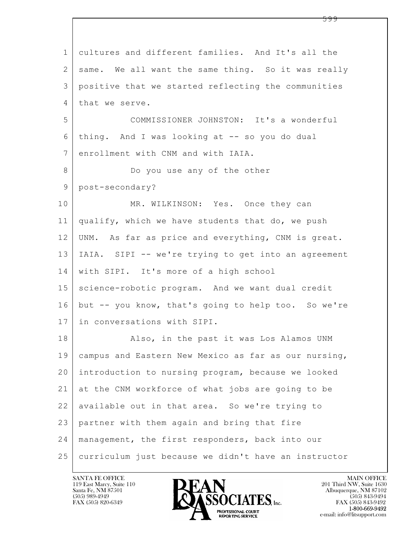| $\mathbf 1$    | cultures and different families. And It's all the    |
|----------------|------------------------------------------------------|
| 2              | same. We all want the same thing. So it was really   |
| 3              | positive that we started reflecting the communities  |
| 4              | that we serve.                                       |
| 5              | COMMISSIONER JOHNSTON: It's a wonderful              |
| 6              | thing. And I was looking at -- so you do dual        |
| $\overline{7}$ | enrollment with CNM and with IAIA.                   |
| 8              | Do you use any of the other                          |
| 9              | post-secondary?                                      |
| 10             | MR. WILKINSON: Yes. Once they can                    |
| 11             | qualify, which we have students that do, we push     |
| 12             | UNM. As far as price and everything, CNM is great.   |
| 13             | IAIA. SIPI -- we're trying to get into an agreement  |
| 14             | with SIPI. It's more of a high school                |
| 15             | science-robotic program. And we want dual credit     |
| 16             | but -- you know, that's going to help too. So we're  |
| 17             | in conversations with SIPI.                          |
| 18             | Also, in the past it was Los Alamos UNM              |
| 19             | campus and Eastern New Mexico as far as our nursing, |
| 20             | introduction to nursing program, because we looked   |
| 21             | at the CNM workforce of what jobs are going to be    |
| 22             | available out in that area. So we're trying to       |
| 23             | partner with them again and bring that fire          |
| 24             | management, the first responders, back into our      |
| 25             | curriculum just because we didn't have an instructor |

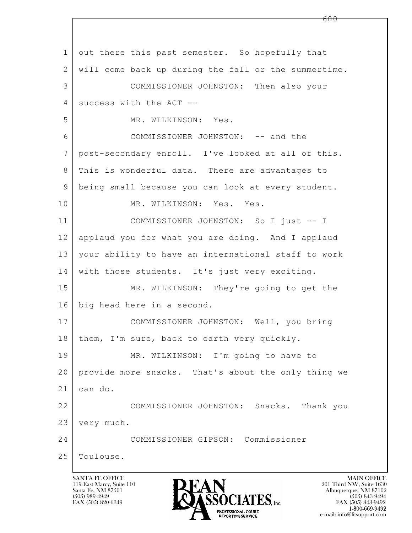$\mathbf{L}$  SANTA FE OFFICE MAIN OFFICE MAIN OFFICE MAIN OFFICE MAIN OFFICE 1 out there this past semester. So hopefully that 2 will come back up during the fall or the summertime. 3 COMMISSIONER JOHNSTON: Then also your  $4$  success with the ACT  $-$ -5 MR. WILKINSON: Yes. 6 COMMISSIONER JOHNSTON: -- and the 7 post-secondary enroll. I've looked at all of this. 8 | This is wonderful data. There are advantages to 9 being small because you can look at every student. 10 MR. WILKINSON: Yes. Yes. 11 COMMISSIONER JOHNSTON: So I just -- I 12 applaud you for what you are doing. And I applaud 13 your ability to have an international staff to work 14 with those students. It's just very exciting. 15 MR. WILKINSON: They're going to get the 16 big head here in a second. 17 COMMISSIONER JOHNSTON: Well, you bring 18 | them, I'm sure, back to earth very quickly. 19 MR. WILKINSON: I'm going to have to 20 provide more snacks. That's about the only thing we 21 can do. 22 COMMISSIONER JOHNSTON: Snacks. Thank you 23 very much. 24 COMMISSIONER GIPSON: Commissioner 25 | Toulouse.

119 East Marcy, Suite 110<br>Santa Fe, NM 87501

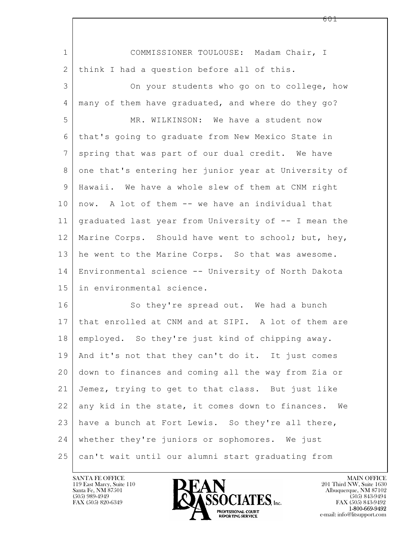| $\mathbf 1$  | COMMISSIONER TOULOUSE: Madam Chair, I                |
|--------------|------------------------------------------------------|
| $\mathbf{2}$ | think I had a question before all of this.           |
| 3            | On your students who go on to college, how           |
| 4            | many of them have graduated, and where do they go?   |
| 5            | MR. WILKINSON: We have a student now                 |
| 6            | that's going to graduate from New Mexico State in    |
| 7            | spring that was part of our dual credit. We have     |
| 8            | one that's entering her junior year at University of |
| 9            | Hawaii. We have a whole slew of them at CNM right    |
| 10           | now. A lot of them -- we have an individual that     |
| 11           | graduated last year from University of -- I mean the |
| 12           | Marine Corps. Should have went to school; but, hey,  |
| 13           | he went to the Marine Corps. So that was awesome.    |
| 14           | Environmental science -- University of North Dakota  |
| 15           | in environmental science.                            |
| 16           | So they're spread out. We had a bunch                |
| 17           | that enrolled at CNM and at SIPI. A lot of them are  |
| 18           | employed. So they're just kind of chipping away.     |
| 19           | And it's not that they can't do it. It just comes    |
| 20           | down to finances and coming all the way from Zia or  |
| 21           | Jemez, trying to get to that class. But just like    |
| 22           | any kid in the state, it comes down to finances. We  |
| 23           | have a bunch at Fort Lewis. So they're all there,    |
| 24           | whether they're juniors or sophomores. We just       |
| 25           | can't wait until our alumni start graduating from    |

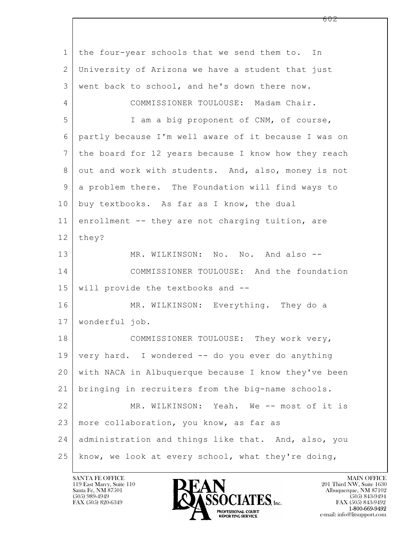$\mathbf{L}$  1 the four-year schools that we send them to. In 2 University of Arizona we have a student that just 3 went back to school, and he's down there now. 4 COMMISSIONER TOULOUSE: Madam Chair. 5 I am a big proponent of CNM, of course, 6 partly because I'm well aware of it because I was on 7 the board for 12 years because I know how they reach 8 out and work with students. And, also, money is not 9 a problem there. The Foundation will find ways to 10 buy textbooks. As far as I know, the dual 11 enrollment -- they are not charging tuition, are 12 they? 13 MR. WILKINSON: No. No. And also --14 COMMISSIONER TOULOUSE: And the foundation 15 will provide the textbooks and -- 16 MR. WILKINSON: Everything. They do a 17 wonderful job. 18 COMMISSIONER TOULOUSE: They work very, 19 very hard. I wondered -- do you ever do anything 20 with NACA in Albuquerque because I know they've been 21 bringing in recruiters from the big-name schools. 22 MR. WILKINSON: Yeah. We -- most of it is 23 | more collaboration, you know, as far as 24 administration and things like that. And, also, you  $25$  know, we look at every school, what they're doing,

119 East Marcy, Suite 110<br>Santa Fe, NM 87501



FAX (505) 843-9492 e-mail: info@litsupport.com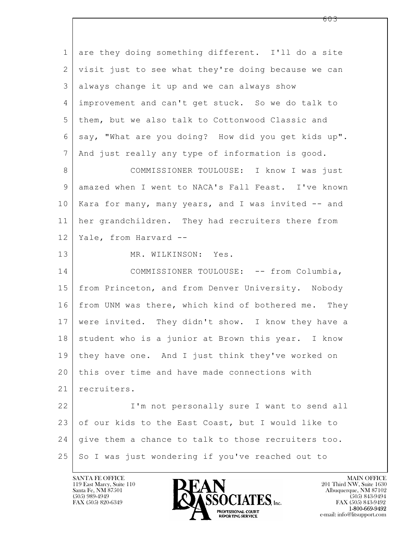$\mathbf{L}$  1 are they doing something different. I'll do a site 2 visit just to see what they're doing because we can 3 always change it up and we can always show 4 improvement and can't get stuck. So we do talk to 5 them, but we also talk to Cottonwood Classic and 6 say, "What are you doing? How did you get kids up". 7 And just really any type of information is good. 8 | COMMISSIONER TOULOUSE: I know I was just 9 amazed when I went to NACA's Fall Feast. I've known 10 | Kara for many, many years, and I was invited -- and 11 her grandchildren. They had recruiters there from 12 Yale, from Harvard -- 13 MR. WILKINSON: Yes. 14 COMMISSIONER TOULOUSE: -- from Columbia, 15 from Princeton, and from Denver University. Nobody 16 | from UNM was there, which kind of bothered me. They 17 were invited. They didn't show. I know they have a 18 | student who is a junior at Brown this year. I know 19 they have one. And I just think they've worked on 20 this over time and have made connections with 21 | recruiters. 22 | I'm not personally sure I want to send all 23 of our kids to the East Coast, but I would like to 24 give them a chance to talk to those recruiters too. 25 So I was just wondering if you've reached out to



FAX (505) 843-9492 e-mail: info@litsupport.com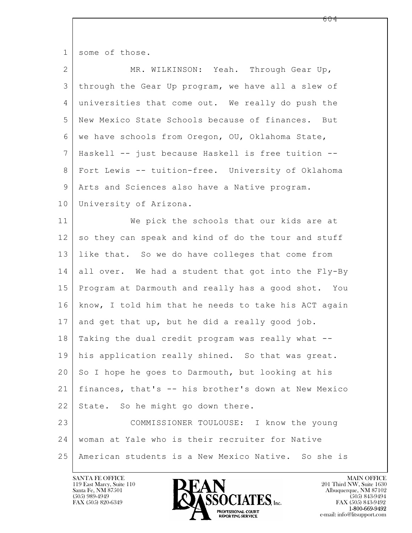1 some of those.

| $\overline{2}$ | MR. WILKINSON: Yeah. Through Gear Up,                |
|----------------|------------------------------------------------------|
| $\mathfrak{Z}$ | through the Gear Up program, we have all a slew of   |
| 4              | universities that come out. We really do push the    |
| 5              | New Mexico State Schools because of finances. But    |
| 6              | we have schools from Oregon, OU, Oklahoma State,     |
| 7              | Haskell -- just because Haskell is free tuition --   |
| 8              | Fort Lewis -- tuition-free. University of Oklahoma   |
| 9              | Arts and Sciences also have a Native program.        |
| 10             | University of Arizona.                               |
| 11             | We pick the schools that our kids are at             |
| 12             | so they can speak and kind of do the tour and stuff  |
| 13             | like that. So we do have colleges that come from     |
| 14             | all over. We had a student that got into the Fly-By  |
| 15             | Program at Darmouth and really has a good shot. You  |
| 16             | know, I told him that he needs to take his ACT again |
| 17             | and get that up, but he did a really good job.       |
| 18             | Taking the dual credit program was really what --    |
| 19             | his application really shined. So that was great.    |
| 20             | So I hope he goes to Darmouth, but looking at his    |
| 21             | finances, that's -- his brother's down at New Mexico |
| 22             | State. So he might go down there.                    |
| 23             | COMMISSIONER TOULOUSE: I know the young              |
| 24             | woman at Yale who is their recruiter for Native      |
| 25             | American students is a New Mexico Native. So she is  |

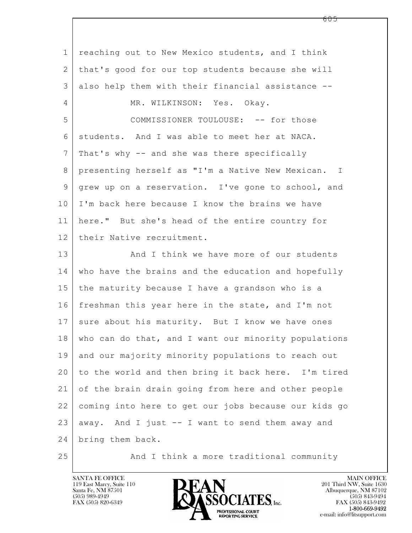$\mathbf{L}$  1 reaching out to New Mexico students, and I think 2 that's good for our top students because she will 3 also help them with their financial assistance -- 4 MR. WILKINSON: Yes. Okay. 5 COMMISSIONER TOULOUSE: -- for those 6 students. And I was able to meet her at NACA. 7 That's why -- and she was there specifically 8 presenting herself as "I'm a Native New Mexican. I 9 | grew up on a reservation. I've gone to school, and 10 I'm back here because I know the brains we have 11 here." But she's head of the entire country for 12 their Native recruitment. 13 And I think we have more of our students 14 | who have the brains and the education and hopefully 15 the maturity because I have a grandson who is a 16 freshman this year here in the state, and I'm not 17 sure about his maturity. But I know we have ones 18 who can do that, and I want our minority populations 19 and our majority minority populations to reach out 20 to the world and then bring it back here. I'm tired 21 of the brain drain going from here and other people 22 coming into here to get our jobs because our kids go  $23$  away. And I just  $-$  I want to send them away and 24 bring them back.

25 And I think a more traditional community

119 East Marcy, Suite 110<br>Santa Fe, NM 87501



FAX (505) 843-9492 e-mail: info@litsupport.com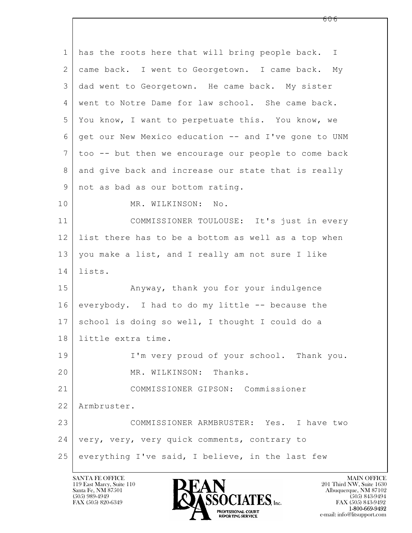$\mathbf{L}$  1 has the roots here that will bring people back. I 2 came back. I went to Georgetown. I came back. My 3 dad went to Georgetown. He came back. My sister 4 went to Notre Dame for law school. She came back. 5 You know, I want to perpetuate this. You know, we 6 get our New Mexico education -- and I've gone to UNM 7 too -- but then we encourage our people to come back 8 and give back and increase our state that is really 9 | not as bad as our bottom rating. 10 MR. WILKINSON: No. 11 COMMISSIONER TOULOUSE: It's just in every 12 list there has to be a bottom as well as a top when 13 you make a list, and I really am not sure I like 14 lists. 15 | Anyway, thank you for your indulgence 16 everybody. I had to do my little -- because the 17 school is doing so well, I thought I could do a 18 little extra time. 19 | I'm very proud of your school. Thank you. 20 MR. WILKINSON: Thanks. 21 COMMISSIONER GIPSON: Commissioner 22 Armbruster. 23 COMMISSIONER ARMBRUSTER: Yes. I have two 24 | very, very, very quick comments, contrary to  $25$  everything I've said, I believe, in the last few

119 East Marcy, Suite 110<br>Santa Fe, NM 87501

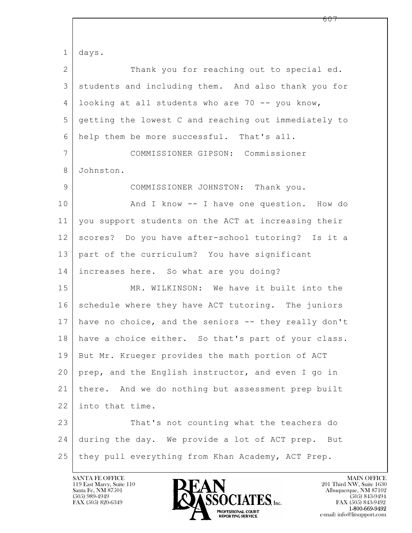$\mathbf{L}$  1 days. 2 Thank you for reaching out to special ed. 3 students and including them. And also thank you for 4 looking at all students who are 70 -- you know, 5 getting the lowest C and reaching out immediately to 6 help them be more successful. That's all. 7 COMMISSIONER GIPSON: Commissioner 8 Johnston. 9 COMMISSIONER JOHNSTON: Thank you. 10 | And I know -- I have one question. How do 11 you support students on the ACT at increasing their 12 scores? Do you have after-school tutoring? Is it a 13 part of the curriculum? You have significant 14 increases here. So what are you doing? 15 MR. WILKINSON: We have it built into the 16 schedule where they have ACT tutoring. The juniors 17 have no choice, and the seniors -- they really don't 18 have a choice either. So that's part of your class. 19 But Mr. Krueger provides the math portion of ACT 20 prep, and the English instructor, and even I go in 21 there. And we do nothing but assessment prep built 22 into that time. 23 That's not counting what the teachers do 24 during the day. We provide a lot of ACT prep. But 25 they pull everything from Khan Academy, ACT Prep.

119 East Marcy, Suite 110<br>Santa Fe, NM 87501

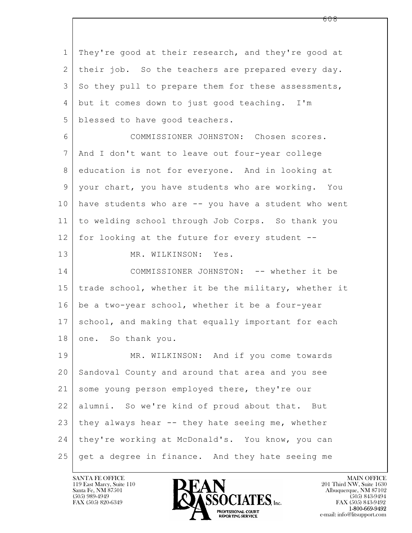$\mathbf{L}$  1 They're good at their research, and they're good at 2 their job. So the teachers are prepared every day. 3 | So they pull to prepare them for these assessments, 4 but it comes down to just good teaching. I'm 5 blessed to have good teachers. 6 COMMISSIONER JOHNSTON: Chosen scores. 7 And I don't want to leave out four-year college 8 education is not for everyone. And in looking at 9 your chart, you have students who are working. You 10 have students who are -- you have a student who went 11 to welding school through Job Corps. So thank you 12 for looking at the future for every student -- 13 MR. WILKINSON: Yes. 14 COMMISSIONER JOHNSTON: -- whether it be 15 trade school, whether it be the military, whether it  $16$  be a two-year school, whether it be a four-year 17 school, and making that equally important for each 18 one. So thank you. 19 | MR. WILKINSON: And if you come towards 20 Sandoval County and around that area and you see 21 some young person employed there, they're our 22 alumni. So we're kind of proud about that. But  $23$  | they always hear -- they hate seeing me, whether 24 | they're working at McDonald's. You know, you can 25 get a degree in finance. And they hate seeing me

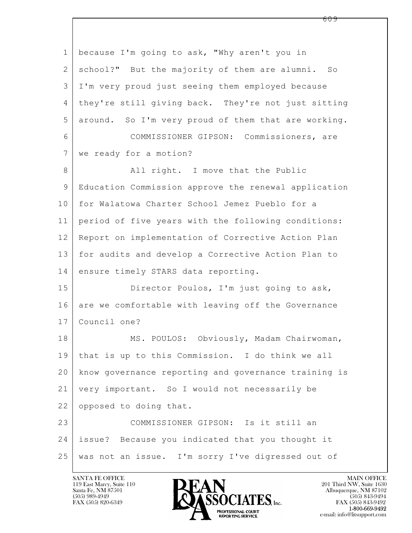$\mathbf{L}$  1 | because I'm going to ask, "Why aren't you in 2 | school?" But the majority of them are alumni. So 3 I'm very proud just seeing them employed because 4 they're still giving back. They're not just sitting 5 around. So I'm very proud of them that are working. 6 COMMISSIONER GIPSON: Commissioners, are 7 we ready for a motion? 8 | All right. I move that the Public 9 Education Commission approve the renewal application 10 for Walatowa Charter School Jemez Pueblo for a 11 period of five years with the following conditions: 12 Report on implementation of Corrective Action Plan 13 for audits and develop a Corrective Action Plan to 14 ensure timely STARS data reporting. 15 Director Poulos, I'm just going to ask, 16 are we comfortable with leaving off the Governance 17 Council one? 18 | MS. POULOS: Obviously, Madam Chairwoman, 19 that is up to this Commission. I do think we all 20 know governance reporting and governance training is 21 very important. So I would not necessarily be 22 opposed to doing that. 23 COMMISSIONER GIPSON: Is it still an 24 issue? Because you indicated that you thought it 25 was not an issue. I'm sorry I've digressed out of

119 East Marcy, Suite 110<br>Santa Fe, NM 87501



FAX (505) 843-9492 e-mail: info@litsupport.com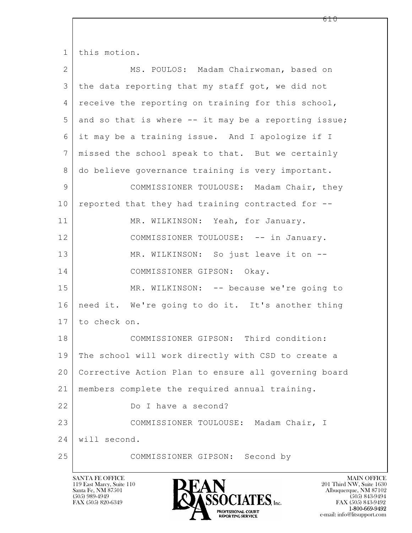| $\mathbf{1}$ | this motion.                                         |  |  |  |  |
|--------------|------------------------------------------------------|--|--|--|--|
| 2            | MS. POULOS: Madam Chairwoman, based on               |  |  |  |  |
| 3            | the data reporting that my staff got, we did not     |  |  |  |  |
| 4            | receive the reporting on training for this school,   |  |  |  |  |
| 5            | and so that is where -- it may be a reporting issue; |  |  |  |  |
| 6            | it may be a training issue. And I apologize if I     |  |  |  |  |
| 7            | missed the school speak to that. But we certainly    |  |  |  |  |
| 8            | do believe governance training is very important.    |  |  |  |  |
| 9            | COMMISSIONER TOULOUSE: Madam Chair, they             |  |  |  |  |
| 10           | reported that they had training contracted for --    |  |  |  |  |
| 11           | MR. WILKINSON: Yeah, for January.                    |  |  |  |  |
| 12           | COMMISSIONER TOULOUSE: -- in January.                |  |  |  |  |
| 13           | MR. WILKINSON: So just leave it on --                |  |  |  |  |
| 14           | COMMISSIONER GIPSON: Okay.                           |  |  |  |  |
| 15           | MR. WILKINSON: -- because we're going to             |  |  |  |  |
| 16           | need it. We're going to do it. It's another thing    |  |  |  |  |
| 17           | to check on.                                         |  |  |  |  |
| 18           | COMMISSIONER GIPSON: Third condition:                |  |  |  |  |
| 19           | The school will work directly with CSD to create a   |  |  |  |  |
| 20           | Corrective Action Plan to ensure all governing board |  |  |  |  |
| 21           | members complete the required annual training.       |  |  |  |  |
| 22           | Do I have a second?                                  |  |  |  |  |
| 23           | COMMISSIONER TOULOUSE: Madam Chair, I                |  |  |  |  |
| 24           | will second.                                         |  |  |  |  |
| 25           | COMMISSIONER GIPSON: Second by                       |  |  |  |  |

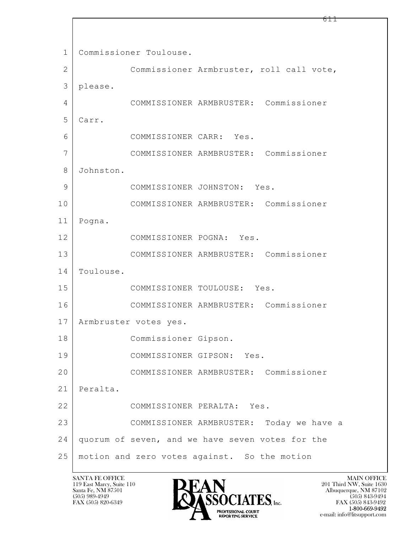$\mathbf{L}$  1 | Commissioner Toulouse. 2 Commissioner Armbruster, roll call vote, 3 please. 4 COMMISSIONER ARMBRUSTER: Commissioner 5 Carr. 6 COMMISSIONER CARR: Yes. 7 COMMISSIONER ARMBRUSTER: Commissioner 8 Johnston. 9 COMMISSIONER JOHNSTON: Yes. 10 COMMISSIONER ARMBRUSTER: Commissioner 11 Pogna. 12 COMMISSIONER POGNA: Yes. 13 COMMISSIONER ARMBRUSTER: Commissioner 14 Toulouse. 15 COMMISSIONER TOULOUSE: Yes. 16 COMMISSIONER ARMBRUSTER: Commissioner 17 | Armbruster votes yes. 18 Commissioner Gipson. 19 COMMISSIONER GIPSON: Yes. 20 COMMISSIONER ARMBRUSTER: Commissioner 21 Peralta. 22 COMMISSIONER PERALTA: Yes. 23 COMMISSIONER ARMBRUSTER: Today we have a 24 quorum of seven, and we have seven votes for the 25 motion and zero votes against. So the motion

119 East Marcy, Suite 110<br>Santa Fe, NM 87501



 $FAX (505) 843-9492$ <br>1-800-669-9492 e-mail: info@litsupport.com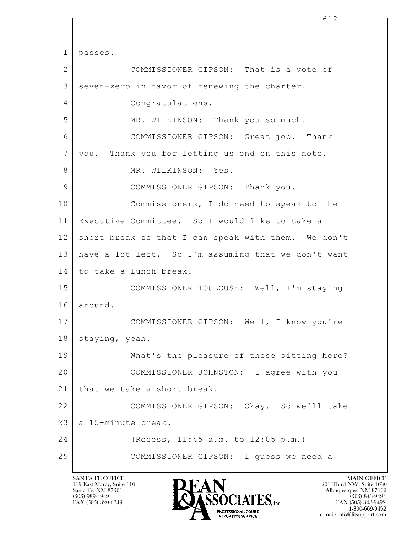$\mathbf{L}$  1 passes. 2 COMMISSIONER GIPSON: That is a vote of 3 seven-zero in favor of renewing the charter. 4 Congratulations. 5 MR. WILKINSON: Thank you so much. 6 COMMISSIONER GIPSON: Great job. Thank 7 you. Thank you for letting us end on this note. 8 MR. WILKINSON: Yes. 9 COMMISSIONER GIPSON: Thank you. 10 Commissioners, I do need to speak to the 11 Executive Committee. So I would like to take a 12 short break so that I can speak with them. We don't 13 have a lot left. So I'm assuming that we don't want 14 to take a lunch break. 15 COMMISSIONER TOULOUSE: Well, I'm staying 16 around. 17 | COMMISSIONER GIPSON: Well, I know you're 18 | staying, yeah. 19 What's the pleasure of those sitting here? 20 COMMISSIONER JOHNSTON: I agree with you 21 | that we take a short break. 22 COMMISSIONER GIPSON: Okay. So we'll take  $23$  a 15-minute break. 24 (Recess, 11:45 a.m. to 12:05 p.m.) 25 COMMISSIONER GIPSON: I guess we need a

119 East Marcy, Suite 110<br>Santa Fe, NM 87501

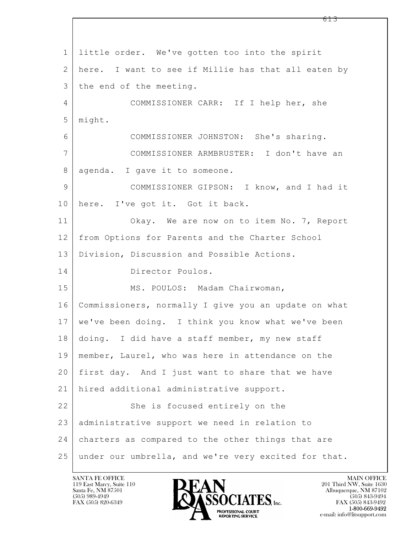$\mathbf{L}$  1 little order. We've gotten too into the spirit 2 here. I want to see if Millie has that all eaten by 3 the end of the meeting. 4 COMMISSIONER CARR: If I help her, she 5 might. 6 COMMISSIONER JOHNSTON: She's sharing. 7 COMMISSIONER ARMBRUSTER: I don't have an 8 | agenda. I gave it to someone. 9 COMMISSIONER GIPSON: I know, and I had it 10 here. I've got it. Got it back. 11 | Okay. We are now on to item No. 7, Report 12 from Options for Parents and the Charter School 13 Division, Discussion and Possible Actions. 14 Director Poulos. 15 | MS. POULOS: Madam Chairwoman, 16 Commissioners, normally I give you an update on what 17 we've been doing. I think you know what we've been 18 | doing. I did have a staff member, my new staff 19 member, Laurel, who was here in attendance on the 20 first day. And I just want to share that we have 21 hired additional administrative support. 22 She is focused entirely on the 23 administrative support we need in relation to 24 charters as compared to the other things that are 25 under our umbrella, and we're very excited for that.

119 East Marcy, Suite 110<br>Santa Fe, NM 87501



FAX (505) 843-9492 e-mail: info@litsupport.com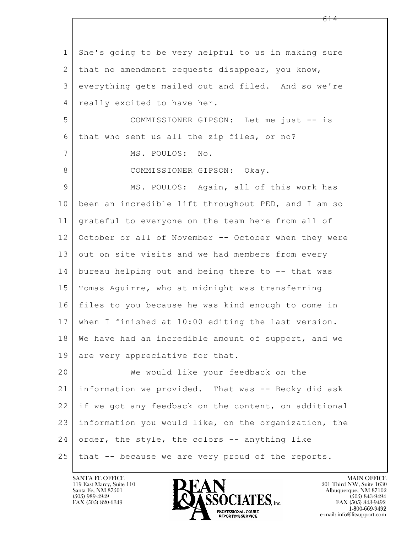$\mathbf{L}$  1 She's going to be very helpful to us in making sure 2 | that no amendment requests disappear, you know, 3 everything gets mailed out and filed. And so we're 4 | really excited to have her. 5 COMMISSIONER GIPSON: Let me just -- is 6 that who sent us all the zip files, or no? 7 MS. POULOS: No. 8 COMMISSIONER GIPSON: Okay. 9 MS. POULOS: Again, all of this work has 10 been an incredible lift throughout PED, and I am so 11 grateful to everyone on the team here from all of 12 October or all of November -- October when they were 13 out on site visits and we had members from every 14 bureau helping out and being there to -- that was 15 Tomas Aguirre, who at midnight was transferring 16 files to you because he was kind enough to come in 17 when I finished at 10:00 editing the last version. 18 We have had an incredible amount of support, and we 19 are very appreciative for that. 20 We would like your feedback on the 21 information we provided. That was -- Becky did ask 22 if we got any feedback on the content, on additional 23 information you would like, on the organization, the  $24$  order, the style, the colors  $-$  anything like 25 that -- because we are very proud of the reports.

119 East Marcy, Suite 110<br>Santa Fe, NM 87501

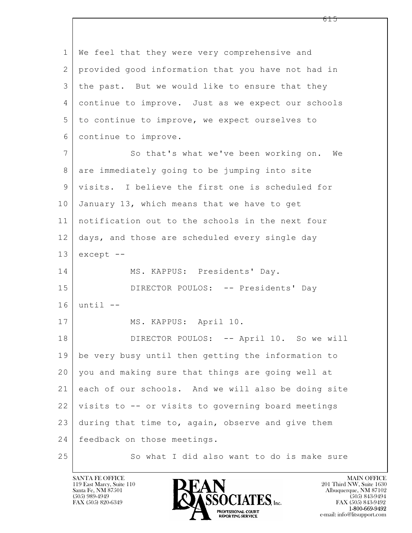$\mathbf{L}$  1 We feel that they were very comprehensive and 2 provided good information that you have not had in 3 the past. But we would like to ensure that they 4 continue to improve. Just as we expect our schools 5 to continue to improve, we expect ourselves to 6 continue to improve. 7 So that's what we've been working on. We 8 are immediately going to be jumping into site 9 visits. I believe the first one is scheduled for 10 January 13, which means that we have to get 11 notification out to the schools in the next four 12 days, and those are scheduled every single day  $13$  except  $-$ 14 MS. KAPPUS: Presidents' Day. 15 | DIRECTOR POULOS: -- Presidents' Day 16 until -- 17 | MS. KAPPUS: April 10. 18 DIRECTOR POULOS: -- April 10. So we will 19 be very busy until then getting the information to 20 you and making sure that things are going well at 21 each of our schools. And we will also be doing site 22 visits to -- or visits to governing board meetings  $23$  during that time to, again, observe and give them 24 | feedback on those meetings. 25 So what I did also want to do is make sure

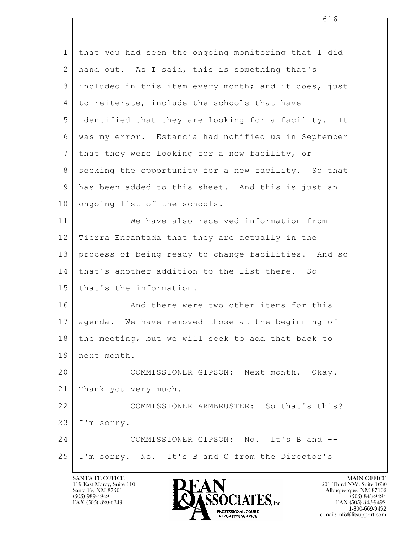| $\mathbf 1$    | that you had seen the ongoing monitoring that I did  |
|----------------|------------------------------------------------------|
| 2              | hand out. As I said, this is something that's        |
| 3              | included in this item every month; and it does, just |
| 4              | to reiterate, include the schools that have          |
| 5              | identified that they are looking for a facility. It  |
| 6              | was my error. Estancia had notified us in September  |
| $7\phantom{.}$ | that they were looking for a new facility, or        |
| 8              | seeking the opportunity for a new facility. So that  |
| 9              | has been added to this sheet. And this is just an    |
| 10             | ongoing list of the schools.                         |
| 11             | We have also received information from               |
| 12             | Tierra Encantada that they are actually in the       |
| 13             | process of being ready to change facilities. And so  |
| 14             | that's another addition to the list there. So        |
| 15             | that's the information.                              |
| 16             | And there were two other items for this              |
| 17             | agenda. We have removed those at the beginning of    |
| 18             | the meeting, but we will seek to add that back to    |
| 19             | next month.                                          |
| 20             | COMMISSIONER GIPSON: Next month. Okay.               |
| 21             | Thank you very much.                                 |
| 22             | COMMISSIONER ARMBRUSTER: So that's this?             |
| 23             | I'm sorry.                                           |
| 24             | COMMISSIONER GIPSON: No. It's B and --               |
| 25             | I'm sorry. No. It's B and C from the Director's      |
|                |                                                      |

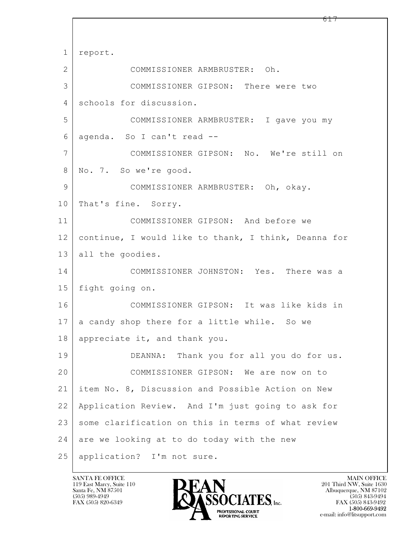$\mathbf{L}$  1 report. 2 COMMISSIONER ARMBRUSTER: Oh. 3 COMMISSIONER GIPSON: There were two 4 schools for discussion. 5 COMMISSIONER ARMBRUSTER: I gave you my 6 agenda. So I can't read -- 7 COMMISSIONER GIPSON: No. We're still on 8 No. 7. So we're good. 9 COMMISSIONER ARMBRUSTER: Oh, okay. 10 | That's fine. Sorry. 11 COMMISSIONER GIPSON: And before we 12 continue, I would like to thank, I think, Deanna for 13 all the goodies. 14 COMMISSIONER JOHNSTON: Yes. There was a 15 fight going on. 16 COMMISSIONER GIPSON: It was like kids in 17 a candy shop there for a little while. So we 18 appreciate it, and thank you. 19 DEANNA: Thank you for all you do for us. 20 COMMISSIONER GIPSON: We are now on to 21 item No. 8, Discussion and Possible Action on New 22 Application Review. And I'm just going to ask for 23 some clarification on this in terms of what review  $24$  are we looking at to do today with the new 25 application? I'm not sure.

119 East Marcy, Suite 110<br>Santa Fe, NM 87501

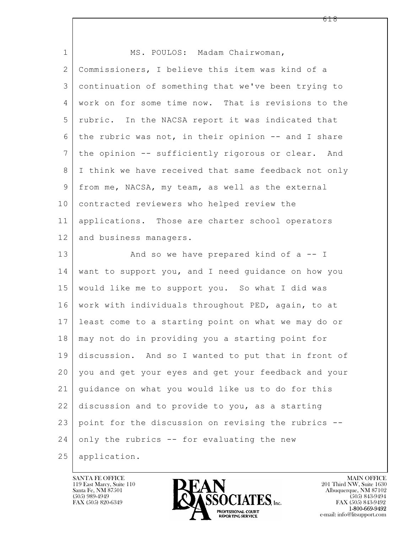| $\mathbf 1$    | MS. POULOS: Madam Chairwoman,                        |
|----------------|------------------------------------------------------|
| $\overline{2}$ | Commissioners, I believe this item was kind of a     |
| 3              | continuation of something that we've been trying to  |
| 4              | work on for some time now. That is revisions to the  |
| 5              | rubric. In the NACSA report it was indicated that    |
| 6              | the rubric was not, in their opinion -- and I share  |
| 7              | the opinion -- sufficiently rigorous or clear. And   |
| 8              | I think we have received that same feedback not only |
| 9              | from me, NACSA, my team, as well as the external     |
| 10             | contracted reviewers who helped review the           |
| 11             | applications. Those are charter school operators     |
| 12             | and business managers.                               |
| 13             | And so we have prepared kind of $a - I$              |
| 14             | want to support you, and I need guidance on how you  |
| 15             | would like me to support you. So what I did was      |
| 16             | work with individuals throughout PED, again, to at   |
| 17             | least come to a starting point on what we may do or  |
| 18             | may not do in providing you a starting point for     |
| 19             | discussion. And so I wanted to put that in front of  |
| 20             | you and get your eyes and get your feedback and your |
| 21             | quidance on what you would like us to do for this    |
| 22             | discussion and to provide to you, as a starting      |
| 23             | point for the discussion on revising the rubrics --  |
| 24             | only the rubrics -- for evaluating the new           |
| 25             | application.                                         |

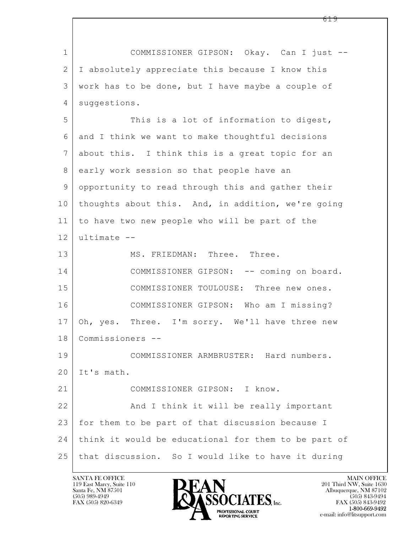$\mathbf{L}$  1 COMMISSIONER GIPSON: Okay. Can I just -- 2 I absolutely appreciate this because I know this 3 work has to be done, but I have maybe a couple of 4 | suggestions. 5 This is a lot of information to digest, 6 and I think we want to make thoughtful decisions 7 about this. I think this is a great topic for an 8 early work session so that people have an 9 opportunity to read through this and gather their 10 thoughts about this. And, in addition, we're going 11 to have two new people who will be part of the  $12$  ultimate  $-$ 13 MS. FRIEDMAN: Three. Three. 14 COMMISSIONER GIPSON: -- coming on board. 15 COMMISSIONER TOULOUSE: Three new ones. 16 COMMISSIONER GIPSON: Who am I missing? 17 Oh, yes. Three. I'm sorry. We'll have three new 18 Commissioners -- 19 COMMISSIONER ARMBRUSTER: Hard numbers. 20 It's math. 21 COMMISSIONER GIPSON: I know. 22 | And I think it will be really important 23 for them to be part of that discussion because I 24 think it would be educational for them to be part of 25 that discussion. So I would like to have it during

119 East Marcy, Suite 110<br>Santa Fe, NM 87501



FAX (505) 843-9492 e-mail: info@litsupport.com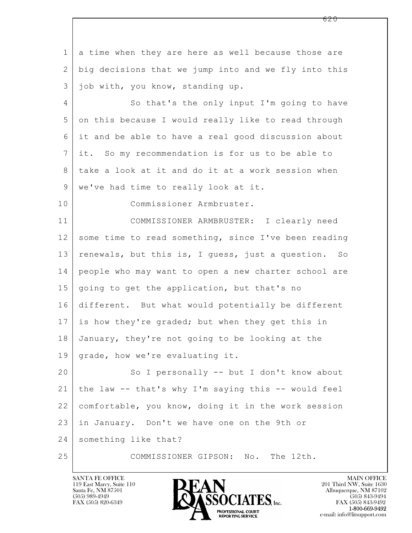$\mathbf{L}$  1 a time when they are here as well because those are 2 big decisions that we jump into and we fly into this 3 job with, you know, standing up. 4 So that's the only input I'm going to have 5 on this because I would really like to read through 6 it and be able to have a real good discussion about 7 it. So my recommendation is for us to be able to 8 take a look at it and do it at a work session when 9 | we've had time to really look at it. 10 Commissioner Armbruster. 11 COMMISSIONER ARMBRUSTER: I clearly need 12 some time to read something, since I've been reading 13 | renewals, but this is, I guess, just a question. So 14 people who may want to open a new charter school are 15 going to get the application, but that's no 16 different. But what would potentially be different 17 is how they're graded; but when they get this in 18 January, they're not going to be looking at the 19 grade, how we're evaluating it. 20 So I personally -- but I don't know about 21 the law -- that's why I'm saying this -- would feel 22 comfortable, you know, doing it in the work session 23 in January. Don't we have one on the 9th or 24 something like that? 25 COMMISSIONER GIPSON: No. The 12th.

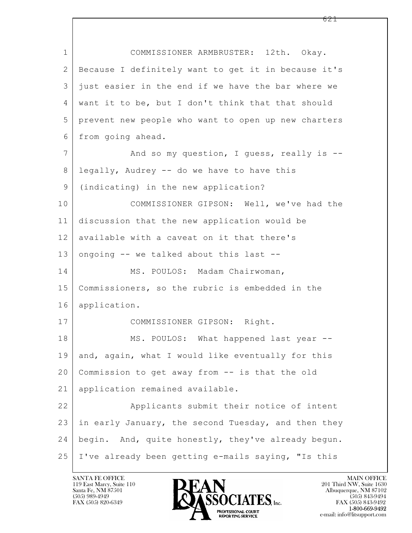| $\mathbf 1$     | COMMISSIONER ARMBRUSTER: 12th. Okay.                |  |  |  |  |  |
|-----------------|-----------------------------------------------------|--|--|--|--|--|
| $\mathbf{2}$    | Because I definitely want to get it in because it's |  |  |  |  |  |
| 3               | just easier in the end if we have the bar where we  |  |  |  |  |  |
| 4               | want it to be, but I don't think that that should   |  |  |  |  |  |
| 5               | prevent new people who want to open up new charters |  |  |  |  |  |
| 6               | from going ahead.                                   |  |  |  |  |  |
| $7\phantom{.0}$ | And so my question, I guess, really is --           |  |  |  |  |  |
| 8               | legally, Audrey -- do we have to have this          |  |  |  |  |  |
| $\mathsf 9$     | (indicating) in the new application?                |  |  |  |  |  |
| 10              | COMMISSIONER GIPSON: Well, we've had the            |  |  |  |  |  |
| 11              | discussion that the new application would be        |  |  |  |  |  |
| 12              | available with a caveat on it that there's          |  |  |  |  |  |
| 13              | ongoing -- we talked about this last --             |  |  |  |  |  |
| 14              | MS. POULOS: Madam Chairwoman,                       |  |  |  |  |  |
| 15              | Commissioners, so the rubric is embedded in the     |  |  |  |  |  |
| 16              | application.                                        |  |  |  |  |  |
| 17              | COMMISSIONER GIPSON: Right.                         |  |  |  |  |  |
| 18              | MS. POULOS: What happened last year --              |  |  |  |  |  |
| 19              | and, again, what I would like eventually for this   |  |  |  |  |  |
| 20              | Commission to get away from -- is that the old      |  |  |  |  |  |
| 21              | application remained available.                     |  |  |  |  |  |
| 22              | Applicants submit their notice of intent            |  |  |  |  |  |
| 23              | in early January, the second Tuesday, and then they |  |  |  |  |  |
| 24              | begin. And, quite honestly, they've already begun.  |  |  |  |  |  |
| 25              | I've already been getting e-mails saying, "Is this  |  |  |  |  |  |

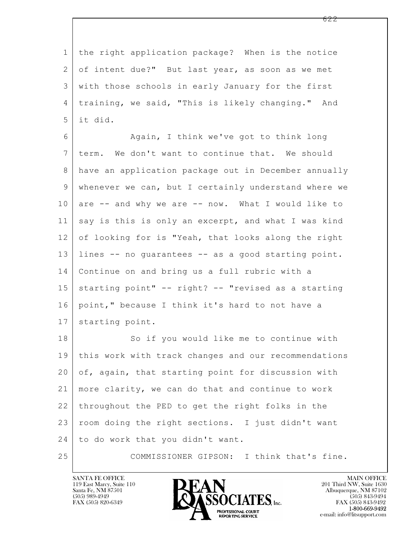1 the right application package? When is the notice 2 of intent due?" But last year, as soon as we met 3 with those schools in early January for the first 4 training, we said, "This is likely changing." And 5 it did.

6 Again, I think we've got to think long 7 term. We don't want to continue that. We should 8 have an application package out in December annually 9 whenever we can, but I certainly understand where we 10 are -- and why we are -- now. What I would like to 11 say is this is only an excerpt, and what I was kind 12 of looking for is "Yeah, that looks along the right 13 lines -- no guarantees -- as a good starting point. 14 Continue on and bring us a full rubric with a  $15$  starting point"  $-$  right?  $-$  "revised as a starting 16 point," because I think it's hard to not have a 17 starting point.

 $\mathbf{L}$  18 So if you would like me to continue with 19 this work with track changes and our recommendations 20 of, again, that starting point for discussion with 21 more clarity, we can do that and continue to work 22 throughout the PED to get the right folks in the 23 | room doing the right sections. I just didn't want 24 to do work that you didn't want.

25 COMMISSIONER GIPSON: I think that's fine.

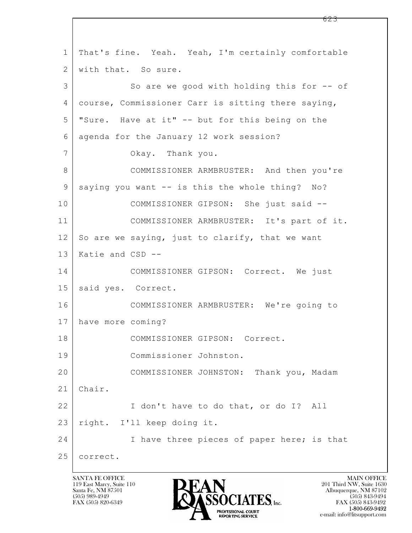$\mathbf{L}$  1 That's fine. Yeah. Yeah, I'm certainly comfortable 2 with that. So sure. 3 So are we good with holding this for -- of 4 course, Commissioner Carr is sitting there saying, 5 "Sure. Have at it" -- but for this being on the 6 agenda for the January 12 work session? 7 Okay. Thank you. 8 COMMISSIONER ARMBRUSTER: And then you're 9 | saying you want -- is this the whole thing? No? 10 COMMISSIONER GIPSON: She just said --11 COMMISSIONER ARMBRUSTER: It's part of it.  $12$  So are we saying, just to clarify, that we want 13 Katie and CSD -- 14 COMMISSIONER GIPSON: Correct. We just 15 | said yes. Correct. 16 COMMISSIONER ARMBRUSTER: We're going to 17 have more coming? 18 COMMISSIONER GIPSON: Correct. 19 Commissioner Johnston. 20 COMMISSIONER JOHNSTON: Thank you, Madam 21 Chair. 22 | I don't have to do that, or do I? All 23 right. I'll keep doing it. 24 I have three pieces of paper here; is that 25 correct.

119 East Marcy, Suite 110<br>Santa Fe, NM 87501

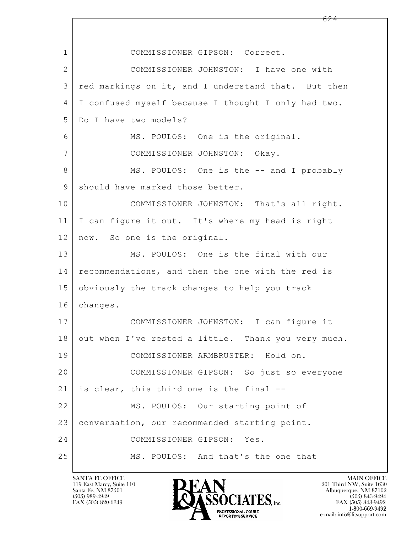$\mathbf{L}$  1 COMMISSIONER GIPSON: Correct. 2 COMMISSIONER JOHNSTON: I have one with 3 red markings on it, and I understand that. But then 4 I confused myself because I thought I only had two. 5 Do I have two models? 6 MS. POULOS: One is the original. 7 COMMISSIONER JOHNSTON: Okay. 8 MS. POULOS: One is the -- and I probably 9 should have marked those better. 10 COMMISSIONER JOHNSTON: That's all right. 11 I can figure it out. It's where my head is right 12 now. So one is the original. 13 MS. POULOS: One is the final with our 14 recommendations, and then the one with the red is 15 obviously the track changes to help you track 16 changes. 17 COMMISSIONER JOHNSTON: I can figure it 18 out when I've rested a little. Thank you very much. 19 COMMISSIONER ARMBRUSTER: Hold on. 20 COMMISSIONER GIPSON: So just so everyone 21 is clear, this third one is the final -- 22 | MS. POULOS: Our starting point of 23 conversation, our recommended starting point. 24 COMMISSIONER GIPSON: Yes. 25 MS. POULOS: And that's the one that

119 East Marcy, Suite 110<br>Santa Fe, NM 87501

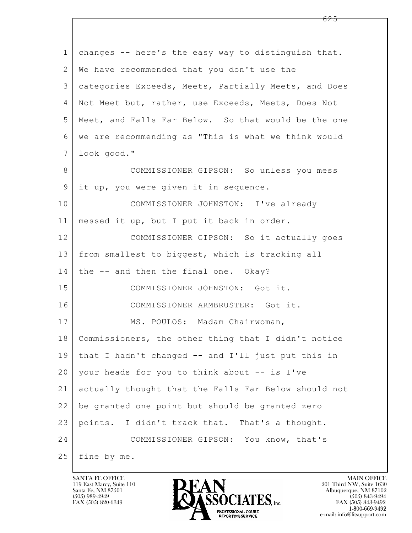| $\mathbf 1$  | changes -- here's the easy way to distinguish that.  |  |  |  |  |  |
|--------------|------------------------------------------------------|--|--|--|--|--|
| $\mathbf{2}$ | We have recommended that you don't use the           |  |  |  |  |  |
| 3            | categories Exceeds, Meets, Partially Meets, and Does |  |  |  |  |  |
| 4            | Not Meet but, rather, use Exceeds, Meets, Does Not   |  |  |  |  |  |
| 5            | Meet, and Falls Far Below. So that would be the one  |  |  |  |  |  |
| 6            | we are recommending as "This is what we think would  |  |  |  |  |  |
| 7            | look good."                                          |  |  |  |  |  |
| 8            | COMMISSIONER GIPSON: So unless you mess              |  |  |  |  |  |
| 9            | it up, you were given it in sequence.                |  |  |  |  |  |
| 10           | COMMISSIONER JOHNSTON: I've already                  |  |  |  |  |  |
| 11           | messed it up, but I put it back in order.            |  |  |  |  |  |
| 12           | COMMISSIONER GIPSON: So it actually goes             |  |  |  |  |  |
| 13           | from smallest to biggest, which is tracking all      |  |  |  |  |  |
| 14           | the -- and then the final one. Okay?                 |  |  |  |  |  |
| 15           | COMMISSIONER JOHNSTON: Got it.                       |  |  |  |  |  |
| 16           | COMMISSIONER ARMBRUSTER: Got it.                     |  |  |  |  |  |
| 17           | MS. POULOS: Madam Chairwoman,                        |  |  |  |  |  |
| 18           | Commissioners, the other thing that I didn't notice  |  |  |  |  |  |
| 19           | that I hadn't changed -- and I'll just put this in   |  |  |  |  |  |
| 20           | your heads for you to think about -- is I've         |  |  |  |  |  |
| 21           | actually thought that the Falls Far Below should not |  |  |  |  |  |
| 22           | be granted one point but should be granted zero      |  |  |  |  |  |
| 23           | points. I didn't track that. That's a thought.       |  |  |  |  |  |
| 24           | COMMISSIONER GIPSON: You know, that's                |  |  |  |  |  |
| 25           | fine by me.                                          |  |  |  |  |  |

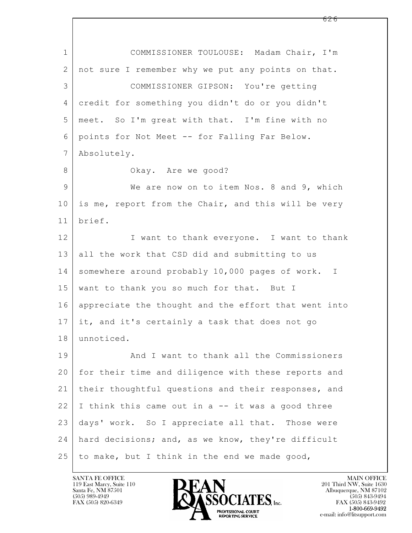$\mathbf{L}$  1 COMMISSIONER TOULOUSE: Madam Chair, I'm 2 | not sure I remember why we put any points on that. 3 COMMISSIONER GIPSON: You're getting 4 credit for something you didn't do or you didn't 5 meet. So I'm great with that. I'm fine with no 6 points for Not Meet -- for Falling Far Below. 7 Absolutely. 8 Okay. Are we good? 9 We are now on to item Nos. 8 and 9, which 10 is me, report from the Chair, and this will be very 11 brief. 12 I want to thank everyone. I want to thank 13 all the work that CSD did and submitting to us 14 somewhere around probably 10,000 pages of work. I 15 | want to thank you so much for that. But I 16 appreciate the thought and the effort that went into 17 it, and it's certainly a task that does not go 18 unnoticed. 19 And I want to thank all the Commissioners 20 for their time and diligence with these reports and 21 their thoughtful questions and their responses, and  $22$  I think this came out in a  $-$  it was a good three 23 days' work. So I appreciate all that. Those were 24 hard decisions; and, as we know, they're difficult  $25$  to make, but I think in the end we made good,

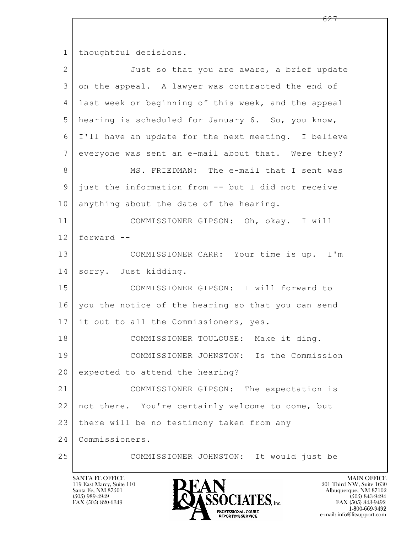1 thoughtful decisions.

| $\overline{2}$ | Just so that you are aware, a brief update          |  |  |  |  |  |
|----------------|-----------------------------------------------------|--|--|--|--|--|
| 3              | on the appeal. A lawyer was contracted the end of   |  |  |  |  |  |
| 4              | last week or beginning of this week, and the appeal |  |  |  |  |  |
| 5              | hearing is scheduled for January 6. So, you know,   |  |  |  |  |  |
| 6              | I'll have an update for the next meeting. I believe |  |  |  |  |  |
| 7              | everyone was sent an e-mail about that. Were they?  |  |  |  |  |  |
| 8              | MS. FRIEDMAN: The e-mail that I sent was            |  |  |  |  |  |
| 9              | just the information from -- but I did not receive  |  |  |  |  |  |
| 10             | anything about the date of the hearing.             |  |  |  |  |  |
| 11             | COMMISSIONER GIPSON: Oh, okay. I will               |  |  |  |  |  |
| 12             | forward --                                          |  |  |  |  |  |
| 13             | COMMISSIONER CARR: Your time is up. I'm             |  |  |  |  |  |
| 14             | sorry. Just kidding.                                |  |  |  |  |  |
| 15             | COMMISSIONER GIPSON: I will forward to              |  |  |  |  |  |
| 16             | you the notice of the hearing so that you can send  |  |  |  |  |  |
| 17             | it out to all the Commissioners, yes.               |  |  |  |  |  |
| 18             | COMMISSIONER TOULOUSE: Make it ding.                |  |  |  |  |  |
| 19             | COMMISSIONER JOHNSTON: Is the Commission            |  |  |  |  |  |
| 20             | expected to attend the hearing?                     |  |  |  |  |  |
| 21             | COMMISSIONER GIPSON: The expectation is             |  |  |  |  |  |
| 22             | not there. You're certainly welcome to come, but    |  |  |  |  |  |
| 23             | there will be no testimony taken from any           |  |  |  |  |  |
| 24             | Commissioners.                                      |  |  |  |  |  |
| 25             | COMMISSIONER JOHNSTON: It would just be             |  |  |  |  |  |

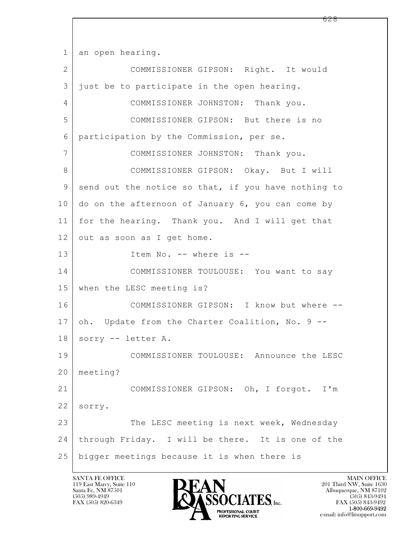1 an open hearing.

 $\mathbf{L}$  2 COMMISSIONER GIPSON: Right. It would 3 just be to participate in the open hearing. 4 COMMISSIONER JOHNSTON: Thank you. 5 COMMISSIONER GIPSON: But there is no 6 participation by the Commission, per se. 7 COMMISSIONER JOHNSTON: Thank you. 8 COMMISSIONER GIPSON: Okay. But I will 9 send out the notice so that, if you have nothing to 10 do on the afternoon of January 6, you can come by 11 for the hearing. Thank you. And I will get that 12 out as soon as I get home. 13 | Item No. -- where is --14 COMMISSIONER TOULOUSE: You want to say 15 when the LESC meeting is? 16 COMMISSIONER GIPSON: I know but where -- 17 oh. Update from the Charter Coalition, No. 9 --18 sorry -- letter A. 19 COMMISSIONER TOULOUSE: Announce the LESC 20 meeting? 21 COMMISSIONER GIPSON: Oh, I forgot. I'm 22 sorry. 23 The LESC meeting is next week, Wednesday 24 through Friday. I will be there. It is one of the 25 bigger meetings because it is when there is

119 East Marcy, Suite 110<br>Santa Fe, NM 87501



FAX (505) 843-9492 e-mail: info@litsupport.com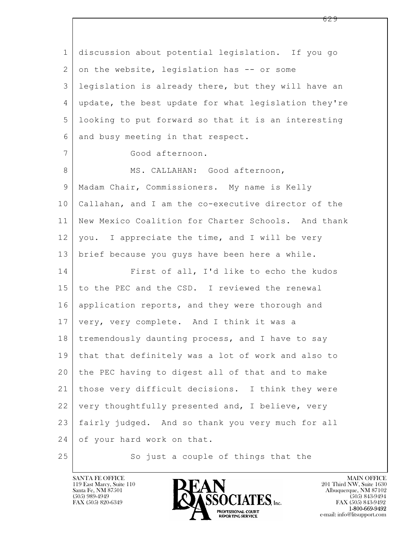$\mathbf{L}$  1 discussion about potential legislation. If you go  $2$  on the website, legislation has  $-$  or some 3 legislation is already there, but they will have an 4 update, the best update for what legislation they're 5 looking to put forward so that it is an interesting 6 and busy meeting in that respect. 7 Good afternoon. 8 | MS. CALLAHAN: Good afternoon, 9 | Madam Chair, Commissioners. My name is Kelly 10 Callahan, and I am the co-executive director of the 11 | New Mexico Coalition for Charter Schools. And thank  $12$  you. I appreciate the time, and I will be very 13 brief because you guys have been here a while. 14 First of all, I'd like to echo the kudos 15 to the PEC and the CSD. I reviewed the renewal 16 application reports, and they were thorough and 17 | very, very complete. And I think it was a 18 tremendously daunting process, and I have to say 19 that that definitely was a lot of work and also to 20 the PEC having to digest all of that and to make 21 those very difficult decisions. I think they were 22 very thoughtfully presented and, I believe, very 23 fairly judged. And so thank you very much for all 24 of your hard work on that.

25 So just a couple of things that the



FAX (505) 843-9492 e-mail: info@litsupport.com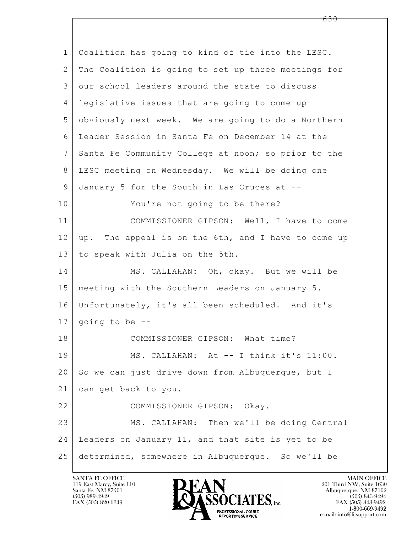$\mathbf{L}$  1 Coalition has going to kind of tie into the LESC. 2 The Coalition is going to set up three meetings for 3 our school leaders around the state to discuss 4 legislative issues that are going to come up 5 obviously next week. We are going to do a Northern 6 Leader Session in Santa Fe on December 14 at the 7 Santa Fe Community College at noon; so prior to the 8 LESC meeting on Wednesday. We will be doing one 9 January 5 for the South in Las Cruces at -- 10 You're not going to be there? 11 COMMISSIONER GIPSON: Well, I have to come 12 up. The appeal is on the 6th, and I have to come up 13 to speak with Julia on the 5th. 14 MS. CALLAHAN: Oh, okay. But we will be 15 meeting with the Southern Leaders on January 5. 16 Unfortunately, it's all been scheduled. And it's  $17$  going to be  $-$ 18 COMMISSIONER GIPSON: What time? 19 | MS. CALLAHAN: At -- I think it's 11:00. 20 So we can just drive down from Albuquerque, but I 21 can get back to you. 22 COMMISSIONER GIPSON: Okay. 23 MS. CALLAHAN: Then we'll be doing Central 24 Leaders on January 11, and that site is yet to be 25 determined, somewhere in Albuquerque. So we'll be

119 East Marcy, Suite 110<br>Santa Fe, NM 87501



FAX (505) 843-9492 e-mail: info@litsupport.com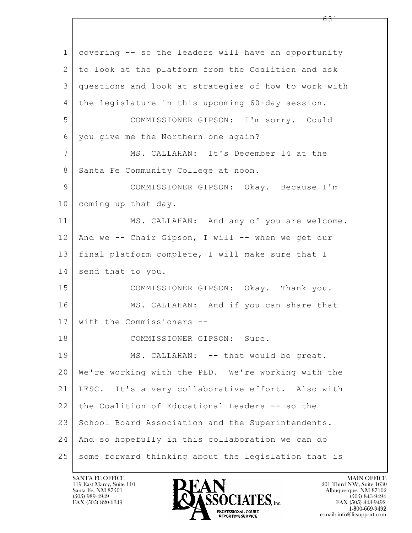$\mathbf{L}$  1 covering -- so the leaders will have an opportunity 2 to look at the platform from the Coalition and ask 3 questions and look at strategies of how to work with 4 the legislature in this upcoming 60-day session. 5 COMMISSIONER GIPSON: I'm sorry. Could 6 you give me the Northern one again? 7 MS. CALLAHAN: It's December 14 at the 8 Santa Fe Community College at noon. 9 COMMISSIONER GIPSON: Okay. Because I'm 10 coming up that day. 11 | MS. CALLAHAN: And any of you are welcome. 12 And we -- Chair Gipson, I will -- when we get our 13 final platform complete, I will make sure that I 14 send that to you. 15 COMMISSIONER GIPSON: Okay. Thank you. 16 MS. CALLAHAN: And if you can share that 17 with the Commissioners -- 18 COMMISSIONER GIPSON: Sure. 19 MS. CALLAHAN: -- that would be great. 20 We're working with the PED. We're working with the 21 LESC. It's a very collaborative effort. Also with 22 the Coalition of Educational Leaders -- so the 23 School Board Association and the Superintendents. 24 And so hopefully in this collaboration we can do 25 some forward thinking about the legislation that is

119 East Marcy, Suite 110<br>Santa Fe, NM 87501



FAX (505) 843-9492 e-mail: info@litsupport.com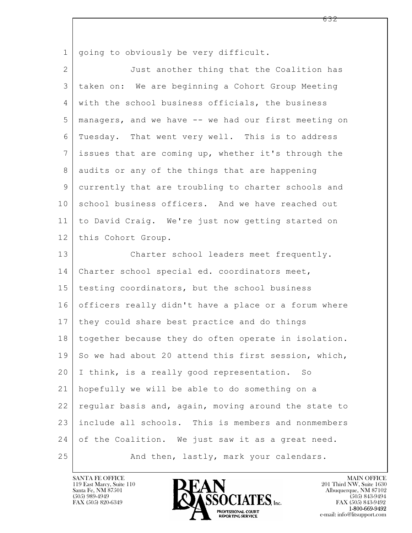$\mathbf{L}$  1 | going to obviously be very difficult. 2 Just another thing that the Coalition has 3 taken on: We are beginning a Cohort Group Meeting 4 with the school business officials, the business 5 managers, and we have -- we had our first meeting on 6 Tuesday. That went very well. This is to address 7 issues that are coming up, whether it's through the 8 audits or any of the things that are happening 9 currently that are troubling to charter schools and 10 school business officers. And we have reached out 11 to David Craig. We're just now getting started on 12 | this Cohort Group. 13 Charter school leaders meet frequently. 14 Charter school special ed. coordinators meet, 15 | testing coordinators, but the school business 16 officers really didn't have a place or a forum where 17 | they could share best practice and do things 18 together because they do often operate in isolation. 19 So we had about 20 attend this first session, which, 20 I think, is a really good representation. So 21 hopefully we will be able to do something on a 22 regular basis and, again, moving around the state to 23 include all schools. This is members and nonmembers 24 of the Coalition. We just saw it as a great need. 25 And then, lastly, mark your calendars.

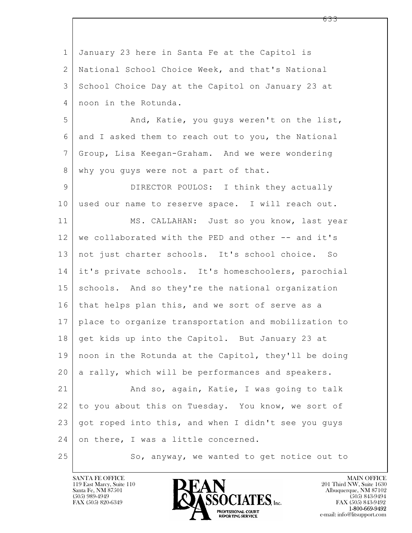$\mathbf{L}$  1 January 23 here in Santa Fe at the Capitol is 2 National School Choice Week, and that's National 3 School Choice Day at the Capitol on January 23 at 4 noon in the Rotunda. 5 And, Katie, you guys weren't on the list, 6 and I asked them to reach out to you, the National 7 Group, Lisa Keegan-Graham. And we were wondering 8 | why you guys were not a part of that. 9 DIRECTOR POULOS: I think they actually 10 used our name to reserve space. I will reach out. 11 | MS. CALLAHAN: Just so you know, last year 12 we collaborated with the PED and other -- and it's 13 | not just charter schools. It's school choice. So 14 it's private schools. It's homeschoolers, parochial 15 | schools. And so they're the national organization 16 that helps plan this, and we sort of serve as a 17 place to organize transportation and mobilization to 18 | get kids up into the Capitol. But January 23 at 19 noon in the Rotunda at the Capitol, they'll be doing  $20$  a rally, which will be performances and speakers. 21 | And so, again, Katie, I was going to talk 22 to you about this on Tuesday. You know, we sort of 23 got roped into this, and when I didn't see you guys 24 on there, I was a little concerned. 25 So, anyway, we wanted to get notice out to

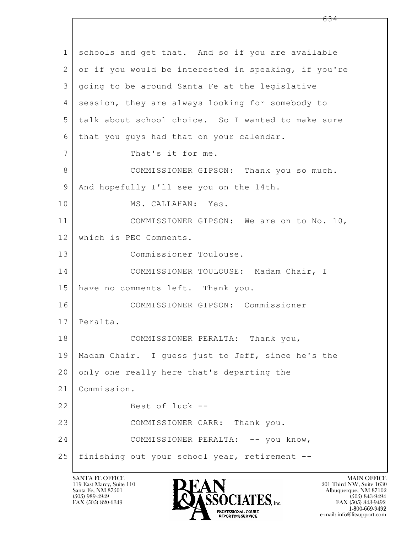$\mathbf{L}$  1 schools and get that. And so if you are available 2 or if you would be interested in speaking, if you're 3 going to be around Santa Fe at the legislative 4 session, they are always looking for somebody to 5 talk about school choice. So I wanted to make sure 6 | that you guys had that on your calendar. 7 | That's it for me. 8 COMMISSIONER GIPSON: Thank you so much. 9 | And hopefully I'll see you on the 14th. 10 MS. CALLAHAN: Yes. 11 COMMISSIONER GIPSON: We are on to No. 10, 12 which is PEC Comments. 13 Commissioner Toulouse. 14 COMMISSIONER TOULOUSE: Madam Chair, I 15 have no comments left. Thank you. 16 COMMISSIONER GIPSON: Commissioner 17 Peralta. 18 COMMISSIONER PERALTA: Thank you, 19 Madam Chair. I guess just to Jeff, since he's the 20 only one really here that's departing the 21 Commission. 22 Best of luck -- 23 COMMISSIONER CARR: Thank you. 24 COMMISSIONER PERALTA: -- you know, 25 finishing out your school year, retirement --

119 East Marcy, Suite 110<br>Santa Fe, NM 87501



FAX (505) 843-9492 e-mail: info@litsupport.com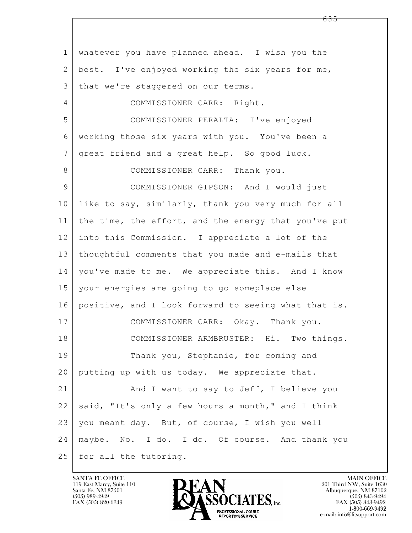$\mathbf{L}$  1 whatever you have planned ahead. I wish you the 2 best. I've enjoyed working the six years for me, 3 | that we're staggered on our terms. 4 COMMISSIONER CARR: Right. 5 COMMISSIONER PERALTA: I've enjoyed 6 working those six years with you. You've been a 7 | great friend and a great help. So good luck. 8 COMMISSIONER CARR: Thank you. 9 COMMISSIONER GIPSON: And I would just 10 like to say, similarly, thank you very much for all 11 the time, the effort, and the energy that you've put 12 into this Commission. I appreciate a lot of the 13 thoughtful comments that you made and e-mails that 14 you've made to me. We appreciate this. And I know 15 your energies are going to go someplace else 16 positive, and I look forward to seeing what that is. 17 | COMMISSIONER CARR: Okay. Thank you. 18 COMMISSIONER ARMBRUSTER: Hi. Two things. 19 Thank you, Stephanie, for coming and 20 putting up with us today. We appreciate that. 21 And I want to say to Jeff, I believe you 22 said, "It's only a few hours a month," and I think 23 you meant day. But, of course, I wish you well 24 maybe. No. I do. I do. Of course. And thank you 25 for all the tutoring.

119 East Marcy, Suite 110<br>Santa Fe, NM 87501



FAX (505) 843-9492 e-mail: info@litsupport.com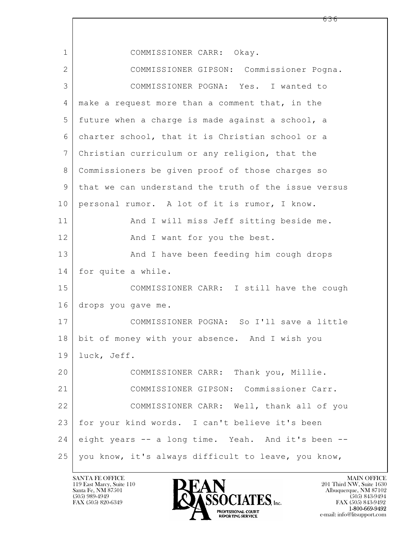$\mathbf{L}$  1 COMMISSIONER CARR: Okay. 2 COMMISSIONER GIPSON: Commissioner Pogna. 3 COMMISSIONER POGNA: Yes. I wanted to 4 | make a request more than a comment that, in the 5 future when a charge is made against a school, a 6 charter school, that it is Christian school or a 7 Christian curriculum or any religion, that the 8 Commissioners be given proof of those charges so 9 that we can understand the truth of the issue versus 10 personal rumor. A lot of it is rumor, I know. 11 | And I will miss Jeff sitting beside me. 12 | Richard I want for you the best. 13 And I have been feeding him cough drops 14 for quite a while. 15 COMMISSIONER CARR: I still have the cough 16 drops you gave me. 17 COMMISSIONER POGNA: So I'll save a little 18 bit of money with your absence. And I wish you 19 luck, Jeff. 20 COMMISSIONER CARR: Thank you, Millie. 21 COMMISSIONER GIPSON: Commissioner Carr. 22 COMMISSIONER CARR: Well, thank all of you 23 | for your kind words. I can't believe it's been 24 eight years -- a long time. Yeah. And it's been -- 25 you know, it's always difficult to leave, you know,

119 East Marcy, Suite 110<br>Santa Fe, NM 87501

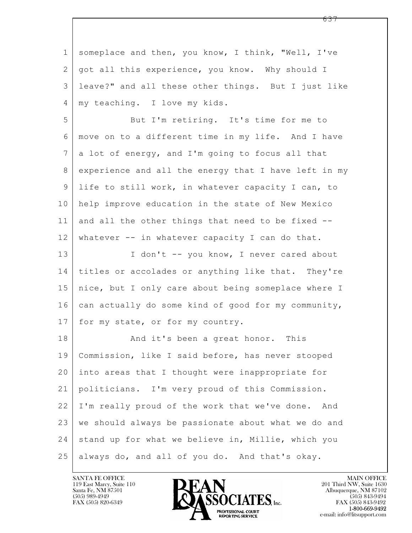| $\mathbf 1$     | someplace and then, you know, I think, "Well, I've   |
|-----------------|------------------------------------------------------|
| 2               | got all this experience, you know. Why should I      |
| 3               | leave?" and all these other things. But I just like  |
| 4               | my teaching. I love my kids.                         |
| 5               | But I'm retiring. It's time for me to                |
| 6               | move on to a different time in my life. And I have   |
| $7\phantom{.0}$ | a lot of energy, and I'm going to focus all that     |
| 8               | experience and all the energy that I have left in my |
| 9               | life to still work, in whatever capacity I can, to   |
| 10              | help improve education in the state of New Mexico    |
| 11              | and all the other things that need to be fixed --    |
| 12              | whatever -- in whatever capacity I can do that.      |
| 13              | I don't -- you know, I never cared about             |
| 14              | titles or accolades or anything like that. They're   |
| 15              | nice, but I only care about being someplace where I  |
| 16              | can actually do some kind of good for my community,  |
| 17              | for my state, or for my country.                     |
| 18              | And it's been a great honor. This                    |
| 19              | Commission, like I said before, has never stooped    |
| 20              | into areas that I thought were inappropriate for     |
| 21              | politicians. I'm very proud of this Commission.      |
| 22              | I'm really proud of the work that we've done. And    |
| 23              | we should always be passionate about what we do and  |
| 24              | stand up for what we believe in, Millie, which you   |
| 25              | always do, and all of you do. And that's okay.       |

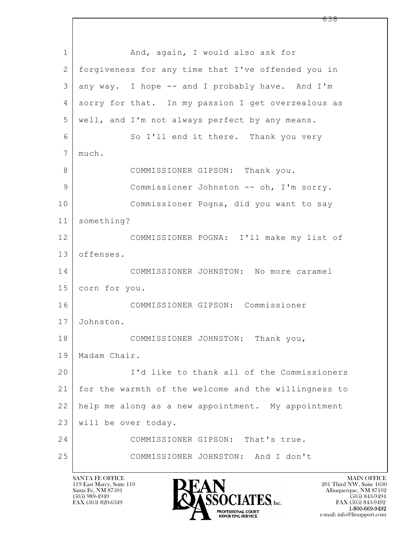$\mathbf{L}$  1 | And, again, I would also ask for 2 forgiveness for any time that I've offended you in  $3$  any way. I hope  $-$  and I probably have. And I'm 4 sorry for that. In my passion I get overzealous as 5 well, and I'm not always perfect by any means. 6 So I'll end it there. Thank you very 7 much. 8 COMMISSIONER GIPSON: Thank you. 9 Commissioner Johnston -- oh, I'm sorry. 10 Commissioner Pogna, did you want to say 11 something? 12 COMMISSIONER POGNA: I'll make my list of 13 offenses. 14 COMMISSIONER JOHNSTON: No more caramel 15 corn for you. 16 COMMISSIONER GIPSON: Commissioner 17 Johnston. 18 COMMISSIONER JOHNSTON: Thank you, 19 Madam Chair. 20 I'd like to thank all of the Commissioners 21 for the warmth of the welcome and the willingness to 22 help me along as a new appointment. My appointment 23 will be over today. 24 COMMISSIONER GIPSON: That's true. 25 COMMISSIONER JOHNSTON: And I don't

119 East Marcy, Suite 110<br>Santa Fe, NM 87501



FAX (505) 843-9492 e-mail: info@litsupport.com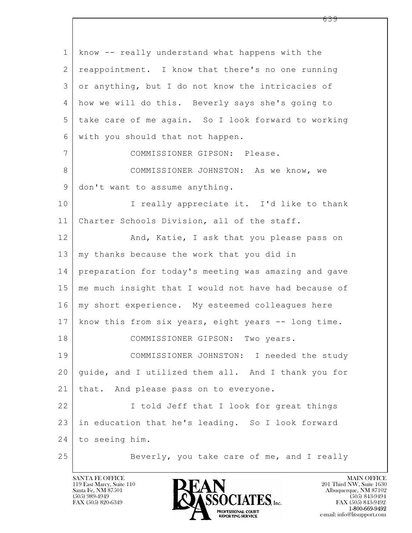$\mathbf{L}$  1 know -- really understand what happens with the 2 | reappointment. I know that there's no one running 3 or anything, but I do not know the intricacies of 4 how we will do this. Beverly says she's going to 5 take care of me again. So I look forward to working 6 with you should that not happen. 7 COMMISSIONER GIPSON: Please. 8 COMMISSIONER JOHNSTON: As we know, we 9 don't want to assume anything. 10 | I really appreciate it. I'd like to thank 11 Charter Schools Division, all of the staff. 12 | And, Katie, I ask that you please pass on 13 | my thanks because the work that you did in 14 preparation for today's meeting was amazing and gave 15 me much insight that I would not have had because of 16 | my short experience. My esteemed colleagues here 17 know this from six years, eight years -- long time. 18 | COMMISSIONER GIPSON: Two years. 19 COMMISSIONER JOHNSTON: I needed the study 20 guide, and I utilized them all. And I thank you for 21 | that. And please pass on to everyone. 22 I told Jeff that I look for great things 23 in education that he's leading. So I look forward 24 to seeing him. 25 Beverly, you take care of me, and I really

119 East Marcy, Suite 110<br>Santa Fe, NM 87501

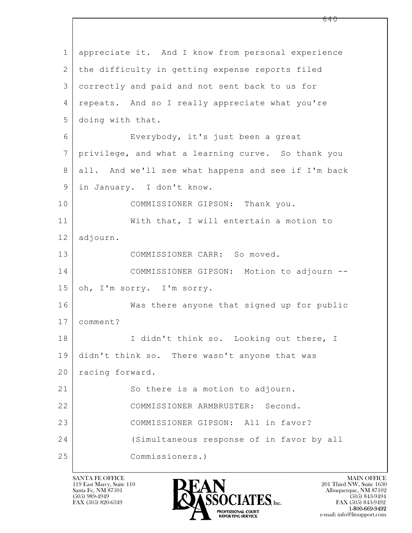$\mathbf{L}$  1 appreciate it. And I know from personal experience 2 the difficulty in getting expense reports filed 3 correctly and paid and not sent back to us for 4 | repeats. And so I really appreciate what you're 5 doing with that. 6 Everybody, it's just been a great 7 privilege, and what a learning curve. So thank you 8 all. And we'll see what happens and see if I'm back 9 in January. I don't know. 10 COMMISSIONER GIPSON: Thank you. 11 | With that, I will entertain a motion to 12 adjourn. 13 COMMISSIONER CARR: So moved. 14 COMMISSIONER GIPSON: Motion to adjourn -- 15 | oh, I'm sorry. I'm sorry. 16 Was there anyone that signed up for public 17 comment? 18 I didn't think so. Looking out there, I 19 didn't think so. There wasn't anyone that was 20 | racing forward. 21 So there is a motion to adjourn. 22 COMMISSIONER ARMBRUSTER: Second. 23 COMMISSIONER GIPSON: All in favor? 24 (Simultaneous response of in favor by all 25 Commissioners.)

119 East Marcy, Suite 110<br>Santa Fe, NM 87501



FAX (505) 843-9492 e-mail: info@litsupport.com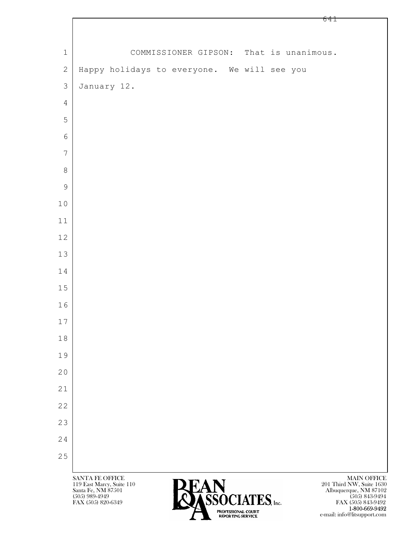|                |                                              |                                         |  | O T T                                   |
|----------------|----------------------------------------------|-----------------------------------------|--|-----------------------------------------|
|                |                                              |                                         |  |                                         |
| $\mathbf 1$    |                                              | COMMISSIONER GIPSON: That is unanimous. |  |                                         |
| $\mathbf{2}$   | Happy holidays to everyone. We will see you  |                                         |  |                                         |
| $\mathcal{S}$  | January 12.                                  |                                         |  |                                         |
| $\overline{4}$ |                                              |                                         |  |                                         |
| 5              |                                              |                                         |  |                                         |
| $\epsilon$     |                                              |                                         |  |                                         |
| $\overline{7}$ |                                              |                                         |  |                                         |
| $\,8\,$        |                                              |                                         |  |                                         |
| $\mathcal{G}$  |                                              |                                         |  |                                         |
| $1\,0$         |                                              |                                         |  |                                         |
| $11\,$         |                                              |                                         |  |                                         |
| $12$           |                                              |                                         |  |                                         |
| 13             |                                              |                                         |  |                                         |
| $1\,4$         |                                              |                                         |  |                                         |
| $15$           |                                              |                                         |  |                                         |
| 16             |                                              |                                         |  |                                         |
| $17$           |                                              |                                         |  |                                         |
| $1\,8$         |                                              |                                         |  |                                         |
| 19             |                                              |                                         |  |                                         |
| 20             |                                              |                                         |  |                                         |
| 21             |                                              |                                         |  |                                         |
| 22             |                                              |                                         |  |                                         |
| 23             |                                              |                                         |  |                                         |
| 24             |                                              |                                         |  |                                         |
| $2\,5$         |                                              |                                         |  |                                         |
|                | SANTA FE OFFICE<br>119 East Marcy, Suite 110 | DEAN                                    |  | MAIN OFFICE<br>201 Third NW, Suite 1630 |



 $\overline{1}$